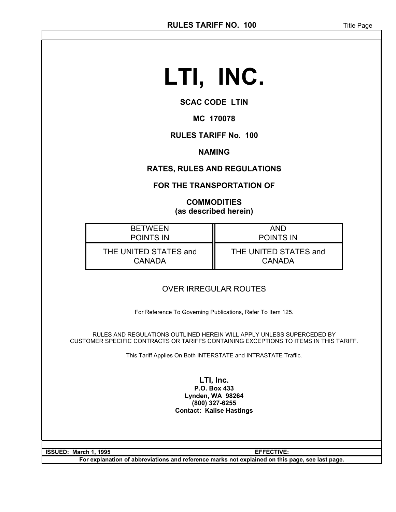# **LTI, INC.**

#### **SCAC CODE LTIN**

#### **MC 170078**

#### **RULES TARIFF No. 100**

#### **NAMING**

#### **RATES, RULES AND REGULATIONS**

#### **FOR THE TRANSPORTATION OF**

#### **COMMODITIES (as described herein)**

| <b>RETWEEN</b>        | AND                   |
|-----------------------|-----------------------|
| <b>POINTS IN</b>      | <b>POINTS IN</b>      |
| THE UNITED STATES and | THE UNITED STATES and |
| <b>CANADA</b>         | <b>CANADA</b>         |

#### OVER IRREGULAR ROUTES

For Reference To Governing Publications, Refer To Item 125.

RULES AND REGULATIONS OUTLINED HEREIN WILL APPLY UNLESS SUPERCEDED BY CUSTOMER SPECIFIC CONTRACTS OR TARIFFS CONTAINING EXCEPTIONS TO ITEMS IN THIS TARIFF.

This Tariff Applies On Both INTERSTATE and INTRASTATE Traffic.

**LTI, Inc. P.O. Box 433 Lynden, WA 98264 (800) 327-6255 Contact: Kalise Hastings**

**ISSUED: March 1, 1995 EFFECTIVE:** 

**For explanation of abbreviations and reference marks not explained on this page, see last page.**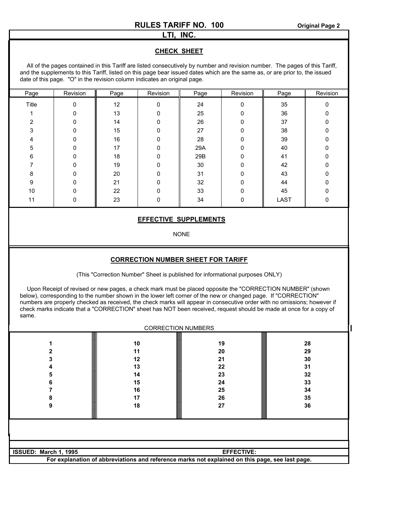#### **LTI, INC.**

#### **CHECK SHEET**

All of the pages contained in this Tariff are listed consecutively by number and revision number. The pages of this Tariff, and the supplements to this Tariff, listed on this page bear issued dates which are the same as, or are prior to, the issued date of this page. "O" in the revision column indicates an original page.

| Page  | Revision | Page | Revision | Page | Revision | Page        | Revision |
|-------|----------|------|----------|------|----------|-------------|----------|
| Title | ŋ        | 12   | 0        | 24   | U        | 35          |          |
|       |          | 13   |          | 25   |          | 36          |          |
| ◠     |          | 14   |          | 26   |          | 37          |          |
| 3     | n        | 15   | $\Omega$ | 27   | ∩        | 38          |          |
|       | 0        | 16   | O        | 28   | O        | 39          |          |
| 5     |          | 17   | $\Omega$ | 29A  | ŋ        | 40          |          |
| 6     |          | 18   | 0        | 29B  | O        | 41          |          |
|       | O        | 19   | $\Omega$ | 30   | ∩        | 42          |          |
| 8     | ი        | 20   | $\Omega$ | 31   | n        | 43          |          |
| 9     | ი        | 21   | $\Omega$ | 32   | ŋ        | 44          |          |
| 10    |          | 22   | $\Omega$ | 33   | ∩        | 45          |          |
| 11    | 0        | 23   | U        | 34   | O        | <b>LAST</b> |          |
|       |          |      |          |      |          |             |          |

#### **EFFECTIVE SUPPLEMENTS**

NONE

#### **CORRECTION NUMBER SHEET FOR TARIFF**

(This "Correction Number" Sheet is published for informational purposes ONLY)

Upon Receipt of revised or new pages, a check mark must be placed opposite the "CORRECTION NUMBER" (shown below), corresponding to the number shown in the lower left corner of the new or changed page. If "CORRECTION" numbers are properly checked as received, the check marks will appear in consecutive order with no omissions; however if check marks indicate that a "CORRECTION" sheet has NOT been received, request should be made at once for a copy of same.

| <b>CORRECTION NUMBERS</b>                          |                                                                                               |  |  |  |
|----------------------------------------------------|-----------------------------------------------------------------------------------------------|--|--|--|
| 19<br>20<br>21<br>22<br>23<br>24<br>25<br>26<br>27 | 28<br>29<br>30<br>31<br>32<br>33<br>34<br>35<br>36                                            |  |  |  |
|                                                    |                                                                                               |  |  |  |
| <b>EFFECTIVE:</b>                                  |                                                                                               |  |  |  |
|                                                    | For explanation of abbreviations and reference marks not explained on this nane see last nane |  |  |  |

**For explanation of abbreviations and reference marks not explained on this page, see last page.**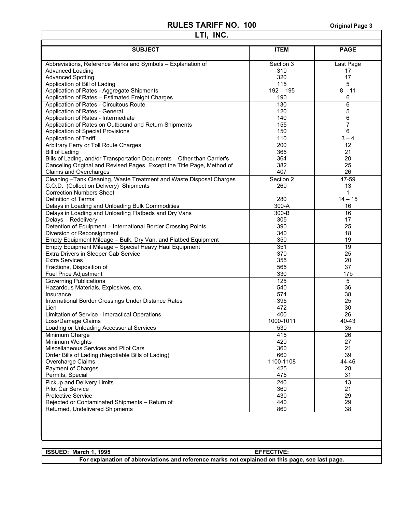$\mathbf{r}$ 

| LTI, INC.                                                                                       |                    |                 |  |  |
|-------------------------------------------------------------------------------------------------|--------------------|-----------------|--|--|
| <b>SUBJECT</b>                                                                                  | <b>ITEM</b>        | <b>PAGE</b>     |  |  |
|                                                                                                 |                    |                 |  |  |
| Abbreviations, Reference Marks and Symbols - Explanation of                                     | Section 3          | Last Page       |  |  |
| <b>Advanced Loading</b>                                                                         | 310                | 17              |  |  |
| <b>Advanced Spotting</b>                                                                        | 320                | 17              |  |  |
| Application of Bill of Lading                                                                   | 115                | 5               |  |  |
| Application of Rates - Aggregate Shipments                                                      | $192 - 195$<br>190 | $8 - 11$<br>6   |  |  |
| Application of Rates - Estimated Freight Charges<br>Application of Rates - Circuitous Route     | 130                | 6               |  |  |
| Application of Rates - General                                                                  | 120                | 5               |  |  |
| Application of Rates - Intermediate                                                             | 140                | 6               |  |  |
| Application of Rates on Outbound and Return Shipments                                           | 155                | 7               |  |  |
| Application of Special Provisions                                                               | 150                | 6               |  |  |
| Application of Tariff                                                                           | 110                | $3 - 4$         |  |  |
| Arbitrary Ferry or Toll Route Charges                                                           | 200                | 12              |  |  |
| <b>Bill of Lading</b>                                                                           | 365                | 21              |  |  |
| Bills of Lading, and/or Transportation Documents - Other than Carrier's                         | 364                | 20              |  |  |
| Canceling Original and Revised Pages, Except the Title Page, Method of                          | 382                | 25              |  |  |
| Claims and Overcharges                                                                          | 407                | 26              |  |  |
| Cleaning - Tank Cleaning, Waste Treatment and Waste Disposal Charges                            | Section 2          | 47-59           |  |  |
| C.O.D. (Collect on Delivery) Shipments                                                          | 260                | 13              |  |  |
| <b>Correction Numbers Sheet</b>                                                                 |                    | 1               |  |  |
| Definition of Terms                                                                             | 280                | $14 - 15$       |  |  |
| Delays in Loading and Unloading Bulk Commodities                                                | 300-A              | 16              |  |  |
| Delays in Loading and Unloading Flatbeds and Dry Vans                                           | 300-B              | 16              |  |  |
| Delays - Redelivery                                                                             | 305                | 17              |  |  |
| Detention of Equipment - International Border Crossing Points                                   | 390                | 25              |  |  |
| Diversion or Reconsignment                                                                      | 340                | 18              |  |  |
| Empty Equipment Mileage - Bulk, Dry Van, and Flatbed Equipment                                  | 350                | 19              |  |  |
| Empty Equipment Mileage - Special Heavy Haul Equipment<br>Extra Drivers in Sleeper Cab Service  | 351<br>370         | 19<br>25        |  |  |
| <b>Extra Services</b>                                                                           | 355                | 20              |  |  |
| Fractions, Disposition of                                                                       | 565                | 37              |  |  |
| Fuel Price Adjustment                                                                           | 330                | 17 <sub>b</sub> |  |  |
| <b>Governing Publications</b>                                                                   | 125                | 5               |  |  |
| Hazardous Materials, Explosives, etc.                                                           | 540                | 36              |  |  |
| Insurance                                                                                       | 574                | 38              |  |  |
| International Border Crossings Under Distance Rates                                             | 395                | 25              |  |  |
| Lien                                                                                            | 472                | 30              |  |  |
| Limitation of Service - Impractical Operations                                                  | 400                | 26              |  |  |
| Loss/Damage Claims                                                                              | 1000-1011          | 40-43           |  |  |
| Loading or Unloading Accessorial Services                                                       | 530                | 35              |  |  |
| Minimum Charge                                                                                  | 415                | 26              |  |  |
| Minimum Weights                                                                                 | 420                | 27              |  |  |
| Miscellaneous Services and Pilot Cars                                                           | 360                | 21              |  |  |
| Order Bills of Lading (Negotiable Bills of Lading)                                              | 660                | 39              |  |  |
| Overcharge Claims<br>Payment of Charges                                                         | 1100-1108<br>425   | 44-46<br>28     |  |  |
| Permits, Special                                                                                | 475                | 31              |  |  |
| Pickup and Delivery Limits                                                                      | 240                | 13              |  |  |
| <b>Pilot Car Service</b>                                                                        | 360                | 21              |  |  |
| <b>Protective Service</b>                                                                       | 430                | 29              |  |  |
| Rejected or Contaminated Shipments - Return of                                                  | 440                | 29              |  |  |
| Returned, Undelivered Shipments                                                                 | 860                | 38              |  |  |
|                                                                                                 |                    |                 |  |  |
|                                                                                                 |                    |                 |  |  |
|                                                                                                 |                    |                 |  |  |
| ISSUED: March 1, 1995<br><b>EFFECTIVE:</b>                                                      |                    |                 |  |  |
| For explanation of abbreviations and reference marks not explained on this page, see last page. |                    |                 |  |  |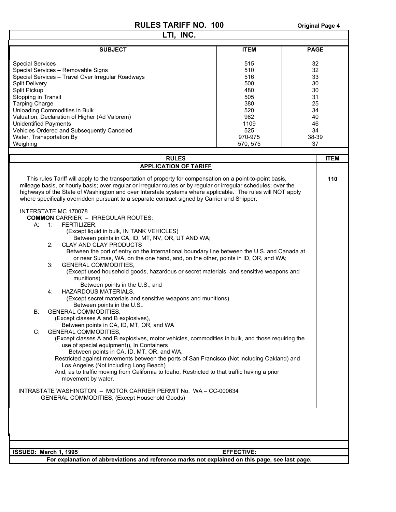| <b>SUBJECT</b><br><b>Special Services</b><br>Special Services - Removable Signs                                                                                                                                                                                                                                                                                                                                                                                                                                                                                                                                                                                                                                                                                                                                                                                                                                                                                                                                                                                                                                                                                                                                                                                                                                                                                                                                                                                                                                                                                                                                                                                                                                                                                                                                                                                                                                                        | <b>ITEM</b>                                                                                       | <b>PAGE</b>                                                                   |
|----------------------------------------------------------------------------------------------------------------------------------------------------------------------------------------------------------------------------------------------------------------------------------------------------------------------------------------------------------------------------------------------------------------------------------------------------------------------------------------------------------------------------------------------------------------------------------------------------------------------------------------------------------------------------------------------------------------------------------------------------------------------------------------------------------------------------------------------------------------------------------------------------------------------------------------------------------------------------------------------------------------------------------------------------------------------------------------------------------------------------------------------------------------------------------------------------------------------------------------------------------------------------------------------------------------------------------------------------------------------------------------------------------------------------------------------------------------------------------------------------------------------------------------------------------------------------------------------------------------------------------------------------------------------------------------------------------------------------------------------------------------------------------------------------------------------------------------------------------------------------------------------------------------------------------------|---------------------------------------------------------------------------------------------------|-------------------------------------------------------------------------------|
|                                                                                                                                                                                                                                                                                                                                                                                                                                                                                                                                                                                                                                                                                                                                                                                                                                                                                                                                                                                                                                                                                                                                                                                                                                                                                                                                                                                                                                                                                                                                                                                                                                                                                                                                                                                                                                                                                                                                        |                                                                                                   |                                                                               |
| Special Services - Travel Over Irregular Roadways<br><b>Split Delivery</b><br>Split Pickup<br>Stopping in Transit<br><b>Tarping Charge</b><br>Unloading Commodities in Bulk<br>Valuation, Declaration of Higher (Ad Valorem)<br><b>Unidentified Payments</b><br>Vehicles Ordered and Subsequently Canceled<br>Water, Transportation By<br>Weighing                                                                                                                                                                                                                                                                                                                                                                                                                                                                                                                                                                                                                                                                                                                                                                                                                                                                                                                                                                                                                                                                                                                                                                                                                                                                                                                                                                                                                                                                                                                                                                                     | 515<br>510<br>516<br>500<br>480<br>505<br>380<br>520<br>982<br>1109<br>525<br>970-975<br>570, 575 | 32<br>32<br>33<br>30<br>30<br>31<br>25<br>34<br>40<br>46<br>34<br>38-39<br>37 |
| <b>RULES</b>                                                                                                                                                                                                                                                                                                                                                                                                                                                                                                                                                                                                                                                                                                                                                                                                                                                                                                                                                                                                                                                                                                                                                                                                                                                                                                                                                                                                                                                                                                                                                                                                                                                                                                                                                                                                                                                                                                                           |                                                                                                   | <b>ITEM</b>                                                                   |
| <b>APPLICATION OF TARIFF</b>                                                                                                                                                                                                                                                                                                                                                                                                                                                                                                                                                                                                                                                                                                                                                                                                                                                                                                                                                                                                                                                                                                                                                                                                                                                                                                                                                                                                                                                                                                                                                                                                                                                                                                                                                                                                                                                                                                           |                                                                                                   |                                                                               |
| This rules Tariff will apply to the transportation of property for compensation on a point-to-point basis,<br>mileage basis, or hourly basis; over regular or irregular routes or by regular or irregular schedules; over the<br>highways of the State of Washington and over Interstate systems where applicable. The rules will NOT apply<br>where specifically overridden pursuant to a separate contract signed by Carrier and Shipper.<br>INTERSTATE MC 170078<br><b>COMMON</b> CARRIER - IRREGULAR ROUTES:<br>FERTILIZER,<br>А:<br>$-1$ :<br>(Except liquid in bulk, IN TANK VEHICLES)<br>Between points in CA, ID, MT, NV, OR, UT AND WA;<br>CLAY AND CLAY PRODUCTS<br>2:<br>Between the port of entry on the international boundary line between the U.S. and Canada at<br>or near Sumas, WA, on the one hand, and, on the other, points in ID, OR, and WA;<br><b>GENERAL COMMODITIES,</b><br>3:<br>(Except used household goods, hazardous or secret materials, and sensitive weapons and<br>munitions)<br>Between points in the U.S.; and<br><b>HAZARDOUS MATERIALS,</b><br>4:<br>(Except secret materials and sensitive weapons and munitions)<br>Between points in the U.S<br><b>GENERAL COMMODITIES,</b><br>B:<br>(Except classes A and B explosives),<br>Between points in CA, ID, MT, OR, and WA<br><b>GENERAL COMMODITIES,</b><br>C:<br>(Except classes A and B explosives, motor vehicles, commodities in bulk, and those requiring the<br>use of special equipment)), In Containers<br>Between points in CA, ID, MT, OR, and WA,<br>Restricted against movements between the ports of San Francisco (Not including Oakland) and<br>Los Angeles (Not including Long Beach)<br>And, as to traffic moving from California to Idaho, Restricted to that traffic having a prior<br>movement by water.<br>INTRASTATE WASHINGTON - MOTOR CARRIER PERMIT No. WA - CC-000634<br>GENERAL COMMODITIES, (Except Household Goods) |                                                                                                   | 110                                                                           |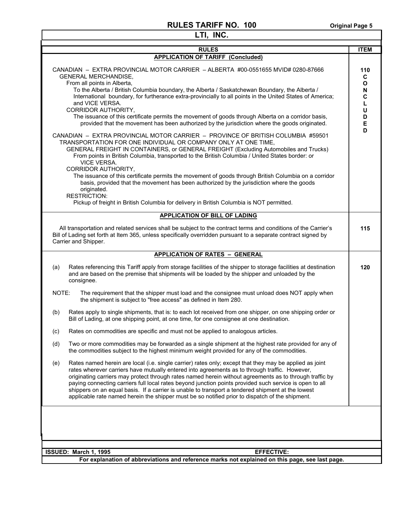| <b>RULES</b><br><b>ITEM</b><br><b>APPLICATION OF TARIFF (Concluded)</b><br>CANADIAN - EXTRA PROVINCIAL MOTOR CARRIER - ALBERTA #00-0551655 MVID# 0280-87666<br>110<br><b>GENERAL MERCHANDISE,</b><br>C<br>From all points in Alberta,<br>O<br>To the Alberta / British Columbia boundary, the Alberta / Saskatchewan Boundary, the Alberta /<br>N<br>International boundary, for furtherance extra-provincially to all points in the United States of America;<br>C<br>and VICE VERSA.<br>L<br><b>CORRIDOR AUTHORITY,</b><br>U<br>The issuance of this certificate permits the movement of goods through Alberta on a corridor basis,<br>D<br>provided that the movement has been authorized by the jurisdiction where the goods originated.<br>E<br>D<br>CANADIAN - EXTRA PROVINCIAL MOTOR CARRIER - PROVINCE OF BRITISH COLUMBIA #59501<br>TRANSPORTATION FOR ONE INDIVIDUAL OR COMPANY ONLY AT ONE TIME,<br>GENERAL FREIGHT IN CONTAINERS, or GENERAL FREIGHT (Excluding Automobiles and Trucks)<br>From points in British Columbia, transported to the British Columbia / United States border: or<br><b>VICE VERSA.</b><br>CORRIDOR AUTHORITY,<br>The issuance of this certificate permits the movement of goods through British Columbia on a corridor<br>basis, provided that the movement has been authorized by the jurisdiction where the goods<br>originated.<br><b>RESTRICTION:</b><br>Pickup of freight in British Columbia for delivery in British Columbia is NOT permitted.<br><b>APPLICATION OF BILL OF LADING</b><br>All transportation and related services shall be subject to the contract terms and conditions of the Carrier's<br>115<br>Bill of Lading set forth at Item 365, unless specifically overridden pursuant to a separate contract signed by<br>Carrier and Shipper.<br><b>APPLICATION OF RATES - GENERAL</b><br>Rates referencing this Tariff apply from storage facilities of the shipper to storage facilities at destination<br>(a)<br>120<br>and are based on the premise that shipments will be loaded by the shipper and unloaded by the<br>consignee.<br>NOTE:<br>The requirement that the shipper must load and the consignee must unload does NOT apply when<br>the shipment is subject to "free access" as defined in Item 280.<br>Rates apply to single shipments, that is: to each lot received from one shipper, on one shipping order or<br>(b)<br>Bill of Lading, at one shipping point, at one time, for one consignee at one destination.<br>Rates on commodities are specific and must not be applied to analogous articles.<br>(c)<br>(d)<br>Two or more commodities may be forwarded as a single shipment at the highest rate provided for any of<br>the commodities subject to the highest minimum weight provided for any of the commodities.<br>Rates named herein are local (i.e. single carrier) rates only; except that they may be applied as joint<br>(e)<br>rates wherever carriers have mutually entered into agreements as to through traffic. However,<br>originating carriers may protect through rates named herein without agreements as to through traffic by<br>paying connecting carriers full local rates beyond junction points provided such service is open to all<br>shippers on an equal basis. If a carrier is unable to transport a tendered shipment at the lowest<br>applicable rate named herein the shipper must be so notified prior to dispatch of the shipment.<br>ISSUED: March 1, 1995<br><b>EFFECTIVE:</b> |  | LTI, INC. |  |  |  |  |
|-------------------------------------------------------------------------------------------------------------------------------------------------------------------------------------------------------------------------------------------------------------------------------------------------------------------------------------------------------------------------------------------------------------------------------------------------------------------------------------------------------------------------------------------------------------------------------------------------------------------------------------------------------------------------------------------------------------------------------------------------------------------------------------------------------------------------------------------------------------------------------------------------------------------------------------------------------------------------------------------------------------------------------------------------------------------------------------------------------------------------------------------------------------------------------------------------------------------------------------------------------------------------------------------------------------------------------------------------------------------------------------------------------------------------------------------------------------------------------------------------------------------------------------------------------------------------------------------------------------------------------------------------------------------------------------------------------------------------------------------------------------------------------------------------------------------------------------------------------------------------------------------------------------------------------------------------------------------------------------------------------------------------------------------------------------------------------------------------------------------------------------------------------------------------------------------------------------------------------------------------------------------------------------------------------------------------------------------------------------------------------------------------------------------------------------------------------------------------------------------------------------------------------------------------------------------------------------------------------------------------------------------------------------------------------------------------------------------------------------------------------------------------------------------------------------------------------------------------------------------------------------------------------------------------------------------------------------------------------------------------------------------------------------------------------------------------------------------------------------------------------------------------------------------------------------------------------------------------------------------------------------------------------------------------------------------------------------------------------------------------------------------------------------------------------------------------------------------------------------------------------|--|-----------|--|--|--|--|
|                                                                                                                                                                                                                                                                                                                                                                                                                                                                                                                                                                                                                                                                                                                                                                                                                                                                                                                                                                                                                                                                                                                                                                                                                                                                                                                                                                                                                                                                                                                                                                                                                                                                                                                                                                                                                                                                                                                                                                                                                                                                                                                                                                                                                                                                                                                                                                                                                                                                                                                                                                                                                                                                                                                                                                                                                                                                                                                                                                                                                                                                                                                                                                                                                                                                                                                                                                                                                                                                                                       |  |           |  |  |  |  |
|                                                                                                                                                                                                                                                                                                                                                                                                                                                                                                                                                                                                                                                                                                                                                                                                                                                                                                                                                                                                                                                                                                                                                                                                                                                                                                                                                                                                                                                                                                                                                                                                                                                                                                                                                                                                                                                                                                                                                                                                                                                                                                                                                                                                                                                                                                                                                                                                                                                                                                                                                                                                                                                                                                                                                                                                                                                                                                                                                                                                                                                                                                                                                                                                                                                                                                                                                                                                                                                                                                       |  |           |  |  |  |  |
|                                                                                                                                                                                                                                                                                                                                                                                                                                                                                                                                                                                                                                                                                                                                                                                                                                                                                                                                                                                                                                                                                                                                                                                                                                                                                                                                                                                                                                                                                                                                                                                                                                                                                                                                                                                                                                                                                                                                                                                                                                                                                                                                                                                                                                                                                                                                                                                                                                                                                                                                                                                                                                                                                                                                                                                                                                                                                                                                                                                                                                                                                                                                                                                                                                                                                                                                                                                                                                                                                                       |  |           |  |  |  |  |
|                                                                                                                                                                                                                                                                                                                                                                                                                                                                                                                                                                                                                                                                                                                                                                                                                                                                                                                                                                                                                                                                                                                                                                                                                                                                                                                                                                                                                                                                                                                                                                                                                                                                                                                                                                                                                                                                                                                                                                                                                                                                                                                                                                                                                                                                                                                                                                                                                                                                                                                                                                                                                                                                                                                                                                                                                                                                                                                                                                                                                                                                                                                                                                                                                                                                                                                                                                                                                                                                                                       |  |           |  |  |  |  |
|                                                                                                                                                                                                                                                                                                                                                                                                                                                                                                                                                                                                                                                                                                                                                                                                                                                                                                                                                                                                                                                                                                                                                                                                                                                                                                                                                                                                                                                                                                                                                                                                                                                                                                                                                                                                                                                                                                                                                                                                                                                                                                                                                                                                                                                                                                                                                                                                                                                                                                                                                                                                                                                                                                                                                                                                                                                                                                                                                                                                                                                                                                                                                                                                                                                                                                                                                                                                                                                                                                       |  |           |  |  |  |  |
|                                                                                                                                                                                                                                                                                                                                                                                                                                                                                                                                                                                                                                                                                                                                                                                                                                                                                                                                                                                                                                                                                                                                                                                                                                                                                                                                                                                                                                                                                                                                                                                                                                                                                                                                                                                                                                                                                                                                                                                                                                                                                                                                                                                                                                                                                                                                                                                                                                                                                                                                                                                                                                                                                                                                                                                                                                                                                                                                                                                                                                                                                                                                                                                                                                                                                                                                                                                                                                                                                                       |  |           |  |  |  |  |
|                                                                                                                                                                                                                                                                                                                                                                                                                                                                                                                                                                                                                                                                                                                                                                                                                                                                                                                                                                                                                                                                                                                                                                                                                                                                                                                                                                                                                                                                                                                                                                                                                                                                                                                                                                                                                                                                                                                                                                                                                                                                                                                                                                                                                                                                                                                                                                                                                                                                                                                                                                                                                                                                                                                                                                                                                                                                                                                                                                                                                                                                                                                                                                                                                                                                                                                                                                                                                                                                                                       |  |           |  |  |  |  |
|                                                                                                                                                                                                                                                                                                                                                                                                                                                                                                                                                                                                                                                                                                                                                                                                                                                                                                                                                                                                                                                                                                                                                                                                                                                                                                                                                                                                                                                                                                                                                                                                                                                                                                                                                                                                                                                                                                                                                                                                                                                                                                                                                                                                                                                                                                                                                                                                                                                                                                                                                                                                                                                                                                                                                                                                                                                                                                                                                                                                                                                                                                                                                                                                                                                                                                                                                                                                                                                                                                       |  |           |  |  |  |  |
|                                                                                                                                                                                                                                                                                                                                                                                                                                                                                                                                                                                                                                                                                                                                                                                                                                                                                                                                                                                                                                                                                                                                                                                                                                                                                                                                                                                                                                                                                                                                                                                                                                                                                                                                                                                                                                                                                                                                                                                                                                                                                                                                                                                                                                                                                                                                                                                                                                                                                                                                                                                                                                                                                                                                                                                                                                                                                                                                                                                                                                                                                                                                                                                                                                                                                                                                                                                                                                                                                                       |  |           |  |  |  |  |
|                                                                                                                                                                                                                                                                                                                                                                                                                                                                                                                                                                                                                                                                                                                                                                                                                                                                                                                                                                                                                                                                                                                                                                                                                                                                                                                                                                                                                                                                                                                                                                                                                                                                                                                                                                                                                                                                                                                                                                                                                                                                                                                                                                                                                                                                                                                                                                                                                                                                                                                                                                                                                                                                                                                                                                                                                                                                                                                                                                                                                                                                                                                                                                                                                                                                                                                                                                                                                                                                                                       |  |           |  |  |  |  |
|                                                                                                                                                                                                                                                                                                                                                                                                                                                                                                                                                                                                                                                                                                                                                                                                                                                                                                                                                                                                                                                                                                                                                                                                                                                                                                                                                                                                                                                                                                                                                                                                                                                                                                                                                                                                                                                                                                                                                                                                                                                                                                                                                                                                                                                                                                                                                                                                                                                                                                                                                                                                                                                                                                                                                                                                                                                                                                                                                                                                                                                                                                                                                                                                                                                                                                                                                                                                                                                                                                       |  |           |  |  |  |  |
|                                                                                                                                                                                                                                                                                                                                                                                                                                                                                                                                                                                                                                                                                                                                                                                                                                                                                                                                                                                                                                                                                                                                                                                                                                                                                                                                                                                                                                                                                                                                                                                                                                                                                                                                                                                                                                                                                                                                                                                                                                                                                                                                                                                                                                                                                                                                                                                                                                                                                                                                                                                                                                                                                                                                                                                                                                                                                                                                                                                                                                                                                                                                                                                                                                                                                                                                                                                                                                                                                                       |  |           |  |  |  |  |
|                                                                                                                                                                                                                                                                                                                                                                                                                                                                                                                                                                                                                                                                                                                                                                                                                                                                                                                                                                                                                                                                                                                                                                                                                                                                                                                                                                                                                                                                                                                                                                                                                                                                                                                                                                                                                                                                                                                                                                                                                                                                                                                                                                                                                                                                                                                                                                                                                                                                                                                                                                                                                                                                                                                                                                                                                                                                                                                                                                                                                                                                                                                                                                                                                                                                                                                                                                                                                                                                                                       |  |           |  |  |  |  |
|                                                                                                                                                                                                                                                                                                                                                                                                                                                                                                                                                                                                                                                                                                                                                                                                                                                                                                                                                                                                                                                                                                                                                                                                                                                                                                                                                                                                                                                                                                                                                                                                                                                                                                                                                                                                                                                                                                                                                                                                                                                                                                                                                                                                                                                                                                                                                                                                                                                                                                                                                                                                                                                                                                                                                                                                                                                                                                                                                                                                                                                                                                                                                                                                                                                                                                                                                                                                                                                                                                       |  |           |  |  |  |  |
|                                                                                                                                                                                                                                                                                                                                                                                                                                                                                                                                                                                                                                                                                                                                                                                                                                                                                                                                                                                                                                                                                                                                                                                                                                                                                                                                                                                                                                                                                                                                                                                                                                                                                                                                                                                                                                                                                                                                                                                                                                                                                                                                                                                                                                                                                                                                                                                                                                                                                                                                                                                                                                                                                                                                                                                                                                                                                                                                                                                                                                                                                                                                                                                                                                                                                                                                                                                                                                                                                                       |  |           |  |  |  |  |
|                                                                                                                                                                                                                                                                                                                                                                                                                                                                                                                                                                                                                                                                                                                                                                                                                                                                                                                                                                                                                                                                                                                                                                                                                                                                                                                                                                                                                                                                                                                                                                                                                                                                                                                                                                                                                                                                                                                                                                                                                                                                                                                                                                                                                                                                                                                                                                                                                                                                                                                                                                                                                                                                                                                                                                                                                                                                                                                                                                                                                                                                                                                                                                                                                                                                                                                                                                                                                                                                                                       |  |           |  |  |  |  |
| For explanation of abbreviations and reference marks not explained on this page, see last page.                                                                                                                                                                                                                                                                                                                                                                                                                                                                                                                                                                                                                                                                                                                                                                                                                                                                                                                                                                                                                                                                                                                                                                                                                                                                                                                                                                                                                                                                                                                                                                                                                                                                                                                                                                                                                                                                                                                                                                                                                                                                                                                                                                                                                                                                                                                                                                                                                                                                                                                                                                                                                                                                                                                                                                                                                                                                                                                                                                                                                                                                                                                                                                                                                                                                                                                                                                                                       |  |           |  |  |  |  |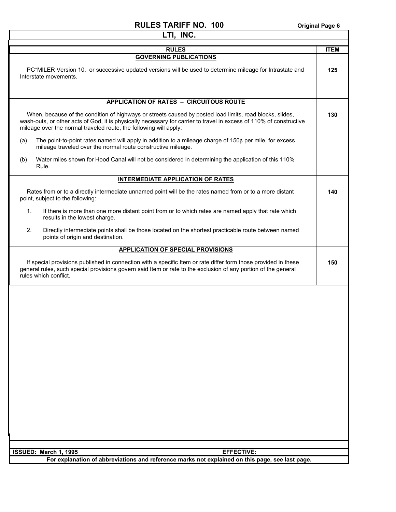| LTI, INC.                                                                                                                                                                                                                                                                                            |             |
|------------------------------------------------------------------------------------------------------------------------------------------------------------------------------------------------------------------------------------------------------------------------------------------------------|-------------|
| <b>RULES</b>                                                                                                                                                                                                                                                                                         | <b>ITEM</b> |
| <b>GOVERNING PUBLICATIONS</b>                                                                                                                                                                                                                                                                        |             |
| PC*MILER Version 10, or successive updated versions will be used to determine mileage for Intrastate and<br>Interstate movements.                                                                                                                                                                    | 125         |
| <b>APPLICATION OF RATES - CIRCUITOUS ROUTE</b>                                                                                                                                                                                                                                                       |             |
| When, because of the condition of highways or streets caused by posted load limits, road blocks, slides,<br>wash-outs, or other acts of God, it is physically necessary for carrier to travel in excess of 110% of constructive<br>mileage over the normal traveled route, the following will apply: | 130         |
| The point-to-point rates named will apply in addition to a mileage charge of $150¢$ per mile, for excess<br>(a)<br>mileage traveled over the normal route constructive mileage.                                                                                                                      |             |
| Water miles shown for Hood Canal will not be considered in determining the application of this 110%<br>(b)<br>Rule.                                                                                                                                                                                  |             |
| <b>INTERMEDIATE APPLICATION OF RATES</b>                                                                                                                                                                                                                                                             |             |
| Rates from or to a directly intermediate unnamed point will be the rates named from or to a more distant<br>point, subject to the following:                                                                                                                                                         | 140         |
| 1.<br>If there is more than one more distant point from or to which rates are named apply that rate which<br>results in the lowest charge.                                                                                                                                                           |             |
| 2.<br>Directly intermediate points shall be those located on the shortest practicable route between named<br>points of origin and destination.                                                                                                                                                       |             |
| <b>APPLICATION OF SPECIAL PROVISIONS</b>                                                                                                                                                                                                                                                             |             |
| If special provisions published in connection with a specific Item or rate differ form those provided in these<br>general rules, such special provisions govern said Item or rate to the exclusion of any portion of the general<br>rules which conflict.                                            | 150         |
|                                                                                                                                                                                                                                                                                                      |             |
| ISSUED: March 1, 1995<br><b>EFFECTIVE:</b>                                                                                                                                                                                                                                                           |             |
| For explanation of abbreviations and reference marks not explained on this page, see last page.                                                                                                                                                                                                      |             |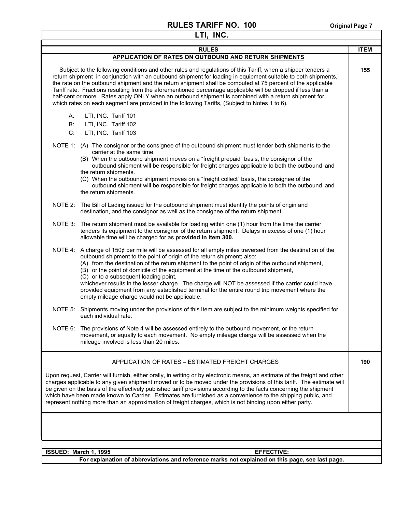| LTI, INC.                                                                                                                                                                                                                                                                                                                                                                                                                                                                                                                                                                                                                                                                            |             |  |  |
|--------------------------------------------------------------------------------------------------------------------------------------------------------------------------------------------------------------------------------------------------------------------------------------------------------------------------------------------------------------------------------------------------------------------------------------------------------------------------------------------------------------------------------------------------------------------------------------------------------------------------------------------------------------------------------------|-------------|--|--|
| <b>RULES</b>                                                                                                                                                                                                                                                                                                                                                                                                                                                                                                                                                                                                                                                                         | <b>ITEM</b> |  |  |
| APPLICATION OF RATES ON OUTBOUND AND RETURN SHIPMENTS                                                                                                                                                                                                                                                                                                                                                                                                                                                                                                                                                                                                                                |             |  |  |
| Subject to the following conditions and other rules and regulations of this Tariff, when a shipper tenders a<br>return shipment in conjunction with an outbound shipment for loading in equipment suitable to both shipments,<br>the rate on the outbound shipment and the return shipment shall be computed at 75 percent of the applicable<br>Tariff rate. Fractions resulting from the aforementioned percentage applicable will be dropped if less than a<br>half-cent or more. Rates apply ONLY when an outbound shipment is combined with a return shipment for<br>which rates on each segment are provided in the following Tariffs, (Subject to Notes 1 to 6).               | 155         |  |  |
| LTI, INC. Tariff 101<br>А:<br>LTI, INC. Tariff 102<br>B:<br>C.<br>LTI, INC. Tariff 103                                                                                                                                                                                                                                                                                                                                                                                                                                                                                                                                                                                               |             |  |  |
| NOTE 1: (A) The consignor or the consignee of the outbound shipment must tender both shipments to the<br>carrier at the same time.<br>(B) When the outbound shipment moves on a "freight prepaid" basis, the consignor of the<br>outbound shipment will be responsible for freight charges applicable to both the outbound and<br>the return shipments.<br>(C) When the outbound shipment moves on a "freight collect" basis, the consignee of the<br>outbound shipment will be responsible for freight charges applicable to both the outbound and<br>the return shipments.                                                                                                         |             |  |  |
| The Bill of Lading issued for the outbound shipment must identify the points of origin and<br>NOTE 2:<br>destination, and the consignor as well as the consignee of the return shipment.                                                                                                                                                                                                                                                                                                                                                                                                                                                                                             |             |  |  |
| The return shipment must be available for loading within one (1) hour from the time the carrier<br>NOTE 3:<br>tenders its equipment to the consignor of the return shipment. Delays in excess of one (1) hour<br>allowable time will be charged for as provided in Item 300.                                                                                                                                                                                                                                                                                                                                                                                                         |             |  |  |
| A charge of 150¢ per mile will be assessed for all empty miles traversed from the destination of the<br>NOTE 4:<br>outbound shipment to the point of origin of the return shipment; also:<br>(A) from the destination of the return shipment to the point of origin of the outbound shipment,<br>(B) or the point of domicile of the equipment at the time of the outbound shipment,<br>(C) or to a subsequent loading point,<br>whichever results in the lesser charge. The charge will NOT be assessed if the carrier could have<br>provided equipment from any established terminal for the entire round trip movement where the<br>empty mileage charge would not be applicable. |             |  |  |
| NOTE 5:<br>Shipments moving under the provisions of this Item are subject to the minimum weights specified for<br>each individual rate.                                                                                                                                                                                                                                                                                                                                                                                                                                                                                                                                              |             |  |  |
| NOTE 6: The provisions of Note 4 will be assessed entirely to the outbound movement, or the return<br>movement, or equally to each movement. No empty mileage charge will be assessed when the<br>mileage involved is less than 20 miles.                                                                                                                                                                                                                                                                                                                                                                                                                                            |             |  |  |
| APPLICATION OF RATES – ESTIMATED FREIGHT CHARGES                                                                                                                                                                                                                                                                                                                                                                                                                                                                                                                                                                                                                                     | 190         |  |  |
| Upon request, Carrier will furnish, either orally, in writing or by electronic means, an estimate of the freight and other<br>charges applicable to any given shipment moved or to be moved under the provisions of this tariff. The estimate will<br>be given on the basis of the effectively published tariff provisions according to the facts concerning the shipment<br>which have been made known to Carrier. Estimates are furnished as a convenience to the shipping public, and<br>represent nothing more than an approximation of freight charges, which is not binding upon either party.                                                                                 |             |  |  |
|                                                                                                                                                                                                                                                                                                                                                                                                                                                                                                                                                                                                                                                                                      |             |  |  |
| ISSUED: March 1, 1995<br><b>EFFECTIVE:</b>                                                                                                                                                                                                                                                                                                                                                                                                                                                                                                                                                                                                                                           |             |  |  |
| For explanation of abbreviations and reference marks not explained on this page, see last page.                                                                                                                                                                                                                                                                                                                                                                                                                                                                                                                                                                                      |             |  |  |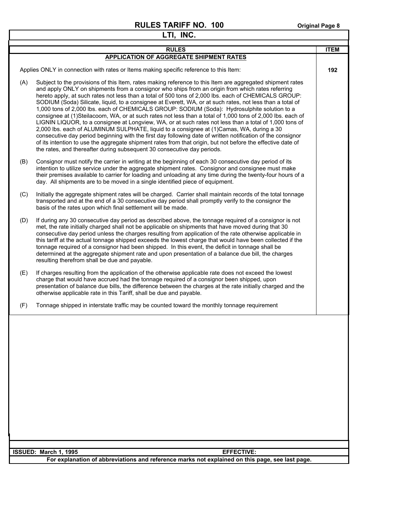٦

|              | LTI, INC.                                                                                                                                                                                                                                                                                                                                                                                                                                                                                                                                                                                                                                                                                                                                                                                                                                                                                                                                                                                                                                                                                                                                                       |     |  |  |
|--------------|-----------------------------------------------------------------------------------------------------------------------------------------------------------------------------------------------------------------------------------------------------------------------------------------------------------------------------------------------------------------------------------------------------------------------------------------------------------------------------------------------------------------------------------------------------------------------------------------------------------------------------------------------------------------------------------------------------------------------------------------------------------------------------------------------------------------------------------------------------------------------------------------------------------------------------------------------------------------------------------------------------------------------------------------------------------------------------------------------------------------------------------------------------------------|-----|--|--|
| <b>RULES</b> |                                                                                                                                                                                                                                                                                                                                                                                                                                                                                                                                                                                                                                                                                                                                                                                                                                                                                                                                                                                                                                                                                                                                                                 |     |  |  |
|              | <b>APPLICATION OF AGGREGATE SHIPMENT RATES</b>                                                                                                                                                                                                                                                                                                                                                                                                                                                                                                                                                                                                                                                                                                                                                                                                                                                                                                                                                                                                                                                                                                                  |     |  |  |
|              | Applies ONLY in connection with rates or Items making specific reference to this Item:                                                                                                                                                                                                                                                                                                                                                                                                                                                                                                                                                                                                                                                                                                                                                                                                                                                                                                                                                                                                                                                                          | 192 |  |  |
| (A)          | Subject to the provisions of this Item, rates making reference to this Item are aggregated shipment rates<br>and apply ONLY on shipments from a consignor who ships from an origin from which rates referring<br>hereto apply, at such rates not less than a total of 500 tons of 2,000 lbs. each of CHEMICALS GROUP:<br>SODIUM (Soda) Silicate, liquid, to a consignee at Everett, WA, or at such rates, not less than a total of<br>1,000 tons of 2,000 lbs. each of CHEMICALS GROUP: SODIUM (Soda): Hydrosulphite solution to a<br>consignee at (1)Steilacoom, WA, or at such rates not less than a total of 1,000 tons of 2,000 lbs. each of<br>LIGNIN LIQUOR, to a consignee at Longview, WA, or at such rates not less than a total of 1,000 tons of<br>2,000 lbs. each of ALUMINUM SULPHATE, liquid to a consignee at (1)Camas, WA, during a 30<br>consecutive day period beginning with the first day following date of written notification of the consignor<br>of its intention to use the aggregate shipment rates from that origin, but not before the effective date of<br>the rates, and thereafter during subsequent 30 consecutive day periods. |     |  |  |
| (B)          | Consignor must notify the carrier in writing at the beginning of each 30 consecutive day period of its<br>intention to utilize service under the aggregate shipment rates. Consignor and consignee must make<br>their premises available to carrier for loading and unloading at any time during the twenty-four hours of a<br>day. All shipments are to be moved in a single identified piece of equipment.                                                                                                                                                                                                                                                                                                                                                                                                                                                                                                                                                                                                                                                                                                                                                    |     |  |  |
| (C)          | Initially the aggregate shipment rates will be charged. Carrier shall maintain records of the total tonnage<br>transported and at the end of a 30 consecutive day period shall promptly verify to the consignor the<br>basis of the rates upon which final settlement will be made.                                                                                                                                                                                                                                                                                                                                                                                                                                                                                                                                                                                                                                                                                                                                                                                                                                                                             |     |  |  |
| (D)          | If during any 30 consecutive day period as described above, the tonnage required of a consignor is not<br>met, the rate initially charged shall not be applicable on shipments that have moved during that 30<br>consecutive day period unless the charges resulting from application of the rate otherwise applicable in<br>this tariff at the actual tonnage shipped exceeds the lowest charge that would have been collected if the<br>tonnage required of a consignor had been shipped. In this event, the deficit in tonnage shall be<br>determined at the aggregate shipment rate and upon presentation of a balance due bill, the charges<br>resulting therefrom shall be due and payable.                                                                                                                                                                                                                                                                                                                                                                                                                                                               |     |  |  |
| (E)          | If charges resulting from the application of the otherwise applicable rate does not exceed the lowest<br>charge that would have accrued had the tonnage required of a consignor been shipped, upon<br>presentation of balance due bills, the difference between the charges at the rate initially charged and the<br>otherwise applicable rate in this Tariff, shall be due and payable.                                                                                                                                                                                                                                                                                                                                                                                                                                                                                                                                                                                                                                                                                                                                                                        |     |  |  |
| (F)          | Tonnage shipped in interstate traffic may be counted toward the monthly tonnage requirement                                                                                                                                                                                                                                                                                                                                                                                                                                                                                                                                                                                                                                                                                                                                                                                                                                                                                                                                                                                                                                                                     |     |  |  |
|              |                                                                                                                                                                                                                                                                                                                                                                                                                                                                                                                                                                                                                                                                                                                                                                                                                                                                                                                                                                                                                                                                                                                                                                 |     |  |  |
|              | ISSUED: March 1, 1995<br><b>EFFECTIVE:</b>                                                                                                                                                                                                                                                                                                                                                                                                                                                                                                                                                                                                                                                                                                                                                                                                                                                                                                                                                                                                                                                                                                                      |     |  |  |
|              | For explanation of abbreviations and reference marks not explained on this nane, see last nane                                                                                                                                                                                                                                                                                                                                                                                                                                                                                                                                                                                                                                                                                                                                                                                                                                                                                                                                                                                                                                                                  |     |  |  |

**For explanation of abbreviations and reference marks not explained on this page, see last page.**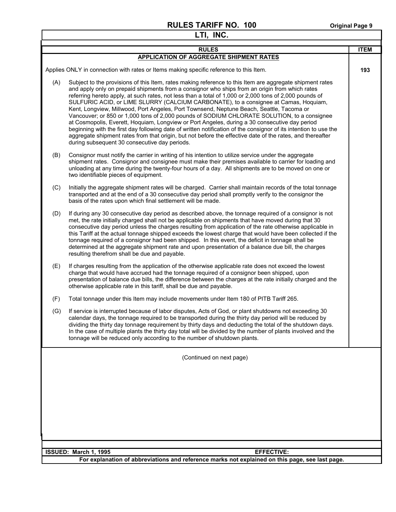Г

|     | LTI, INC.                                                                                                                                                                                                                                                                                                                                                                                                                                                                                                                                                                                                                                                                                                                                                                                                                                                                                                                                                                                  |             |  |  |
|-----|--------------------------------------------------------------------------------------------------------------------------------------------------------------------------------------------------------------------------------------------------------------------------------------------------------------------------------------------------------------------------------------------------------------------------------------------------------------------------------------------------------------------------------------------------------------------------------------------------------------------------------------------------------------------------------------------------------------------------------------------------------------------------------------------------------------------------------------------------------------------------------------------------------------------------------------------------------------------------------------------|-------------|--|--|
|     | <b>RULES</b>                                                                                                                                                                                                                                                                                                                                                                                                                                                                                                                                                                                                                                                                                                                                                                                                                                                                                                                                                                               | <b>ITEM</b> |  |  |
|     | <b>APPLICATION OF AGGREGATE SHIPMENT RATES</b>                                                                                                                                                                                                                                                                                                                                                                                                                                                                                                                                                                                                                                                                                                                                                                                                                                                                                                                                             |             |  |  |
|     | Applies ONLY in connection with rates or Items making specific reference to this Item.                                                                                                                                                                                                                                                                                                                                                                                                                                                                                                                                                                                                                                                                                                                                                                                                                                                                                                     | 193         |  |  |
| (A) | Subject to the provisions of this Item, rates making reference to this Item are aggregate shipment rates<br>and apply only on prepaid shipments from a consignor who ships from an origin from which rates<br>referring hereto apply, at such rates, not less than a total of 1,000 or 2,000 tons of 2,000 pounds of<br>SULFURIC ACID, or LIME SLURRY (CALCIUM CARBONATE), to a consignee at Camas, Hoquiam,<br>Kent, Longview, Millwood, Port Angeles, Port Townsend, Neptune Beach, Seattle, Tacoma or<br>Vancouver; or 850 or 1,000 tons of 2,000 pounds of SODIUM CHLORATE SOLUTION, to a consignee<br>at Cosmopolis, Everett, Hoquiam, Longview or Port Angeles, during a 30 consecutive day period<br>beginning with the first day following date of written notification of the consignor of its intention to use the<br>aggregate shipment rates from that origin, but not before the effective date of the rates, and thereafter<br>during subsequent 30 consecutive day periods. |             |  |  |
| (B) | Consignor must notify the carrier in writing of his intention to utilize service under the aggregate<br>shipment rates. Consignor and consignee must make their premises available to carrier for loading and<br>unloading at any time during the twenty-four hours of a day. All shipments are to be moved on one or<br>two identifiable pieces of equipment.                                                                                                                                                                                                                                                                                                                                                                                                                                                                                                                                                                                                                             |             |  |  |
| (C) | Initially the aggregate shipment rates will be charged. Carrier shall maintain records of the total tonnage<br>transported and at the end of a 30 consecutive day period shall promptly verify to the consignor the<br>basis of the rates upon which final settlement will be made.                                                                                                                                                                                                                                                                                                                                                                                                                                                                                                                                                                                                                                                                                                        |             |  |  |
| (D) | If during any 30 consecutive day period as described above, the tonnage required of a consignor is not<br>met, the rate initially charged shall not be applicable on shipments that have moved during that 30<br>consecutive day period unless the charges resulting from application of the rate otherwise applicable in<br>this Tariff at the actual tonnage shipped exceeds the lowest charge that would have been collected if the<br>tonnage required of a consignor had been shipped. In this event, the deficit in tonnage shall be<br>determined at the aggregate shipment rate and upon presentation of a balance due bill, the charges<br>resulting therefrom shall be due and payable.                                                                                                                                                                                                                                                                                          |             |  |  |
| (E) | If charges resulting from the application of the otherwise applicable rate does not exceed the lowest<br>charge that would have accrued had the tonnage required of a consignor been shipped, upon<br>presentation of balance due bills, the difference between the charges at the rate initially charged and the<br>otherwise applicable rate in this tariff, shall be due and payable.                                                                                                                                                                                                                                                                                                                                                                                                                                                                                                                                                                                                   |             |  |  |
| (F) | Total tonnage under this Item may include movements under Item 180 of PITB Tariff 265.                                                                                                                                                                                                                                                                                                                                                                                                                                                                                                                                                                                                                                                                                                                                                                                                                                                                                                     |             |  |  |
| (G) | If service is interrupted because of labor disputes, Acts of God, or plant shutdowns not exceeding 30<br>calendar days, the tonnage required to be transported during the thirty day period will be reduced by<br>dividing the thirty day tonnage requirement by thirty days and deducting the total of the shutdown days.<br>In the case of multiple plants the thirty day total will be divided by the number of plants involved and the<br>tonnage will be reduced only according to the number of shutdown plants.                                                                                                                                                                                                                                                                                                                                                                                                                                                                     |             |  |  |
|     | (Continued on next page)                                                                                                                                                                                                                                                                                                                                                                                                                                                                                                                                                                                                                                                                                                                                                                                                                                                                                                                                                                   |             |  |  |
|     |                                                                                                                                                                                                                                                                                                                                                                                                                                                                                                                                                                                                                                                                                                                                                                                                                                                                                                                                                                                            |             |  |  |
|     | <b>EFFECTIVE:</b><br>ISSUED: March 1, 1995                                                                                                                                                                                                                                                                                                                                                                                                                                                                                                                                                                                                                                                                                                                                                                                                                                                                                                                                                 |             |  |  |
|     | For explanation of abbreviations and reference marks not explained on this page, see last page.                                                                                                                                                                                                                                                                                                                                                                                                                                                                                                                                                                                                                                                                                                                                                                                                                                                                                            |             |  |  |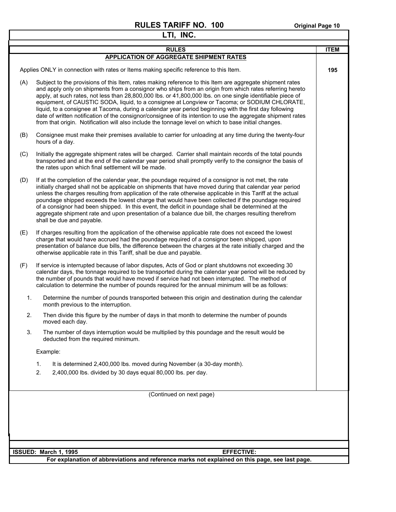٦

|     | LTI, INC.                                                                                                                                                                                                                                                                                                                                                                                                                                                                                                                                                                                                                                                                                                                                                            |             |
|-----|----------------------------------------------------------------------------------------------------------------------------------------------------------------------------------------------------------------------------------------------------------------------------------------------------------------------------------------------------------------------------------------------------------------------------------------------------------------------------------------------------------------------------------------------------------------------------------------------------------------------------------------------------------------------------------------------------------------------------------------------------------------------|-------------|
|     | <b>RULES</b>                                                                                                                                                                                                                                                                                                                                                                                                                                                                                                                                                                                                                                                                                                                                                         | <b>ITEM</b> |
|     | <b>APPLICATION OF AGGREGATE SHIPMENT RATES</b>                                                                                                                                                                                                                                                                                                                                                                                                                                                                                                                                                                                                                                                                                                                       |             |
|     | Applies ONLY in connection with rates or Items making specific reference to this Item.                                                                                                                                                                                                                                                                                                                                                                                                                                                                                                                                                                                                                                                                               | 195         |
| (A) | Subject to the provisions of this Item, rates making reference to this Item are aggregate shipment rates<br>and apply only on shipments from a consignor who ships from an origin from which rates referring hereto<br>apply, at such rates, not less than 28,800,000 lbs. or 41,800,000 lbs. on one single identifiable piece of<br>equipment, of CAUSTIC SODA, liquid, to a consignee at Longview or Tacoma; or SODIUM CHLORATE,<br>liquid, to a consignee at Tacoma, during a calendar year period beginning with the first day following<br>date of written notification of the consignor/consignee of its intention to use the aggregate shipment rates<br>from that origin. Notification will also include the tonnage level on which to base initial changes. |             |
| (B) | Consignee must make their premises available to carrier for unloading at any time during the twenty-four<br>hours of a day.                                                                                                                                                                                                                                                                                                                                                                                                                                                                                                                                                                                                                                          |             |
| (C) | Initially the aggregate shipment rates will be charged. Carrier shall maintain records of the total pounds<br>transported and at the end of the calendar year period shall promptly verify to the consignor the basis of<br>the rates upon which final settlement will be made.                                                                                                                                                                                                                                                                                                                                                                                                                                                                                      |             |
| (D) | If at the completion of the calendar year, the poundage required of a consignor is not met, the rate<br>initially charged shall not be applicable on shipments that have moved during that calendar year period<br>unless the charges resulting from application of the rate otherwise applicable in this Tariff at the actual<br>poundage shipped exceeds the lowest charge that would have been collected if the poundage required<br>of a consignor had been shipped. In this event, the deficit in poundage shall be determined at the<br>aggregate shipment rate and upon presentation of a balance due bill, the charges resulting therefrom<br>shall be due and payable.                                                                                      |             |
| (E) | If charges resulting from the application of the otherwise applicable rate does not exceed the lowest<br>charge that would have accrued had the poundage required of a consignor been shipped, upon<br>presentation of balance due bills, the difference between the charges at the rate initially charged and the<br>otherwise applicable rate in this Tariff, shall be due and payable.                                                                                                                                                                                                                                                                                                                                                                            |             |
| (F) | If service is interrupted because of labor disputes, Acts of God or plant shutdowns not exceeding 30<br>calendar days, the tonnage required to be transported during the calendar year period will be reduced by<br>the number of pounds that would have moved if service had not been interrupted. The method of<br>calculation to determine the number of pounds required for the annual minimum will be as follows:                                                                                                                                                                                                                                                                                                                                               |             |
| 1.  | Determine the number of pounds transported between this origin and destination during the calendar<br>month previous to the interruption.                                                                                                                                                                                                                                                                                                                                                                                                                                                                                                                                                                                                                            |             |
| 2.  | Then divide this figure by the number of days in that month to determine the number of pounds<br>moved each day.                                                                                                                                                                                                                                                                                                                                                                                                                                                                                                                                                                                                                                                     |             |
| 3.  | The number of days interruption would be multiplied by this poundage and the result would be<br>deducted from the required minimum.                                                                                                                                                                                                                                                                                                                                                                                                                                                                                                                                                                                                                                  |             |
|     | Example:                                                                                                                                                                                                                                                                                                                                                                                                                                                                                                                                                                                                                                                                                                                                                             |             |
|     | 1.<br>It is determined 2,400,000 lbs. moved during November (a 30-day month).                                                                                                                                                                                                                                                                                                                                                                                                                                                                                                                                                                                                                                                                                        |             |
|     | 2.<br>2,400,000 lbs. divided by 30 days equal 80,000 lbs. per day.                                                                                                                                                                                                                                                                                                                                                                                                                                                                                                                                                                                                                                                                                                   |             |
|     |                                                                                                                                                                                                                                                                                                                                                                                                                                                                                                                                                                                                                                                                                                                                                                      |             |
|     | (Continued on next page)                                                                                                                                                                                                                                                                                                                                                                                                                                                                                                                                                                                                                                                                                                                                             |             |
|     |                                                                                                                                                                                                                                                                                                                                                                                                                                                                                                                                                                                                                                                                                                                                                                      |             |
|     |                                                                                                                                                                                                                                                                                                                                                                                                                                                                                                                                                                                                                                                                                                                                                                      |             |
|     |                                                                                                                                                                                                                                                                                                                                                                                                                                                                                                                                                                                                                                                                                                                                                                      |             |
|     |                                                                                                                                                                                                                                                                                                                                                                                                                                                                                                                                                                                                                                                                                                                                                                      |             |
|     | ISSUED: March 1, 1995<br><b>EFFECTIVE:</b>                                                                                                                                                                                                                                                                                                                                                                                                                                                                                                                                                                                                                                                                                                                           |             |
|     | For explanation of abbreviations and reference marks not explained on this page, see last page.                                                                                                                                                                                                                                                                                                                                                                                                                                                                                                                                                                                                                                                                      |             |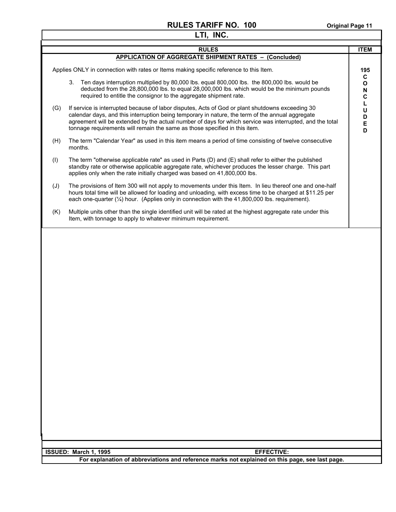|     | LTI, INC.                                                                                                                                                                                                                                                                                                                                                                                      |                                  |
|-----|------------------------------------------------------------------------------------------------------------------------------------------------------------------------------------------------------------------------------------------------------------------------------------------------------------------------------------------------------------------------------------------------|----------------------------------|
|     | <b>RULES</b>                                                                                                                                                                                                                                                                                                                                                                                   | <b>ITEM</b>                      |
|     | <b>APPLICATION OF AGGREGATE SHIPMENT RATES - (Concluded)</b>                                                                                                                                                                                                                                                                                                                                   |                                  |
|     | Applies ONLY in connection with rates or Items making specific reference to this Item.                                                                                                                                                                                                                                                                                                         | 195<br>C                         |
|     | Ten days interruption multiplied by 80,000 lbs. equal 800,000 lbs. the 800,000 lbs. would be<br>3.<br>deducted from the 28,800,000 lbs. to equal 28,000,000 lbs. which would be the minimum pounds<br>required to entitle the consignor to the aggregate shipment rate.                                                                                                                        | $\mathbf{o}$<br>N<br>$\mathbf c$ |
| (G) | If service is interrupted because of labor disputes, Acts of God or plant shutdowns exceeding 30<br>calendar days, and this interruption being temporary in nature, the term of the annual aggregate<br>agreement will be extended by the actual number of days for which service was interrupted, and the total<br>tonnage requirements will remain the same as those specified in this item. | L<br>U<br>D<br>E<br>D            |
| (H) | The term "Calendar Year" as used in this item means a period of time consisting of twelve consecutive<br>months.                                                                                                                                                                                                                                                                               |                                  |
| (1) | The term "otherwise applicable rate" as used in Parts (D) and (E) shall refer to either the published<br>standby rate or otherwise applicable aggregate rate, whichever produces the lesser charge. This part<br>applies only when the rate initially charged was based on 41,800,000 lbs.                                                                                                     |                                  |
| (J) | The provisions of Item 300 will not apply to movements under this Item. In lieu thereof one and one-half<br>hours total time will be allowed for loading and unloading, with excess time to be charged at \$11.25 per<br>each one-quarter $(\frac{1}{4})$ hour. (Applies only in connection with the 41,800,000 lbs. requirement).                                                             |                                  |
| (K) | Multiple units other than the single identified unit will be rated at the highest aggregate rate under this<br>Item, with tonnage to apply to whatever minimum requirement.                                                                                                                                                                                                                    |                                  |
|     |                                                                                                                                                                                                                                                                                                                                                                                                |                                  |
|     | ISSUED: March 1, 1995<br><b>EFFECTIVE:</b>                                                                                                                                                                                                                                                                                                                                                     |                                  |
|     | For explanation of abbreviations and reference marks not explained on this page, see last page.                                                                                                                                                                                                                                                                                                |                                  |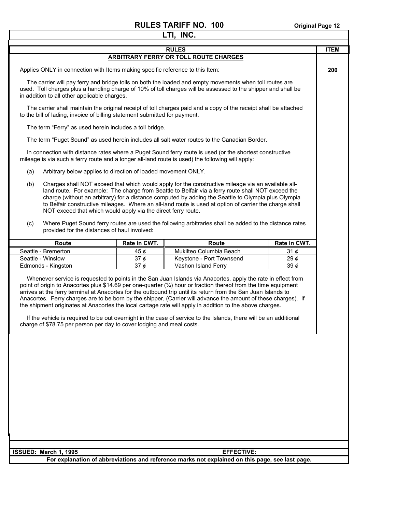I

٦

|                                                                                                                                                                                                                                                                                                                                                                                                                                                                                                                                                                                                                                                                                                                                                                                |              | LTI, INC.                                                                                                                                                                                                                |              |             |
|--------------------------------------------------------------------------------------------------------------------------------------------------------------------------------------------------------------------------------------------------------------------------------------------------------------------------------------------------------------------------------------------------------------------------------------------------------------------------------------------------------------------------------------------------------------------------------------------------------------------------------------------------------------------------------------------------------------------------------------------------------------------------------|--------------|--------------------------------------------------------------------------------------------------------------------------------------------------------------------------------------------------------------------------|--------------|-------------|
| <b>RULES</b>                                                                                                                                                                                                                                                                                                                                                                                                                                                                                                                                                                                                                                                                                                                                                                   |              |                                                                                                                                                                                                                          |              | <b>ITEM</b> |
|                                                                                                                                                                                                                                                                                                                                                                                                                                                                                                                                                                                                                                                                                                                                                                                |              | <b>ARBITRARY FERRY OR TOLL ROUTE CHARGES</b>                                                                                                                                                                             |              |             |
| Applies ONLY in connection with Items making specific reference to this Item:                                                                                                                                                                                                                                                                                                                                                                                                                                                                                                                                                                                                                                                                                                  |              |                                                                                                                                                                                                                          |              | 200         |
| in addition to all other applicable charges.                                                                                                                                                                                                                                                                                                                                                                                                                                                                                                                                                                                                                                                                                                                                   |              | The carrier will pay ferry and bridge tolls on both the loaded and empty movements when toll routes are<br>used. Toll charges plus a handling charge of 10% of toll charges will be assessed to the shipper and shall be |              |             |
| to the bill of lading, invoice of billing statement submitted for payment.                                                                                                                                                                                                                                                                                                                                                                                                                                                                                                                                                                                                                                                                                                     |              | The carrier shall maintain the original receipt of toll charges paid and a copy of the receipt shall be attached                                                                                                         |              |             |
| The term "Ferry" as used herein includes a toll bridge.                                                                                                                                                                                                                                                                                                                                                                                                                                                                                                                                                                                                                                                                                                                        |              |                                                                                                                                                                                                                          |              |             |
|                                                                                                                                                                                                                                                                                                                                                                                                                                                                                                                                                                                                                                                                                                                                                                                |              | The term "Puget Sound" as used herein includes all salt water routes to the Canadian Border.                                                                                                                             |              |             |
| mileage is via such a ferry route and a longer all-land route is used) the following will apply:                                                                                                                                                                                                                                                                                                                                                                                                                                                                                                                                                                                                                                                                               |              | In connection with distance rates where a Puget Sound ferry route is used (or the shortest constructive                                                                                                                  |              |             |
| Arbitrary below applies to direction of loaded movement ONLY.<br>(a)                                                                                                                                                                                                                                                                                                                                                                                                                                                                                                                                                                                                                                                                                                           |              |                                                                                                                                                                                                                          |              |             |
| (b)<br>Charges shall NOT exceed that which would apply for the constructive mileage via an available all-<br>land route. For example: The charge from Seattle to Belfair via a ferry route shall NOT exceed the<br>charge (without an arbitrary) for a distance computed by adding the Seattle to Olympia plus Olympia<br>to Belfair constructive mileages. Where an all-land route is used at option of carrier the charge shall<br>NOT exceed that which would apply via the direct ferry route.                                                                                                                                                                                                                                                                             |              |                                                                                                                                                                                                                          |              |             |
| (c)<br>provided for the distances of haul involved:                                                                                                                                                                                                                                                                                                                                                                                                                                                                                                                                                                                                                                                                                                                            |              | Where Puget Sound ferry routes are used the following arbitraries shall be added to the distance rates                                                                                                                   |              |             |
| <b>Route</b>                                                                                                                                                                                                                                                                                                                                                                                                                                                                                                                                                                                                                                                                                                                                                                   | Rate in CWT. | Route                                                                                                                                                                                                                    | Rate in CWT. |             |
| Seattle - Bremerton                                                                                                                                                                                                                                                                                                                                                                                                                                                                                                                                                                                                                                                                                                                                                            | 45 $\phi$    | Mukilteo Columbia Beach                                                                                                                                                                                                  | 31 $\phi$    |             |
| Seattle - Winslow                                                                                                                                                                                                                                                                                                                                                                                                                                                                                                                                                                                                                                                                                                                                                              | 37 $\phi$    | Keystone - Port Townsend                                                                                                                                                                                                 | 29 $\phi$    |             |
| Edmonds - Kingston                                                                                                                                                                                                                                                                                                                                                                                                                                                                                                                                                                                                                                                                                                                                                             | 37 $\phi$    | Vashon Island Ferry                                                                                                                                                                                                      | 390c         |             |
| Whenever service is requested to points in the San Juan Islands via Anacortes, apply the rate in effect from<br>point of origin to Anacortes plus \$14.69 per one-quarter (1/4) hour or fraction thereof from the time equipment<br>arrives at the ferry terminal at Anacortes for the outbound trip until its return from the San Juan Islands to<br>Anacortes. Ferry charges are to be born by the shipper, (Carrier will advance the amount of these charges). If<br>the shipment originates at Anacortes the local cartage rate will apply in addition to the above charges.<br>If the vehicle is required to be out overnight in the case of service to the Islands, there will be an additional<br>charge of \$78.75 per person per day to cover lodging and meal costs. |              |                                                                                                                                                                                                                          |              |             |
|                                                                                                                                                                                                                                                                                                                                                                                                                                                                                                                                                                                                                                                                                                                                                                                |              |                                                                                                                                                                                                                          |              |             |
| ISSUED: March 1, 1995                                                                                                                                                                                                                                                                                                                                                                                                                                                                                                                                                                                                                                                                                                                                                          |              | <b>EFFECTIVE:</b>                                                                                                                                                                                                        |              |             |
|                                                                                                                                                                                                                                                                                                                                                                                                                                                                                                                                                                                                                                                                                                                                                                                |              | For explanation of abbreviations and reference marks not explained on this page, see last page.                                                                                                                          |              |             |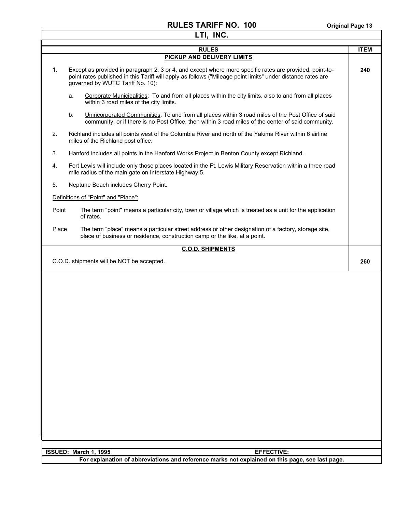#### **RULES TARIFF NO. 100** Original Page 13 **LTI, INC.**

| LTI, INC. |                                                                                                                                                                                                                                                            |             |  |
|-----------|------------------------------------------------------------------------------------------------------------------------------------------------------------------------------------------------------------------------------------------------------------|-------------|--|
|           | <b>RULES</b>                                                                                                                                                                                                                                               | <b>ITEM</b> |  |
|           | <b>PICKUP AND DELIVERY LIMITS</b>                                                                                                                                                                                                                          |             |  |
| 1.        | Except as provided in paragraph 2, 3 or 4, and except where more specific rates are provided, point-to-<br>point rates published in this Tariff will apply as follows ("Mileage point limits" under distance rates are<br>governed by WUTC Tariff No. 10): | 240         |  |
|           | Corporate Municipalities: To and from all places within the city limits, also to and from all places<br>a.<br>within 3 road miles of the city limits.                                                                                                      |             |  |
|           | Unincorporated Communities: To and from all places within 3 road miles of the Post Office of said<br>b.<br>community, or if there is no Post Office, then within 3 road miles of the center of said community.                                             |             |  |
| 2.        | Richland includes all points west of the Columbia River and north of the Yakima River within 6 airline<br>miles of the Richland post office.                                                                                                               |             |  |
| 3.        | Hanford includes all points in the Hanford Works Project in Benton County except Richland.                                                                                                                                                                 |             |  |
| 4.        | Fort Lewis will include only those places located in the Ft. Lewis Military Reservation within a three road<br>mile radius of the main gate on Interstate Highway 5.                                                                                       |             |  |
| 5.        | Neptune Beach includes Cherry Point.                                                                                                                                                                                                                       |             |  |
|           | Definitions of "Point" and "Place":                                                                                                                                                                                                                        |             |  |
|           | Point<br>The term "point" means a particular city, town or village which is treated as a unit for the application<br>of rates.                                                                                                                             |             |  |
| Place     | The term "place" means a particular street address or other designation of a factory, storage site,<br>place of business or residence, construction camp or the like, at a point.                                                                          |             |  |
|           | <b>C.O.D. SHIPMENTS</b>                                                                                                                                                                                                                                    |             |  |
|           | C.O.D. shipments will be NOT be accepted.                                                                                                                                                                                                                  | 260         |  |
|           |                                                                                                                                                                                                                                                            |             |  |
|           |                                                                                                                                                                                                                                                            |             |  |
|           | <b>EFFECTIVE:</b><br>ISSUED: March 1, 1995<br>For explanation of abbreviations and reference marks not explained on this page, see last page.                                                                                                              |             |  |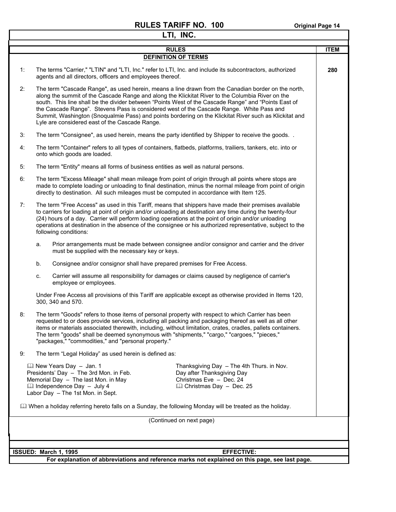|    |    | LTI, INC.                                                                                                                                                                                                                                                                                                                                                                                                                                                                                                                                                               |             |
|----|----|-------------------------------------------------------------------------------------------------------------------------------------------------------------------------------------------------------------------------------------------------------------------------------------------------------------------------------------------------------------------------------------------------------------------------------------------------------------------------------------------------------------------------------------------------------------------------|-------------|
|    |    | <b>RULES</b>                                                                                                                                                                                                                                                                                                                                                                                                                                                                                                                                                            | <b>ITEM</b> |
|    |    | <b>DEFINITION OF TERMS</b>                                                                                                                                                                                                                                                                                                                                                                                                                                                                                                                                              |             |
| 1: |    | The terms "Carrier," "LTIN" and "LTI, Inc." refer to LTI, Inc. and include its subcontractors, authorized<br>agents and all directors, officers and employees thereof.                                                                                                                                                                                                                                                                                                                                                                                                  | 280         |
| 2: |    | The term "Cascade Range", as used herein, means a line drawn from the Canadian border on the north,<br>along the summit of the Cascade Range and along the Klickitat River to the Columbia River on the<br>south. This line shall be the divider between "Points West of the Cascade Range" and "Points East of<br>the Cascade Range". Stevens Pass is considered west of the Cascade Range. White Pass and<br>Summit, Washington (Snoqualmie Pass) and points bordering on the Klickitat River such as Klickitat and<br>Lyle are considered east of the Cascade Range. |             |
| 3: |    | The term "Consignee", as used herein, means the party identified by Shipper to receive the goods. .                                                                                                                                                                                                                                                                                                                                                                                                                                                                     |             |
| 4: |    | The term "Container" refers to all types of containers, flatbeds, platforms, trailiers, tankers, etc. into or<br>onto which goods are loaded.                                                                                                                                                                                                                                                                                                                                                                                                                           |             |
| 5: |    | The term "Entity" means all forms of business entities as well as natural persons.                                                                                                                                                                                                                                                                                                                                                                                                                                                                                      |             |
| 6: |    | The term "Excess Mileage" shall mean mileage from point of origin through all points where stops are<br>made to complete loading or unloading to final destination, minus the normal mileage from point of origin<br>directly to destination. All such mileages must be computed in accordance with Item 125.                                                                                                                                                                                                                                                           |             |
| 7: |    | The term "Free Access" as used in this Tariff, means that shippers have made their premises available<br>to carriers for loading at point of origin and/or unloading at destination any time during the twenty-four<br>(24) hours of a day. Carrier will perform loading operations at the point of origin and/or unloading<br>operations at destination in the absence of the consignee or his authorized representative, subject to the<br>following conditions:                                                                                                      |             |
|    | a. | Prior arrangements must be made between consignee and/or consignor and carrier and the driver<br>must be supplied with the necessary key or keys.                                                                                                                                                                                                                                                                                                                                                                                                                       |             |
|    | b. | Consignee and/or consignor shall have prepared premises for Free Access.                                                                                                                                                                                                                                                                                                                                                                                                                                                                                                |             |
|    | c. | Carrier will assume all responsibility for damages or claims caused by negligence of carrier's<br>employee or employees.                                                                                                                                                                                                                                                                                                                                                                                                                                                |             |
|    |    | Under Free Access all provisions of this Tariff are applicable except as otherwise provided in Items 120,<br>300, 340 and 570.                                                                                                                                                                                                                                                                                                                                                                                                                                          |             |
| 8: |    | The term "Goods" refers to those items of personal property with respect to which Carrier has been<br>requested to or does provide services, including all packing and packaging thereof as well as all other<br>items or materials associated therewith, including, without limitation, crates, cradles, pallets containers.<br>The term "goods" shall be deemed synonymous with "shipments," "cargo," "cargoes," "pieces,"<br>"packages," "commodities," and "personal property."                                                                                     |             |
| 9: |    | The term "Legal Holiday" as used herein is defined as:                                                                                                                                                                                                                                                                                                                                                                                                                                                                                                                  |             |
|    |    | <b>Ell New Years Day - Jan. 1</b><br>Thanksgiving Day - The 4th Thurs. in Nov.<br>Presidents' Day - The 3rd Mon. in Feb.<br>Day after Thanksgiving Day<br>Memorial Day - The last Mon. in May<br>Christmas Eve - Dec. 24<br>Ill Independence Day - July 4<br><b>Q</b> Christmas Day - Dec. 25<br>Labor Day - The 1st Mon. in Sept.                                                                                                                                                                                                                                      |             |
|    |    | When a holiday referring hereto falls on a Sunday, the following Monday will be treated as the holiday.                                                                                                                                                                                                                                                                                                                                                                                                                                                                 |             |
|    |    | (Continued on next page)                                                                                                                                                                                                                                                                                                                                                                                                                                                                                                                                                |             |
|    |    |                                                                                                                                                                                                                                                                                                                                                                                                                                                                                                                                                                         |             |
|    |    | ISSUED: March 1, 1995<br><b>EFFECTIVE:</b>                                                                                                                                                                                                                                                                                                                                                                                                                                                                                                                              |             |
|    |    | For explanation of abbreviations and reference marks not explained on this page, see last page.                                                                                                                                                                                                                                                                                                                                                                                                                                                                         |             |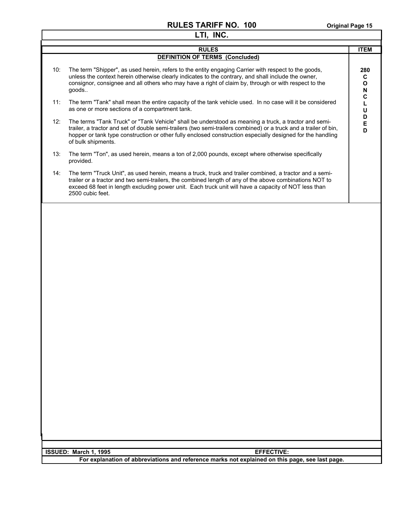| LTI, INC. |                                                                                                                                                                                                                                                                                                                                                              |                               |  |
|-----------|--------------------------------------------------------------------------------------------------------------------------------------------------------------------------------------------------------------------------------------------------------------------------------------------------------------------------------------------------------------|-------------------------------|--|
|           | <b>RULES</b>                                                                                                                                                                                                                                                                                                                                                 | <b>ITEM</b>                   |  |
|           | <b>DEFINITION OF TERMS (Concluded)</b>                                                                                                                                                                                                                                                                                                                       |                               |  |
| 10:       | The term "Shipper", as used herein, refers to the entity engaging Carrier with respect to the goods,<br>unless the context herein otherwise clearly indicates to the contrary, and shall include the owner,<br>consignor, consignee and all others who may have a right of claim by, through or with respect to the<br>goods                                 | 280<br>C<br>$\mathbf{o}$<br>N |  |
| 11:       | The term "Tank" shall mean the entire capacity of the tank vehicle used. In no case will it be considered<br>as one or more sections of a compartment tank.                                                                                                                                                                                                  | C<br>Г<br>U                   |  |
| 12:       | The terms "Tank Truck" or "Tank Vehicle" shall be understood as meaning a truck, a tractor and semi-<br>trailer, a tractor and set of double semi-trailers (two semi-trailers combined) or a truck and a trailer of bin,<br>hopper or tank type construction or other fully enclosed construction especially designed for the handling<br>of bulk shipments. | D<br>E<br>D                   |  |
| 13:       | The term "Ton", as used herein, means a ton of 2,000 pounds, except where otherwise specifically<br>provided.                                                                                                                                                                                                                                                |                               |  |
| 14:       | The term "Truck Unit", as used herein, means a truck, truck and trailer combined, a tractor and a semi-<br>trailer or a tractor and two semi-trailers, the combined length of any of the above combinations NOT to<br>exceed 68 feet in length excluding power unit. Each truck unit will have a capacity of NOT less than<br>2500 cubic feet.               |                               |  |
|           |                                                                                                                                                                                                                                                                                                                                                              |                               |  |
|           | ISSUED: March 1, 1995<br><b>EFFECTIVE:</b>                                                                                                                                                                                                                                                                                                                   |                               |  |
|           | For explanation of abbreviations and reference marks not explained on this page, see last page.                                                                                                                                                                                                                                                              |                               |  |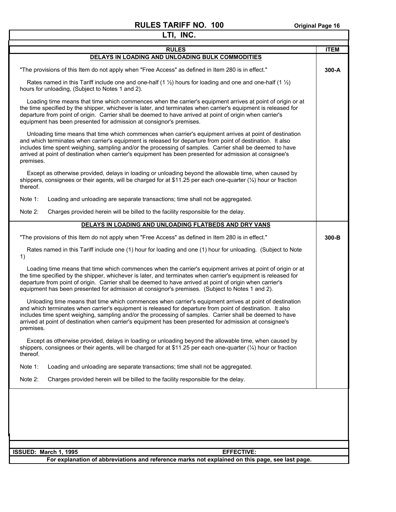٦

| LTI, INC.                                                                                                                                                                                                                                                                                                                                                                                                                                                  |             |  |
|------------------------------------------------------------------------------------------------------------------------------------------------------------------------------------------------------------------------------------------------------------------------------------------------------------------------------------------------------------------------------------------------------------------------------------------------------------|-------------|--|
| <b>RULES</b>                                                                                                                                                                                                                                                                                                                                                                                                                                               | <b>ITEM</b> |  |
| DELAYS IN LOADING AND UNLOADING BULK COMMODITIES                                                                                                                                                                                                                                                                                                                                                                                                           |             |  |
| "The provisions of this Item do not apply when "Free Access" as defined in Item 280 is in effect."                                                                                                                                                                                                                                                                                                                                                         | 300-A       |  |
| Rates named in this Tariff include one and one-half (1 $\frac{1}{2}$ ) hours for loading and one and one-half (1 $\frac{1}{2}$ )<br>hours for unloading, (Subject to Notes 1 and 2).                                                                                                                                                                                                                                                                       |             |  |
| Loading time means that time which commences when the carrier's equipment arrives at point of origin or at<br>the time specified by the shipper, whichever is later, and terminates when carrier's equipment is released for<br>departure from point of origin. Carrier shall be deemed to have arrived at point of origin when carrier's<br>equipment has been presented for admission at consignor's premises.                                           |             |  |
| Unloading time means that time which commences when carrier's equipment arrives at point of destination<br>and which terminates when carrier's equipment is released for departure from point of destination. It also<br>includes time spent weighing, sampling and/or the processing of samples. Carrier shall be deemed to have<br>arrived at point of destination when carrier's equipment has been presented for admission at consignee's<br>premises. |             |  |
| Except as otherwise provided, delays in loading or unloading beyond the allowable time, when caused by<br>shippers, consignees or their agents, will be charged for at \$11.25 per each one-quarter $(\frac{1}{4})$ hour or fraction<br>thereof.                                                                                                                                                                                                           |             |  |
| Note 1:<br>Loading and unloading are separate transactions; time shall not be aggregated.                                                                                                                                                                                                                                                                                                                                                                  |             |  |
| Note 2:<br>Charges provided herein will be billed to the facility responsible for the delay.                                                                                                                                                                                                                                                                                                                                                               |             |  |
| DELAYS IN LOADING AND UNLOADING FLATBEDS AND DRY VANS                                                                                                                                                                                                                                                                                                                                                                                                      |             |  |
| "The provisions of this Item do not apply when "Free Access" as defined in Item 280 is in effect."                                                                                                                                                                                                                                                                                                                                                         | $300-B$     |  |
| Rates named in this Tariff include one (1) hour for loading and one (1) hour for unloading. (Subject to Note<br>1)                                                                                                                                                                                                                                                                                                                                         |             |  |
| Loading time means that time which commences when the carrier's equipment arrives at point of origin or at<br>the time specified by the shipper, whichever is later, and terminates when carrier's equipment is released for<br>departure from point of origin. Carrier shall be deemed to have arrived at point of origin when carrier's<br>equipment has been presented for admission at consignor's premises. (Subject to Notes 1 and 2).               |             |  |
| Unloading time means that time which commences when carrier's equipment arrives at point of destination<br>and which terminates when carrier's equipment is released for departure from point of destination. It also<br>includes time spent weighing, sampling and/or the processing of samples. Carrier shall be deemed to have<br>arrived at point of destination when carrier's equipment has been presented for admission at consignee's<br>premises. |             |  |
| Except as otherwise provided, delays in loading or unloading beyond the allowable time, when caused by<br>shippers, consignees or their agents, will be charged for at \$11.25 per each one-quarter $(\frac{1}{4})$ hour or fraction<br>thereof.                                                                                                                                                                                                           |             |  |
| Note 1:<br>Loading and unloading are separate transactions; time shall not be aggregated.                                                                                                                                                                                                                                                                                                                                                                  |             |  |
| Charges provided herein will be billed to the facility responsible for the delay.<br>Note 2:                                                                                                                                                                                                                                                                                                                                                               |             |  |
|                                                                                                                                                                                                                                                                                                                                                                                                                                                            |             |  |
|                                                                                                                                                                                                                                                                                                                                                                                                                                                            |             |  |
| <b>EFFECTIVE:</b><br>ISSUED: March 1, 1995<br>For explanation of abbreviations and reference marks not explained on this page, see last page.                                                                                                                                                                                                                                                                                                              |             |  |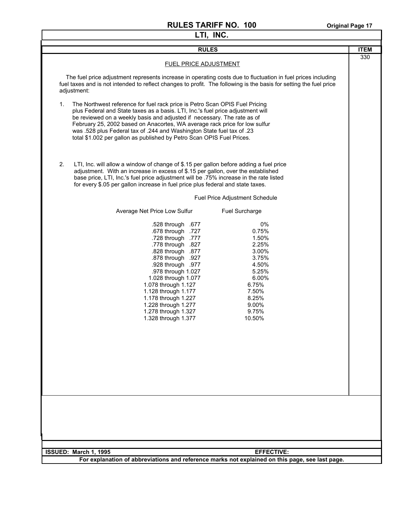| LTI, INC. |                                                                                                                                                                                                                                                                                                                                                                                                                                                                              |             |  |
|-----------|------------------------------------------------------------------------------------------------------------------------------------------------------------------------------------------------------------------------------------------------------------------------------------------------------------------------------------------------------------------------------------------------------------------------------------------------------------------------------|-------------|--|
|           | <b>RULES</b>                                                                                                                                                                                                                                                                                                                                                                                                                                                                 | <b>ITEM</b> |  |
|           | FUEL PRICE ADJUSTMENT                                                                                                                                                                                                                                                                                                                                                                                                                                                        | 330         |  |
|           | The fuel price adjustment represents increase in operating costs due to fluctuation in fuel prices including<br>fuel taxes and is not intended to reflect changes to profit. The following is the basis for setting the fuel price<br>adjustment:                                                                                                                                                                                                                            |             |  |
| 1.        | The Northwest reference for fuel rack price is Petro Scan OPIS Fuel Pricing<br>plus Federal and State taxes as a basis. LTI, Inc.'s fuel price adjustment will<br>be reviewed on a weekly basis and adjusted if necessary. The rate as of<br>February 25, 2002 based on Anacortes, WA average rack price for low sulfur<br>was .528 plus Federal tax of .244 and Washington State fuel tax of .23<br>total \$1.002 per gallon as published by Petro Scan OPIS Fuel Prices.   |             |  |
| 2.        | LTI, Inc. will allow a window of change of \$.15 per gallon before adding a fuel price<br>adjustment. With an increase in excess of \$.15 per gallon, over the established<br>base price, LTI, Inc.'s fuel price adjustment will be .75% increase in the rate listed<br>for every \$.05 per gallon increase in fuel price plus federal and state taxes.                                                                                                                      |             |  |
|           | Fuel Price Adjustment Schedule                                                                                                                                                                                                                                                                                                                                                                                                                                               |             |  |
|           | Average Net Price Low Sulfur<br>Fuel Surcharge                                                                                                                                                                                                                                                                                                                                                                                                                               |             |  |
|           | .528 through .677<br>0%<br>.678 through .727<br>0.75%<br>.777. T28 through.<br>1.50%<br>2.25%<br>.778 through .827<br>3.00%<br>.828 through .877<br>.878 through .927<br>3.75%<br>4.50%<br>.928 through .977<br>.978 through 1.027<br>5.25%<br>6.00%<br>1.028 through 1.077<br>6.75%<br>1.078 through 1.127<br>7.50%<br>1.128 through 1.177<br>1.178 through 1.227<br>8.25%<br>1.228 through 1.277<br>9.00%<br>9.75%<br>1.278 through 1.327<br>10.50%<br>1.328 through 1.377 |             |  |
|           |                                                                                                                                                                                                                                                                                                                                                                                                                                                                              |             |  |
|           | ISSUED: March 1, 1995<br><b>EFFECTIVE:</b>                                                                                                                                                                                                                                                                                                                                                                                                                                   |             |  |
|           | For explanation of abbreviations and reference marks not explained on this page, see last page.                                                                                                                                                                                                                                                                                                                                                                              |             |  |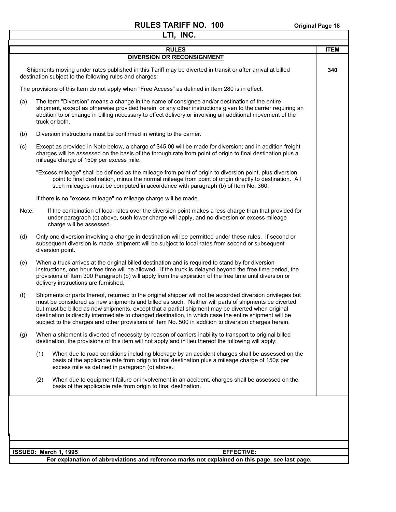|       |                                                                                                                                                                                                                               | LTI, INC.                                                                                                                                                                                                                                                                                                                                                                                                                                                                                                                                |             |
|-------|-------------------------------------------------------------------------------------------------------------------------------------------------------------------------------------------------------------------------------|------------------------------------------------------------------------------------------------------------------------------------------------------------------------------------------------------------------------------------------------------------------------------------------------------------------------------------------------------------------------------------------------------------------------------------------------------------------------------------------------------------------------------------------|-------------|
|       |                                                                                                                                                                                                                               | <b>RULES</b>                                                                                                                                                                                                                                                                                                                                                                                                                                                                                                                             | <b>ITEM</b> |
|       |                                                                                                                                                                                                                               | DIVERSION OR RECONSIGNMENT                                                                                                                                                                                                                                                                                                                                                                                                                                                                                                               |             |
|       |                                                                                                                                                                                                                               | Shipments moving under rates published in this Tariff may be diverted in transit or after arrival at billed<br>destination subject to the following rules and charges:                                                                                                                                                                                                                                                                                                                                                                   | 340         |
|       |                                                                                                                                                                                                                               | The provisions of this Item do not apply when "Free Access" as defined in Item 280 is in effect.                                                                                                                                                                                                                                                                                                                                                                                                                                         |             |
| (a)   |                                                                                                                                                                                                                               | The term "Diversion" means a change in the name of consignee and/or destination of the entire<br>shipment, except as otherwise provided herein, or any other instructions given to the carrier requiring an<br>addition to or change in billing necessary to effect delivery or involving an additional movement of the<br>truck or both.                                                                                                                                                                                                |             |
| (b)   |                                                                                                                                                                                                                               | Diversion instructions must be confirmed in writing to the carrier.                                                                                                                                                                                                                                                                                                                                                                                                                                                                      |             |
| (c)   |                                                                                                                                                                                                                               | Except as provided in Note below, a charge of \$45.00 will be made for diversion; and in addition freight<br>charges will be assessed on the basis of the through rate from point of origin to final destination plus a<br>mileage charge of 150¢ per excess mile.                                                                                                                                                                                                                                                                       |             |
|       |                                                                                                                                                                                                                               | "Excess mileage" shall be defined as the mileage from point of origin to diversion point, plus diversion<br>point to final destination, minus the normal mileage from point of origin directly to destination. All<br>such mileages must be computed in accordance with paragraph (b) of Item No. 360.                                                                                                                                                                                                                                   |             |
|       |                                                                                                                                                                                                                               | If there is no "excess mileage" no mileage charge will be made.                                                                                                                                                                                                                                                                                                                                                                                                                                                                          |             |
| Note: |                                                                                                                                                                                                                               | If the combination of local rates over the diversion point makes a less charge than that provided for<br>under paragraph (c) above, such lower charge will apply, and no diversion or excess mileage<br>charge will be assessed.                                                                                                                                                                                                                                                                                                         |             |
| (d)   | Only one diversion involving a change in destination will be permitted under these rules. If second or<br>subsequent diversion is made, shipment will be subject to local rates from second or subsequent<br>diversion point. |                                                                                                                                                                                                                                                                                                                                                                                                                                                                                                                                          |             |
| (e)   |                                                                                                                                                                                                                               | When a truck arrives at the original billed destination and is required to stand by for diversion<br>instructions, one hour free time will be allowed. If the truck is delayed beyond the free time period, the<br>provisions of Item 300 Paragraph (b) will apply from the expiration of the free time until diversion or<br>delivery instructions are furnished.                                                                                                                                                                       |             |
| (f)   |                                                                                                                                                                                                                               | Shipments or parts thereof, returned to the original shipper will not be accorded diversion privileges but<br>must be considered as new shipments and billed as such. Neither will parts of shipments be diverted<br>but must be billed as new shipments, except that a partial shipment may be diverted when original<br>destination is directly intermediate to changed destination, in which case the entire shipment will be<br>subject to the charges and other provisions of Item No. 500 in addition to diversion charges herein. |             |
| (g)   |                                                                                                                                                                                                                               | When a shipment is diverted of necessity by reason of carriers inability to transport to original billed<br>destination, the provisions of this item will not apply and in lieu thereof the following will apply:                                                                                                                                                                                                                                                                                                                        |             |
|       | (1)                                                                                                                                                                                                                           | When due to road conditions including blockage by an accident charges shall be assessed on the<br>basis of the applicable rate from origin to final destination plus a mileage charge of 150 $\rlap{/}$ per<br>excess mile as defined in paragraph (c) above.                                                                                                                                                                                                                                                                            |             |
|       | (2)                                                                                                                                                                                                                           | When due to equipment failure or involvement in an accident, charges shall be assessed on the<br>basis of the applicable rate from origin to final destination.                                                                                                                                                                                                                                                                                                                                                                          |             |
|       |                                                                                                                                                                                                                               |                                                                                                                                                                                                                                                                                                                                                                                                                                                                                                                                          |             |
|       |                                                                                                                                                                                                                               |                                                                                                                                                                                                                                                                                                                                                                                                                                                                                                                                          |             |
|       |                                                                                                                                                                                                                               |                                                                                                                                                                                                                                                                                                                                                                                                                                                                                                                                          |             |
|       |                                                                                                                                                                                                                               | ISSUED: March 1, 1995<br><b>EFFECTIVE:</b>                                                                                                                                                                                                                                                                                                                                                                                                                                                                                               |             |
|       |                                                                                                                                                                                                                               | For explanation of abbreviations and reference marks not explained on this page, see last page.                                                                                                                                                                                                                                                                                                                                                                                                                                          |             |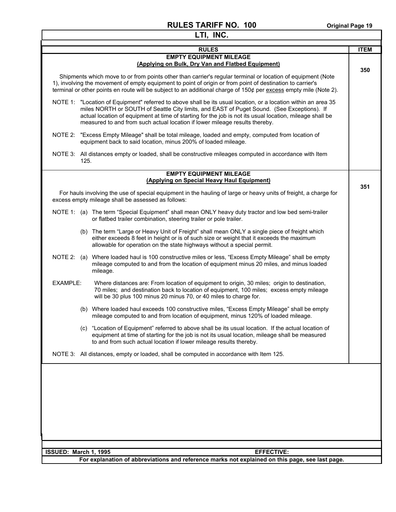| LTI, INC.                                                                                                                                                                                                                                                                                                                                                                                               |             |
|---------------------------------------------------------------------------------------------------------------------------------------------------------------------------------------------------------------------------------------------------------------------------------------------------------------------------------------------------------------------------------------------------------|-------------|
| <b>RULES</b>                                                                                                                                                                                                                                                                                                                                                                                            | <b>ITEM</b> |
| <b>EMPTY EQUIPMENT MILEAGE</b><br>(Applying on Bulk, Dry Van and Flatbed Equipment)                                                                                                                                                                                                                                                                                                                     | 350         |
| Shipments which move to or from points other than carrier's regular terminal or location of equipment (Note<br>1), involving the movement of empty equipment to point of origin or from point of destination to carrier's<br>terminal or other points en route will be subject to an additional charge of $150¢$ per excess empty mile (Note 2).                                                        |             |
| NOTE 1: "Location of Equipment" referred to above shall be its usual location, or a location within an area 35<br>miles NORTH or SOUTH of Seattle City limits, and EAST of Puget Sound. (See Exceptions). If<br>actual location of equipment at time of starting for the job is not its usual location, mileage shall be<br>measured to and from such actual location if lower mileage results thereby. |             |
| "Excess Empty Mileage" shall be total mileage, loaded and empty, computed from location of<br>NOTE 2:<br>equipment back to said location, minus 200% of loaded mileage.                                                                                                                                                                                                                                 |             |
| NOTE 3: All distances empty or loaded, shall be constructive mileages computed in accordance with Item<br>125.                                                                                                                                                                                                                                                                                          |             |
| <b>EMPTY EQUIPMENT MILEAGE</b><br>(Applying on Special Heavy Haul Equipment)                                                                                                                                                                                                                                                                                                                            |             |
| For hauls involving the use of special equipment in the hauling of large or heavy units of freight, a charge for<br>excess empty mileage shall be assessed as follows:                                                                                                                                                                                                                                  | 351         |
| NOTE 1: (a) The term "Special Equipment" shall mean ONLY heavy duty tractor and low bed semi-trailer<br>or flatbed trailer combination, steering trailer or pole trailer.                                                                                                                                                                                                                               |             |
| (b) The term "Large or Heavy Unit of Freight" shall mean ONLY a single piece of freight which<br>either exceeds 8 feet in height or is of such size or weight that it exceeds the maximum<br>allowable for operation on the state highways without a special permit.                                                                                                                                    |             |
| NOTE 2: (a) Where loaded haul is 100 constructive miles or less, "Excess Empty Mileage" shall be empty<br>mileage computed to and from the location of equipment minus 20 miles, and minus loaded<br>mileage.                                                                                                                                                                                           |             |
| Where distances are: From location of equipment to origin, 30 miles; origin to destination,<br>EXAMPLE:<br>70 miles; and destination back to location of equipment, 100 miles; excess empty mileage<br>will be 30 plus 100 minus 20 minus 70, or 40 miles to charge for.                                                                                                                                |             |
| (b) Where loaded haul exceeds 100 constructive miles, "Excess Empty Mileage" shall be empty<br>mileage computed to and from location of equipment, minus 120% of loaded mileage.                                                                                                                                                                                                                        |             |
| (c) "Location of Equipment" referred to above shall be its usual location. If the actual location of<br>equipment at time of starting for the job is not its usual location, mileage shall be measured<br>to and from such actual location if lower mileage results thereby.                                                                                                                            |             |
| NOTE 3: All distances, empty or loaded, shall be computed in accordance with Item 125.                                                                                                                                                                                                                                                                                                                  |             |
|                                                                                                                                                                                                                                                                                                                                                                                                         |             |
|                                                                                                                                                                                                                                                                                                                                                                                                         |             |
|                                                                                                                                                                                                                                                                                                                                                                                                         |             |
|                                                                                                                                                                                                                                                                                                                                                                                                         |             |
|                                                                                                                                                                                                                                                                                                                                                                                                         |             |
| ISSUED: March 1, 1995<br><b>EFFECTIVE:</b><br>For explanation of abbreviations and reference marks not explained on this page, see last page.                                                                                                                                                                                                                                                           |             |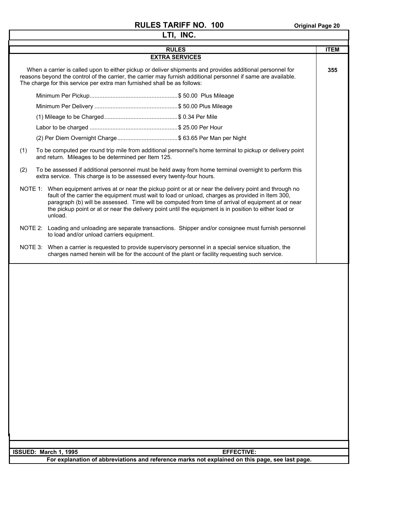| LTI, INC.                                                                                                                                                                                                                                                                                                                                                                                                                                 |             |  |  |
|-------------------------------------------------------------------------------------------------------------------------------------------------------------------------------------------------------------------------------------------------------------------------------------------------------------------------------------------------------------------------------------------------------------------------------------------|-------------|--|--|
| <b>RULES</b>                                                                                                                                                                                                                                                                                                                                                                                                                              | <b>ITEM</b> |  |  |
| <b>EXTRA SERVICES</b>                                                                                                                                                                                                                                                                                                                                                                                                                     |             |  |  |
| When a carrier is called upon to either pickup or deliver shipments and provides additional personnel for<br>reasons beyond the control of the carrier, the carrier may furnish additional personnel if same are available.<br>The charge for this service per extra man furnished shall be as follows:                                                                                                                                   | 355         |  |  |
|                                                                                                                                                                                                                                                                                                                                                                                                                                           |             |  |  |
|                                                                                                                                                                                                                                                                                                                                                                                                                                           |             |  |  |
|                                                                                                                                                                                                                                                                                                                                                                                                                                           |             |  |  |
|                                                                                                                                                                                                                                                                                                                                                                                                                                           |             |  |  |
|                                                                                                                                                                                                                                                                                                                                                                                                                                           |             |  |  |
| (1)<br>To be computed per round trip mile from additional personnel's home terminal to pickup or delivery point<br>and return. Mileages to be determined per Item 125.                                                                                                                                                                                                                                                                    |             |  |  |
| To be assessed if additional personnel must be held away from home terminal overnight to perform this<br>(2)<br>extra service. This charge is to be assessed every twenty-four hours.                                                                                                                                                                                                                                                     |             |  |  |
| NOTE 1: When equipment arrives at or near the pickup point or at or near the delivery point and through no<br>fault of the carrier the equipment must wait to load or unload, charges as provided in Item 300,<br>paragraph (b) will be assessed. Time will be computed from time of arrival of equipment at or near<br>the pickup point or at or near the delivery point until the equipment is in position to either load or<br>unload. |             |  |  |
| NOTE 2: Loading and unloading are separate transactions. Shipper and/or consignee must furnish personnel<br>to load and/or unload carriers equipment.                                                                                                                                                                                                                                                                                     |             |  |  |
| NOTE 3: When a carrier is requested to provide supervisory personnel in a special service situation, the<br>charges named herein will be for the account of the plant or facility requesting such service.                                                                                                                                                                                                                                |             |  |  |
|                                                                                                                                                                                                                                                                                                                                                                                                                                           |             |  |  |
| <b>EFFECTIVE:</b>                                                                                                                                                                                                                                                                                                                                                                                                                         |             |  |  |
| ISSUED: March 1, 1995<br>For explanation of abbreviations and reference marks not explained on this page, see last page.                                                                                                                                                                                                                                                                                                                  |             |  |  |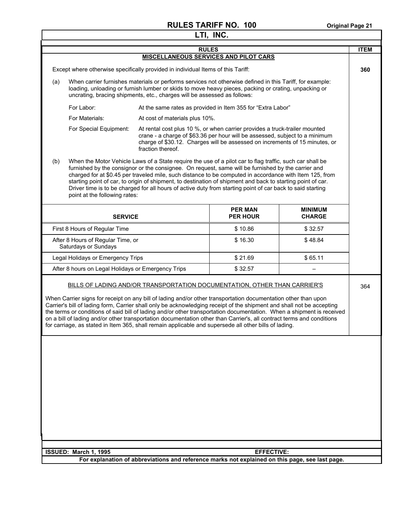| <b>RULES</b><br><b>ITEM</b><br><b>MISCELLANEOUS SERVICES AND PILOT CARS</b><br>Except where otherwise specifically provided in individual Items of this Tariff:<br>360<br>When carrier furnishes materials or performs services not otherwise defined in this Tariff, for example:<br>(a)<br>loading, unloading or furnish lumber or skids to move heavy pieces, packing or crating, unpacking or<br>uncrating, bracing shipments, etc., charges will be assessed as follows:<br>For Labor:<br>At the same rates as provided in Item 355 for "Extra Labor"<br>For Materials:<br>At cost of materials plus 10%.<br>For Special Equipment:<br>At rental cost plus 10 %, or when carrier provides a truck-trailer mounted<br>crane - a charge of \$63.36 per hour will be assessed, subject to a minimum<br>charge of \$30.12. Charges will be assessed on increments of 15 minutes, or<br>fraction thereof.<br>(b)<br>When the Motor Vehicle Laws of a State require the use of a pilot car to flag traffic, such car shall be<br>furnished by the consignor or the consignee. On request, same will be furnished by the carrier and<br>charged for at \$0.45 per traveled mile, such distance to be computed in accordance with Item 125, from<br>starting point of car, to origin of shipment, to destination of shipment and back to starting point of car.<br>Driver time is to be charged for all hours of active duty from starting point of car back to said starting<br>point at the following rates:<br><b>PER MAN</b><br><b>MINIMUM</b><br><b>PER HOUR</b><br><b>CHARGE</b><br><b>SERVICE</b><br>First 8 Hours of Regular Time<br>\$10.86<br>\$32.57<br>After 8 Hours of Regular Time, or<br>\$16.30<br>\$48.84<br>Saturdays or Sundays<br>\$65.11<br>\$21.69<br>Legal Holidays or Emergency Trips<br>After 8 hours on Legal Holidays or Emergency Trips<br>\$32.57<br>BILLS OF LADING AND/OR TRANSPORTATION DOCUMENTATION, OTHER THAN CARRIER'S<br>364<br>When Carrier signs for receipt on any bill of lading and/or other transportation documentation other than upon<br>Carrier's bill of lading form, Carrier shall only be acknowledging receipt of the shipment and shall not be accepting<br>the terms or conditions of said bill of lading and/or other transportation documentation. When a shipment is received<br>on a bill of lading and/or other transportation documentation other than Carrier's, all contract terms and conditions<br>for carriage, as stated in Item 365, shall remain applicable and supersede all other bills of lading.<br><b>EFFECTIVE:</b><br>ISSUED: March 1, 1995 | LTI, INC.                                                                                       |  |  |  |  |  |
|---------------------------------------------------------------------------------------------------------------------------------------------------------------------------------------------------------------------------------------------------------------------------------------------------------------------------------------------------------------------------------------------------------------------------------------------------------------------------------------------------------------------------------------------------------------------------------------------------------------------------------------------------------------------------------------------------------------------------------------------------------------------------------------------------------------------------------------------------------------------------------------------------------------------------------------------------------------------------------------------------------------------------------------------------------------------------------------------------------------------------------------------------------------------------------------------------------------------------------------------------------------------------------------------------------------------------------------------------------------------------------------------------------------------------------------------------------------------------------------------------------------------------------------------------------------------------------------------------------------------------------------------------------------------------------------------------------------------------------------------------------------------------------------------------------------------------------------------------------------------------------------------------------------------------------------------------------------------------------------------------------------------------------------------------------------------------------------------------------------------------------------------------------------------------------------------------------------------------------------------------------------------------------------------------------------------------------------------------------------------------------------------------------------------------------------------------------------------------------------------------------------------------------------------------------------------------------------------------------------------|-------------------------------------------------------------------------------------------------|--|--|--|--|--|
|                                                                                                                                                                                                                                                                                                                                                                                                                                                                                                                                                                                                                                                                                                                                                                                                                                                                                                                                                                                                                                                                                                                                                                                                                                                                                                                                                                                                                                                                                                                                                                                                                                                                                                                                                                                                                                                                                                                                                                                                                                                                                                                                                                                                                                                                                                                                                                                                                                                                                                                                                                                                                     |                                                                                                 |  |  |  |  |  |
|                                                                                                                                                                                                                                                                                                                                                                                                                                                                                                                                                                                                                                                                                                                                                                                                                                                                                                                                                                                                                                                                                                                                                                                                                                                                                                                                                                                                                                                                                                                                                                                                                                                                                                                                                                                                                                                                                                                                                                                                                                                                                                                                                                                                                                                                                                                                                                                                                                                                                                                                                                                                                     |                                                                                                 |  |  |  |  |  |
|                                                                                                                                                                                                                                                                                                                                                                                                                                                                                                                                                                                                                                                                                                                                                                                                                                                                                                                                                                                                                                                                                                                                                                                                                                                                                                                                                                                                                                                                                                                                                                                                                                                                                                                                                                                                                                                                                                                                                                                                                                                                                                                                                                                                                                                                                                                                                                                                                                                                                                                                                                                                                     |                                                                                                 |  |  |  |  |  |
|                                                                                                                                                                                                                                                                                                                                                                                                                                                                                                                                                                                                                                                                                                                                                                                                                                                                                                                                                                                                                                                                                                                                                                                                                                                                                                                                                                                                                                                                                                                                                                                                                                                                                                                                                                                                                                                                                                                                                                                                                                                                                                                                                                                                                                                                                                                                                                                                                                                                                                                                                                                                                     |                                                                                                 |  |  |  |  |  |
|                                                                                                                                                                                                                                                                                                                                                                                                                                                                                                                                                                                                                                                                                                                                                                                                                                                                                                                                                                                                                                                                                                                                                                                                                                                                                                                                                                                                                                                                                                                                                                                                                                                                                                                                                                                                                                                                                                                                                                                                                                                                                                                                                                                                                                                                                                                                                                                                                                                                                                                                                                                                                     |                                                                                                 |  |  |  |  |  |
|                                                                                                                                                                                                                                                                                                                                                                                                                                                                                                                                                                                                                                                                                                                                                                                                                                                                                                                                                                                                                                                                                                                                                                                                                                                                                                                                                                                                                                                                                                                                                                                                                                                                                                                                                                                                                                                                                                                                                                                                                                                                                                                                                                                                                                                                                                                                                                                                                                                                                                                                                                                                                     |                                                                                                 |  |  |  |  |  |
|                                                                                                                                                                                                                                                                                                                                                                                                                                                                                                                                                                                                                                                                                                                                                                                                                                                                                                                                                                                                                                                                                                                                                                                                                                                                                                                                                                                                                                                                                                                                                                                                                                                                                                                                                                                                                                                                                                                                                                                                                                                                                                                                                                                                                                                                                                                                                                                                                                                                                                                                                                                                                     |                                                                                                 |  |  |  |  |  |
|                                                                                                                                                                                                                                                                                                                                                                                                                                                                                                                                                                                                                                                                                                                                                                                                                                                                                                                                                                                                                                                                                                                                                                                                                                                                                                                                                                                                                                                                                                                                                                                                                                                                                                                                                                                                                                                                                                                                                                                                                                                                                                                                                                                                                                                                                                                                                                                                                                                                                                                                                                                                                     |                                                                                                 |  |  |  |  |  |
|                                                                                                                                                                                                                                                                                                                                                                                                                                                                                                                                                                                                                                                                                                                                                                                                                                                                                                                                                                                                                                                                                                                                                                                                                                                                                                                                                                                                                                                                                                                                                                                                                                                                                                                                                                                                                                                                                                                                                                                                                                                                                                                                                                                                                                                                                                                                                                                                                                                                                                                                                                                                                     |                                                                                                 |  |  |  |  |  |
|                                                                                                                                                                                                                                                                                                                                                                                                                                                                                                                                                                                                                                                                                                                                                                                                                                                                                                                                                                                                                                                                                                                                                                                                                                                                                                                                                                                                                                                                                                                                                                                                                                                                                                                                                                                                                                                                                                                                                                                                                                                                                                                                                                                                                                                                                                                                                                                                                                                                                                                                                                                                                     |                                                                                                 |  |  |  |  |  |
|                                                                                                                                                                                                                                                                                                                                                                                                                                                                                                                                                                                                                                                                                                                                                                                                                                                                                                                                                                                                                                                                                                                                                                                                                                                                                                                                                                                                                                                                                                                                                                                                                                                                                                                                                                                                                                                                                                                                                                                                                                                                                                                                                                                                                                                                                                                                                                                                                                                                                                                                                                                                                     |                                                                                                 |  |  |  |  |  |
|                                                                                                                                                                                                                                                                                                                                                                                                                                                                                                                                                                                                                                                                                                                                                                                                                                                                                                                                                                                                                                                                                                                                                                                                                                                                                                                                                                                                                                                                                                                                                                                                                                                                                                                                                                                                                                                                                                                                                                                                                                                                                                                                                                                                                                                                                                                                                                                                                                                                                                                                                                                                                     |                                                                                                 |  |  |  |  |  |
|                                                                                                                                                                                                                                                                                                                                                                                                                                                                                                                                                                                                                                                                                                                                                                                                                                                                                                                                                                                                                                                                                                                                                                                                                                                                                                                                                                                                                                                                                                                                                                                                                                                                                                                                                                                                                                                                                                                                                                                                                                                                                                                                                                                                                                                                                                                                                                                                                                                                                                                                                                                                                     |                                                                                                 |  |  |  |  |  |
|                                                                                                                                                                                                                                                                                                                                                                                                                                                                                                                                                                                                                                                                                                                                                                                                                                                                                                                                                                                                                                                                                                                                                                                                                                                                                                                                                                                                                                                                                                                                                                                                                                                                                                                                                                                                                                                                                                                                                                                                                                                                                                                                                                                                                                                                                                                                                                                                                                                                                                                                                                                                                     |                                                                                                 |  |  |  |  |  |
|                                                                                                                                                                                                                                                                                                                                                                                                                                                                                                                                                                                                                                                                                                                                                                                                                                                                                                                                                                                                                                                                                                                                                                                                                                                                                                                                                                                                                                                                                                                                                                                                                                                                                                                                                                                                                                                                                                                                                                                                                                                                                                                                                                                                                                                                                                                                                                                                                                                                                                                                                                                                                     |                                                                                                 |  |  |  |  |  |
|                                                                                                                                                                                                                                                                                                                                                                                                                                                                                                                                                                                                                                                                                                                                                                                                                                                                                                                                                                                                                                                                                                                                                                                                                                                                                                                                                                                                                                                                                                                                                                                                                                                                                                                                                                                                                                                                                                                                                                                                                                                                                                                                                                                                                                                                                                                                                                                                                                                                                                                                                                                                                     | For explanation of abbreviations and reference marks not explained on this page, see last page. |  |  |  |  |  |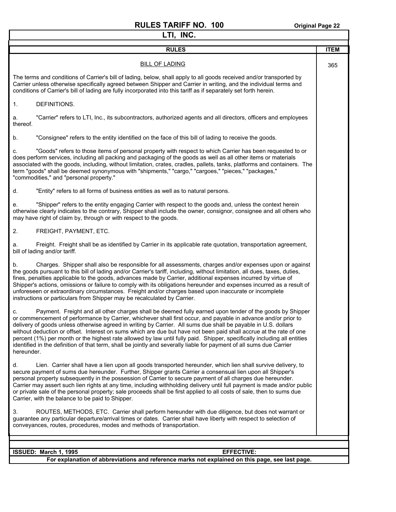#### **RULES TARIFF NO. 100** Original Page 22 **LTI, INC.**

┓

| LTI, INC.                                                                                                                                                                                                                                                                                                                                                                                                                                                                                                                                                                                                                                                                                                                                 |             |  |  |
|-------------------------------------------------------------------------------------------------------------------------------------------------------------------------------------------------------------------------------------------------------------------------------------------------------------------------------------------------------------------------------------------------------------------------------------------------------------------------------------------------------------------------------------------------------------------------------------------------------------------------------------------------------------------------------------------------------------------------------------------|-------------|--|--|
| <b>RULES</b>                                                                                                                                                                                                                                                                                                                                                                                                                                                                                                                                                                                                                                                                                                                              | <b>ITEM</b> |  |  |
| <b>BILL OF LADING</b>                                                                                                                                                                                                                                                                                                                                                                                                                                                                                                                                                                                                                                                                                                                     | 365         |  |  |
| The terms and conditions of Carrier's bill of lading, below, shall apply to all goods received and/or transported by<br>Carrier unless otherwise specifically agreed between Shipper and Carrier in writing, and the individual terms and<br>conditions of Carrier's bill of lading are fully incorporated into this tariff as if separately set forth herein.                                                                                                                                                                                                                                                                                                                                                                            |             |  |  |
| DEFINITIONS.<br>1.                                                                                                                                                                                                                                                                                                                                                                                                                                                                                                                                                                                                                                                                                                                        |             |  |  |
| "Carrier" refers to LTI, Inc., its subcontractors, authorized agents and all directors, officers and employees<br>a.<br>thereof.                                                                                                                                                                                                                                                                                                                                                                                                                                                                                                                                                                                                          |             |  |  |
| "Consignee" refers to the entity identified on the face of this bill of lading to receive the goods.<br>b.                                                                                                                                                                                                                                                                                                                                                                                                                                                                                                                                                                                                                                |             |  |  |
| "Goods" refers to those items of personal property with respect to which Carrier has been requested to or<br>c.<br>does perform services, including all packing and packaging of the goods as well as all other items or materials<br>associated with the goods, including, without limitation, crates, cradles, pallets, tanks, platforms and containers. The<br>term "goods" shall be deemed synonymous with "shipments," "cargo," "cargoes," "pieces," "packages,"<br>"commodities," and "personal property."                                                                                                                                                                                                                          |             |  |  |
| "Entity" refers to all forms of business entities as well as to natural persons.<br>d.                                                                                                                                                                                                                                                                                                                                                                                                                                                                                                                                                                                                                                                    |             |  |  |
| "Shipper" refers to the entity engaging Carrier with respect to the goods and, unless the context herein<br>е.<br>otherwise clearly indicates to the contrary, Shipper shall include the owner, consignor, consignee and all others who<br>may have right of claim by, through or with respect to the goods.                                                                                                                                                                                                                                                                                                                                                                                                                              |             |  |  |
| 2.<br>FREIGHT, PAYMENT, ETC.                                                                                                                                                                                                                                                                                                                                                                                                                                                                                                                                                                                                                                                                                                              |             |  |  |
| Freight. Freight shall be as identified by Carrier in its applicable rate quotation, transportation agreement,<br>a.<br>bill of lading and/or tariff.                                                                                                                                                                                                                                                                                                                                                                                                                                                                                                                                                                                     |             |  |  |
| b.<br>Charges. Shipper shall also be responsible for all assessments, charges and/or expenses upon or against<br>the goods pursuant to this bill of lading and/or Carrier's tariff, including, without limitation, all dues, taxes, duties,<br>fines, penalties applicable to the goods, advances made by Carrier, additional expenses incurred by virtue of<br>Shipper's actions, omissions or failure to comply with its obligations hereunder and expenses incurred as a result of<br>unforeseen or extraordinary circumstances. Freight and/or charges based upon inaccurate or incomplete<br>instructions or particulars from Shipper may be recalculated by Carrier.                                                                |             |  |  |
| Payment. Freight and all other charges shall be deemed fully earned upon tender of the goods by Shipper<br>c.<br>or commencement of performance by Carrier, whichever shall first occur, and payable in advance and/or prior to<br>delivery of goods unless otherwise agreed in writing by Carrier. All sums due shall be payable in U.S. dollars<br>without deduction or offset. Interest on sums which are due but have not been paid shall accrue at the rate of one<br>percent (1%) per month or the highest rate allowed by law until fully paid. Shipper, specifically including all entities<br>identified in the definition of that term, shall be jointly and severally liable for payment of all sums due Carrier<br>hereunder. |             |  |  |
| Lien. Carrier shall have a lien upon all goods transported hereunder, which lien shall survive delivery, to<br>d.<br>secure payment of sums due hereunder. Further, Shipper grants Carrier a consensual lien upon all Shipper's<br>personal property subsequently in the possession of Carrier to secure payment of all charges due hereunder.<br>Carrier may assert such lien rights at any time, including withholding delivery until full payment is made and/or public<br>or private sale of the personal property; sale proceeds shall be first applied to all costs of sale, then to sums due<br>Carrier, with the balance to be paid to Shipper.                                                                                   |             |  |  |
| ROUTES, METHODS, ETC. Carrier shall perform hereunder with due diligence, but does not warrant or<br>3.<br>guarantee any particular departure/arrival times or dates. Carrier shall have liberty with respect to selection of<br>conveyances, routes, procedures, modes and methods of transportation.                                                                                                                                                                                                                                                                                                                                                                                                                                    |             |  |  |
|                                                                                                                                                                                                                                                                                                                                                                                                                                                                                                                                                                                                                                                                                                                                           |             |  |  |
| ISSUED: March 1, 1995<br><b>EFFECTIVE:</b>                                                                                                                                                                                                                                                                                                                                                                                                                                                                                                                                                                                                                                                                                                |             |  |  |

**For explanation of abbreviations and reference marks not explained on this page, see last page.**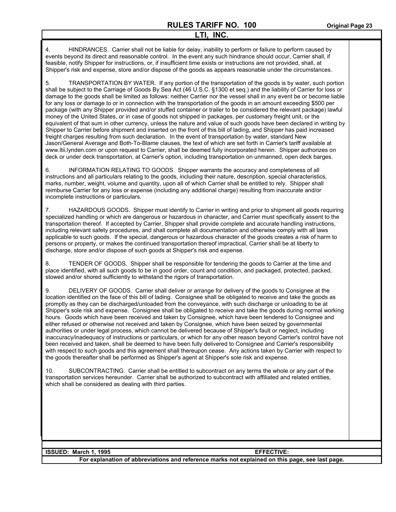4. HINDRANCES. Carrier shall not be liable for delay, inability to perform or failure to perform caused by events beyond its direct and reasonable control. In the event any such hindrance should occur, Carrier shall, if feasible, notify Shipper for instructions, or, if insufficient time exists or instructions are not provided, shall, at Shipper's risk and expense, store and/or dispose of the goods as appears reasonable under the circumstances.

5. TRANSPORTATION BY WATER. If any portion of the transportation of the goods is by water, such portion shall be subject to the Carriage of Goods By Sea Act (46 U.S.C. §1300 et seq.) and the liability of Carrier for loss or damage to the goods shall be limited as follows: neither Carrier nor the vessel shall in any event be or become liable for any loss or damage to or in connection with the transportation of the goods in an amount exceeding \$500 per package (with any Shipper provided and/or stuffed container or trailer to be considered the relevant package) lawful money of the United States, or in case of goods not shipped in packages, per customary freight unit, or the equivalent of that sum in other currency, unless the nature and value of such goods have been declared in writing by Shipper to Carrier before shipment and inserted on the front of this bill of lading, and Shipper has paid increased freight charges resulting from such declaration. In the event of transportation by water, standard New Jason/General Average and Both-To-Blame clauses, the text of which are set forth in Carrier's tariff available at www.ltii.lynden.com or upon request to Carrier, shall be deemed fully incorporated herein. Shipper authorizes on deck or under deck transportation, at Carrier's option, including transportation on unmanned, open deck barges.

6. INFORMATION RELATING TO GOODS. Shipper warrants the accuracy and completeness of all instructions and all particulars relating to the goods, including their nature, description, special characteristics, marks, number, weight, volume and quantity, upon all of which Carrier shall be entitled to rely. Shipper shall reimburse Carrier for any loss or expense (including any additional charge) resulting from inaccurate and/or incomplete instructions or particulars.

7. HAZARDOUS GOODS. Shipper must identify to Carrier in writing and prior to shipment all goods requiring specialized handling or which are dangerous or hazardous in character, and Carrier must specifically assent to the transportation thereof. If accepted by Carrier, Shipper shall provide complete and accurate handling instructions, including relevant safety procedures, and shall complete all documentation and otherwise comply with all laws applicable to such goods. If the special, dangerous or hazardous character of the goods creates a risk of harm to persons or property, or makes the continued transportation thereof impractical, Carrier shall be at liberty to discharge, store and/or dispose of such goods at Shipper's risk and expense.

8. TENDER OF GOODS. Shipper shall be responsible for tendering the goods to Carrier at the time and place identified, with all such goods to be in good order, count and condition, and packaged, protected, packed, stowed and/or shored sufficiently to withstand the rigors of transportation.

9. DELIVERY OF GOODS. Carrier shall deliver or arrange for delivery of the goods to Consignee at the location identified on the face of this bill of lading. Consignee shall be obligated to receive and take the goods as promptly as they can be discharged/unloaded from the conveyance, with such discharge or unloading to be at Shipper's sole risk and expense. Consignee shall be obligated to receive and take the goods during normal working hours. Goods which have been received and taken by Consignee, which have been tendered to Consignee and either refused or otherwise not received and taken by Consignee, which have been seized by governmental authorities or under legal process, which cannot be delivered because of Shipper's fault or neglect, including inaccuracy/inadequacy of instructions or particulars, or which for any other reason beyond Carrier's control have not been received and taken, shall be deemed to have been fully delivered to Consignee and Carrier's responsibility with respect to such goods and this agreement shall thereupon cease. Any actions taken by Carrier with respect to the goods thereafter shall be performed as Shipper's agent at Shipper's sole risk and expense.

10. SUBCONTRACTING. Carrier shall be entitled to subcontract on any terms the whole or any part of the transportation services hereunder. Carrier shall be authorized to subcontract with affiliated and related entities, which shall be considered as dealing with third parties.

| <b>ISSUED: March 1, 1995</b> | <b>EFFECTIVE:</b>                                                                               |
|------------------------------|-------------------------------------------------------------------------------------------------|
|                              | For explanation of abbreviations and reference marks not explained on this page, see last page. |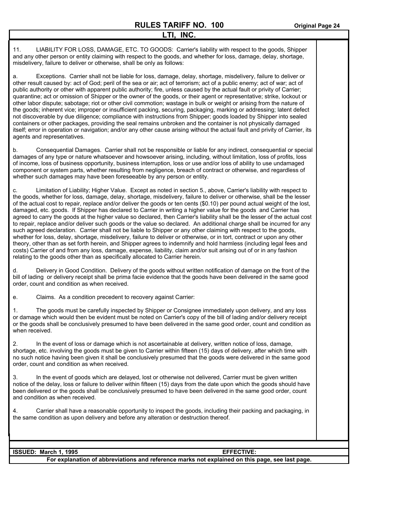INC.

11. LIABILITY FOR LOSS, DAMAGE, ETC. TO GOODS: Carrier's liability with respect to the goods, Shipper and any other person or entity claiming with respect to the goods, and whether for loss, damage, delay, shortage, misdelivery, failure to deliver or otherwise, shall be only as follows:

a. Exceptions. Carrier shall not be liable for loss, damage, delay, shortage, misdelivery, failure to deliver or other result caused by: act of God; peril of the sea or air; act of terrorism; act of a public enemy; act of war; act of public authority or other with apparent public authority; fire, unless caused by the actual fault or privity of Carrier; quarantine; act or omission of Shipper or the owner of the goods, or their agent or representative; strike, lockout or other labor dispute; sabotage; riot or other civil commotion; wastage in bulk or weight or arising from the nature of the goods; inherent vice; improper or insufficient packing, securing, packaging, marking or addressing; latent defect not discoverable by due diligence; compliance with instructions from Shipper; goods loaded by Shipper into sealed containers or other packages, providing the seal remains unbroken and the container is not physically damaged itself; error in operation or navigation; and/or any other cause arising without the actual fault and privity of Carrier, its agents and representatives.

b. Consequential Damages. Carrier shall not be responsible or liable for any indirect, consequential or special damages of any type or nature whatsoever and howsoever arising, including, without limitation, loss of profits, loss of income, loss of business opportunity, business interruption, loss or use and/or loss of ability to use undamaged component or system parts, whether resulting from negligence, breach of contract or otherwise, and regardless of whether such damages may have been foreseeable by any person or entity.

c. Limitation of Liability; Higher Value. Except as noted in section 5., above, Carrier's liability with respect to the goods, whether for loss, damage, delay, shortage, misdelivery, failure to deliver or otherwise, shall be the lesser of the actual cost to repair, replace and/or deliver the goods or ten cents (\$0.10) per pound actual weight of the lost, damaged, etc. goods. If Shipper has declared to Carrier in writing a higher value for the goods and Carrier has agreed to carry the goods at the higher value so declared, then Carrier's liability shall be the lesser of the actual cost to repair, replace and/or deliver such goods or the value so declared. An additional charge shall be incurred for any such agreed declaration. Carrier shall not be liable to Shipper or any other claiming with respect to the goods, whether for loss, delay, shortage, misdelivery, failure to deliver or otherwise, or in tort, contract or upon any other theory, other than as set forth herein, and Shipper agrees to indemnify and hold harmless (including legal fees and costs) Carrier of and from any loss, damage, expense, liability, claim and/or suit arising out of or in any fashion relating to the goods other than as specifically allocated to Carrier herein.

d. Delivery in Good Condition. Delivery of the goods without written notification of damage on the front of the bill of lading or delivery receipt shall be prima facie evidence that the goods have been delivered in the same good order, count and condition as when received.

e. Claims. As a condition precedent to recovery against Carrier:

1. The goods must be carefully inspected by Shipper or Consignee immediately upon delivery, and any loss or damage which would then be evident must be noted on Carrier's copy of the bill of lading and/or delivery receipt or the goods shall be conclusively presumed to have been delivered in the same good order, count and condition as when received.

2. In the event of loss or damage which is not ascertainable at delivery, written notice of loss, damage, shortage, etc. involving the goods must be given to Carrier within fifteen (15) days of delivery, after which time with no such notice having been given it shall be conclusively presumed that the goods were delivered in the same good order, count and condition as when received.

3. In the event of goods which are delayed, lost or otherwise not delivered, Carrier must be given written notice of the delay, loss or failure to deliver within fifteen (15) days from the date upon which the goods should have been delivered or the goods shall be conclusively presumed to have been delivered in the same good order, count and condition as when received.

4. Carrier shall have a reasonable opportunity to inspect the goods, including their packing and packaging, in the same condition as upon delivery and before any alteration or destruction thereof.

| I ISSUED: March 1, 1995                                                                         | <b>EFFECTIVE:</b> |  |
|-------------------------------------------------------------------------------------------------|-------------------|--|
| For explanation of abbreviations and reference marks not explained on this page, see last page. |                   |  |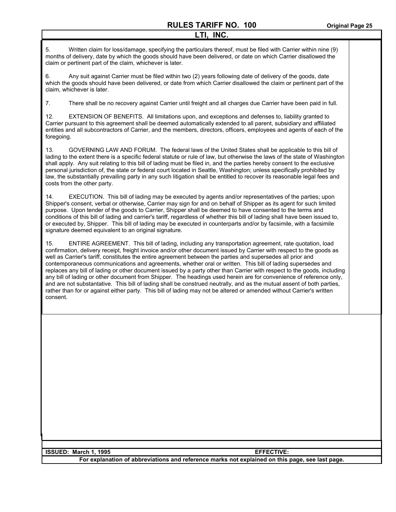5. Written claim for loss/damage, specifying the particulars thereof, must be filed with Carrier within nine (9) months of delivery, date by which the goods should have been delivered, or date on which Carrier disallowed the claim or pertinent part of the claim, whichever is later.

6. Any suit against Carrier must be filed within two (2) years following date of delivery of the goods, date which the goods should have been delivered, or date from which Carrier disallowed the claim or pertinent part of the claim, whichever is later.

7. There shall be no recovery against Carrier until freight and all charges due Carrier have been paid in full.

12. EXTENSION OF BENEFITS. All limitations upon, and exceptions and defenses to, liability granted to Carrier pursuant to this agreement shall be deemed automatically extended to all parent, subsidiary and affiliated entities and all subcontractors of Carrier, and the members, directors, officers, employees and agents of each of the foregoing.

13. GOVERNING LAW AND FORUM. The federal laws of the United States shall be applicable to this bill of lading to the extent there is a specific federal statute or rule of law, but otherwise the laws of the state of Washington shall apply. Any suit relating to this bill of lading must be filed in, and the parties hereby consent to the exclusive personal jurisdiction of, the state or federal court located in Seattle, Washington; unless specifically prohibited by law, the substantially prevailing party in any such litigation shall be entitled to recover its reasonable legal fees and costs from the other party.

14. EXECUTION. This bill of lading may be executed by agents and/or representatives of the parties; upon Shipper's consent, verbal or otherwise, Carrier may sign for and on behalf of Shipper as its agent for such limited purpose. Upon tender of the goods to Carrier, Shipper shall be deemed to have consented to the terms and conditions of this bill of lading and carrier's tariff, regardless of whether this bill of lading shall have been issued to, or executed by, Shipper. This bill of lading may be executed in counterparts and/or by facsimile, with a facsimile signature deemed equivalent to an original signature.

15. ENTIRE AGREEMENT. This bill of lading, including any transportation agreement, rate quotation, load confirmation, delivery receipt, freight invoice and/or other document issued by Carrier with respect to the goods as well as Carrier's tariff, constitutes the entire agreement between the parties and supersedes all prior and contemporaneous communications and agreements, whether oral or written. This bill of lading supersedes and replaces any bill of lading or other document issued by a party other than Carrier with respect to the goods, including any bill of lading or other document from Shipper. The headings used herein are for convenience of reference only, and are not substantative. This bill of lading shall be construed neutrally, and as the mutual assent of both parties, rather than for or against either party. This bill of lading may not be altered or amended without Carrier's written consent.

| <b>ISSUED: March 1, 1995</b> | <b>EFFECTIVE:</b>                                                                               |
|------------------------------|-------------------------------------------------------------------------------------------------|
|                              | For explanation of abbreviations and reference marks not explained on this page, see last page. |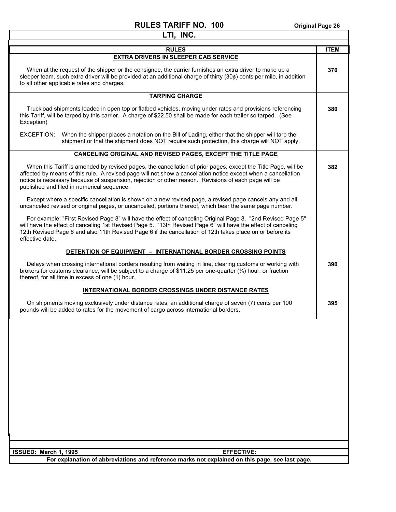$\mathsf I$ 

⅂

| LTI, INC.                                                                                                                                                                                                                                                                                                                                                                            |             |
|--------------------------------------------------------------------------------------------------------------------------------------------------------------------------------------------------------------------------------------------------------------------------------------------------------------------------------------------------------------------------------------|-------------|
| <b>RULES</b>                                                                                                                                                                                                                                                                                                                                                                         | <b>ITEM</b> |
| <b>EXTRA DRIVERS IN SLEEPER CAB SERVICE</b>                                                                                                                                                                                                                                                                                                                                          |             |
| When at the request of the shipper or the consignee, the carrier furnishes an extra driver to make up a<br>sleeper team, such extra driver will be provided at an additional charge of thirty (30¢) cents per mile, in addition<br>to all other applicable rates and charges.                                                                                                        | 370         |
| <b>TARPING CHARGE</b>                                                                                                                                                                                                                                                                                                                                                                |             |
| Truckload shipments loaded in open top or flatbed vehicles, moving under rates and provisions referencing<br>this Tariff, will be tarped by this carrier. A charge of \$22.50 shall be made for each trailer so tarped. (See<br>Exception)                                                                                                                                           | 380         |
| EXCEPTION:<br>When the shipper places a notation on the Bill of Lading, either that the shipper will tarp the<br>shipment or that the shipment does NOT require such protection, this charge will NOT apply.                                                                                                                                                                         |             |
| CANCELING ORIGINAL AND REVISED PAGES, EXCEPT THE TITLE PAGE                                                                                                                                                                                                                                                                                                                          |             |
| When this Tariff is amended by revised pages, the cancellation of prior pages, except the Title Page, will be<br>affected by means of this rule. A revised page will not show a cancellation notice except when a cancellation<br>notice is necessary because of suspension, rejection or other reason. Revisions of each page will be<br>published and filed in numerical sequence. | 382         |
| Except where a specific cancellation is shown on a new revised page, a revised page cancels any and all<br>uncanceled revised or original pages, or uncanceled, portions thereof, which bear the same page number.                                                                                                                                                                   |             |
| For example: "First Revised Page 8" will have the effect of canceling Original Page 8. "2nd Revised Page 5"<br>will have the effect of canceling 1st Revised Page 5. "13th Revised Page 6" will have the effect of canceling<br>12th Revised Page 6 and also 11th Revised Page 6 if the cancellation of 12th takes place on or before its<br>effective date.                         |             |
| DETENTION OF EQUIPMENT - INTERNATIONAL BORDER CROSSING POINTS                                                                                                                                                                                                                                                                                                                        |             |
| Delays when crossing international borders resulting from waiting in line, clearing customs or working with<br>brokers for customs clearance, will be subject to a charge of \$11.25 per one-quarter $(\frac{1}{4})$ hour, or fraction<br>thereof, for all time in excess of one (1) hour.                                                                                           | 390         |
| INTERNATIONAL BORDER CROSSINGS UNDER DISTANCE RATES                                                                                                                                                                                                                                                                                                                                  |             |
| On shipments moving exclusively under distance rates, an additional charge of seven (7) cents per 100<br>pounds will be added to rates for the movement of cargo across international borders.                                                                                                                                                                                       | 395         |
|                                                                                                                                                                                                                                                                                                                                                                                      |             |
| ISSUED: March 1, 1995<br><b>EFFECTIVE:</b>                                                                                                                                                                                                                                                                                                                                           |             |
| For explanation of abbreviations and reference marks not explained on this page, see last page.                                                                                                                                                                                                                                                                                      |             |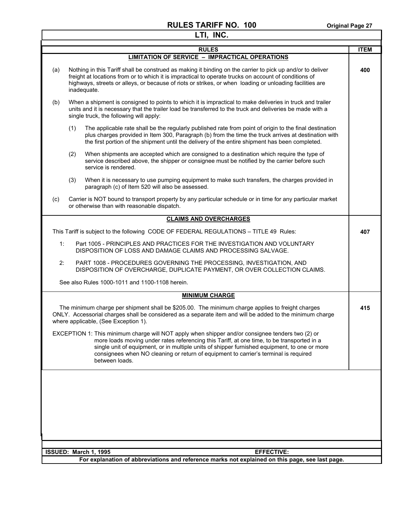|     | LTI, INC.                                                                                                                                                                                                                                                                                                                                                                                                 |             |
|-----|-----------------------------------------------------------------------------------------------------------------------------------------------------------------------------------------------------------------------------------------------------------------------------------------------------------------------------------------------------------------------------------------------------------|-------------|
|     | <b>RULES</b>                                                                                                                                                                                                                                                                                                                                                                                              | <b>ITEM</b> |
|     | <b>LIMITATION OF SERVICE - IMPRACTICAL OPERATIONS</b>                                                                                                                                                                                                                                                                                                                                                     |             |
| (a) | Nothing in this Tariff shall be construed as making it binding on the carrier to pick up and/or to deliver<br>freight at locations from or to which it is impractical to operate trucks on account of conditions of<br>highways, streets or alleys, or because of riots or strikes, or when loading or unloading facilities are<br>inadequate.                                                            | 400         |
| (b) | When a shipment is consigned to points to which it is impractical to make deliveries in truck and trailer<br>units and it is necessary that the trailer load be transferred to the truck and deliveries be made with a<br>single truck, the following will apply:                                                                                                                                         |             |
|     | The applicable rate shall be the regularly published rate from point of origin to the final destination<br>(1)<br>plus charges provided in Item 300, Paragraph (b) from the time the truck arrives at destination with<br>the first portion of the shipment until the delivery of the entire shipment has been completed.                                                                                 |             |
|     | When shipments are accepted which are consigned to a destination which require the type of<br>(2)<br>service described above, the shipper or consignee must be notified by the carrier before such<br>service is rendered.                                                                                                                                                                                |             |
|     | (3)<br>When it is necessary to use pumping equipment to make such transfers, the charges provided in<br>paragraph (c) of Item 520 will also be assessed.                                                                                                                                                                                                                                                  |             |
| (c) | Carrier is NOT bound to transport property by any particular schedule or in time for any particular market<br>or otherwise than with reasonable dispatch.                                                                                                                                                                                                                                                 |             |
|     | <b>CLAIMS AND OVERCHARGES</b>                                                                                                                                                                                                                                                                                                                                                                             |             |
|     | This Tariff is subject to the following CODE OF FEDERAL REGULATIONS - TITLE 49 Rules:                                                                                                                                                                                                                                                                                                                     | 407         |
| 1:  | Part 1005 - PRINCIPLES AND PRACTICES FOR THE INVESTIGATION AND VOLUNTARY<br>DISPOSITION OF LOSS AND DAMAGE CLAIMS AND PROCESSING SALVAGE.                                                                                                                                                                                                                                                                 |             |
| 2:  | PART 1008 - PROCEDURES GOVERNING THE PROCESSING, INVESTIGATION, AND<br>DISPOSITION OF OVERCHARGE, DUPLICATE PAYMENT, OR OVER COLLECTION CLAIMS.                                                                                                                                                                                                                                                           |             |
|     | See also Rules 1000-1011 and 1100-1108 herein.                                                                                                                                                                                                                                                                                                                                                            |             |
|     | <b>MINIMUM CHARGE</b>                                                                                                                                                                                                                                                                                                                                                                                     |             |
|     | The minimum charge per shipment shall be \$205.00. The minimum charge applies to freight charges<br>ONLY. Accessorial charges shall be considered as a separate item and will be added to the minimum charge<br>where applicable, (See Exception 1).                                                                                                                                                      | 415         |
|     | EXCEPTION 1: This minimum charge will NOT apply when shipper and/or consignee tenders two (2) or<br>more loads moving under rates referencing this Tariff, at one time, to be transported in a<br>single unit of equipment, or in multiple units of shipper furnished equipment, to one or more<br>consignees when NO cleaning or return of equipment to carrier's terminal is required<br>between loads. |             |
|     |                                                                                                                                                                                                                                                                                                                                                                                                           |             |
|     | ISSUED: March 1, 1995<br><b>EFFECTIVE:</b>                                                                                                                                                                                                                                                                                                                                                                |             |
|     | For explanation of abbreviations and reference marks not explained on this page, see last page.                                                                                                                                                                                                                                                                                                           |             |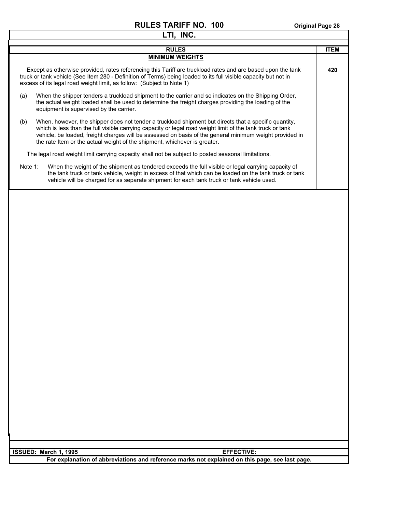| LTI, INC.                                                                                                                                                                                                                                                                                                                                                                                                          |             |
|--------------------------------------------------------------------------------------------------------------------------------------------------------------------------------------------------------------------------------------------------------------------------------------------------------------------------------------------------------------------------------------------------------------------|-------------|
| <b>RULES</b>                                                                                                                                                                                                                                                                                                                                                                                                       | <b>ITEM</b> |
| <b>MINIMUM WEIGHTS</b>                                                                                                                                                                                                                                                                                                                                                                                             |             |
| Except as otherwise provided, rates referencing this Tariff are truckload rates and are based upon the tank<br>truck or tank vehicle (See Item 280 - Definition of Terms) being loaded to its full visible capacity but not in<br>excess of its legal road weight limit, as follow: (Subject to Note 1)                                                                                                            | 420         |
| (a)<br>When the shipper tenders a truckload shipment to the carrier and so indicates on the Shipping Order,<br>the actual weight loaded shall be used to determine the freight charges providing the loading of the<br>equipment is supervised by the carrier.                                                                                                                                                     |             |
| When, however, the shipper does not tender a truckload shipment but directs that a specific quantity,<br>(b)<br>which is less than the full visible carrying capacity or legal road weight limit of the tank truck or tank<br>vehicle, be loaded, freight charges will be assessed on basis of the general minimum weight provided in<br>the rate Item or the actual weight of the shipment, whichever is greater. |             |
| The legal road weight limit carrying capacity shall not be subject to posted seasonal limitations.                                                                                                                                                                                                                                                                                                                 |             |
| Note 1:<br>When the weight of the shipment as tendered exceeds the full visible or legal carrying capacity of<br>the tank truck or tank vehicle, weight in excess of that which can be loaded on the tank truck or tank<br>vehicle will be charged for as separate shipment for each tank truck or tank vehicle used.                                                                                              |             |
|                                                                                                                                                                                                                                                                                                                                                                                                                    |             |
| ISSUED: March 1, 1995<br><b>EFFECTIVE:</b>                                                                                                                                                                                                                                                                                                                                                                         |             |
| For explanation of abbreviations and reference marks not explained on this page, see last page.                                                                                                                                                                                                                                                                                                                    |             |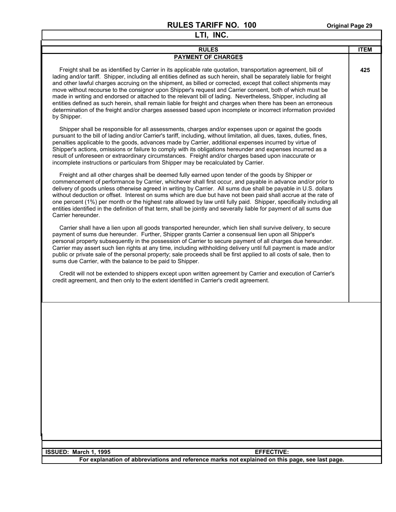| LTI, INC.                                                                                                                                                                                                                                                                                                                                                                                                                                                                                                                                                                                                                                                                                                                                                                                                                          |             |
|------------------------------------------------------------------------------------------------------------------------------------------------------------------------------------------------------------------------------------------------------------------------------------------------------------------------------------------------------------------------------------------------------------------------------------------------------------------------------------------------------------------------------------------------------------------------------------------------------------------------------------------------------------------------------------------------------------------------------------------------------------------------------------------------------------------------------------|-------------|
| <b>RULES</b>                                                                                                                                                                                                                                                                                                                                                                                                                                                                                                                                                                                                                                                                                                                                                                                                                       | <b>ITEM</b> |
| <b>PAYMENT OF CHARGES</b>                                                                                                                                                                                                                                                                                                                                                                                                                                                                                                                                                                                                                                                                                                                                                                                                          |             |
| Freight shall be as identified by Carrier in its applicable rate quotation, transportation agreement, bill of<br>lading and/or tariff. Shipper, including all entities defined as such herein, shall be separately liable for freight<br>and other lawful charges accruing on the shipment, as billed or corrected, except that collect shipments may<br>move without recourse to the consignor upon Shipper's request and Carrier consent, both of which must be<br>made in writing and endorsed or attached to the relevant bill of lading. Nevertheless, Shipper, including all<br>entities defined as such herein, shall remain liable for freight and charges when there has been an erroneous<br>determination of the freight and/or charges assessed based upon incomplete or incorrect information provided<br>by Shipper. | 425         |
| Shipper shall be responsible for all assessments, charges and/or expenses upon or against the goods<br>pursuant to the bill of lading and/or Carrier's tariff, including, without limitation, all dues, taxes, duties, fines,<br>penalties applicable to the goods, advances made by Carrier, additional expenses incurred by virtue of<br>Shipper's actions, omissions or failure to comply with its obligations hereunder and expenses incurred as a<br>result of unforeseen or extraordinary circumstances. Freight and/or charges based upon inaccurate or<br>incomplete instructions or particulars from Shipper may be recalculated by Carrier.                                                                                                                                                                              |             |
| Freight and all other charges shall be deemed fully earned upon tender of the goods by Shipper or<br>commencement of performance by Carrier, whichever shall first occur, and payable in advance and/or prior to<br>delivery of goods unless otherwise agreed in writing by Carrier. All sums due shall be payable in U.S. dollars<br>without deduction or offset. Interest on sums which are due but have not been paid shall accrue at the rate of<br>one percent (1%) per month or the highest rate allowed by law until fully paid. Shipper, specifically including all<br>entities identified in the definition of that term, shall be jointly and severally liable for payment of all sums due<br>Carrier hereunder.                                                                                                         |             |
| Carrier shall have a lien upon all goods transported hereunder, which lien shall survive delivery, to secure<br>payment of sums due hereunder. Further, Shipper grants Carrier a consensual lien upon all Shipper's<br>personal property subsequently in the possession of Carrier to secure payment of all charges due hereunder.<br>Carrier may assert such lien rights at any time, including withholding delivery until full payment is made and/or<br>public or private sale of the personal property; sale proceeds shall be first applied to all costs of sale, then to<br>sums due Carrier, with the balance to be paid to Shipper.                                                                                                                                                                                        |             |
| Credit will not be extended to shippers except upon written agreement by Carrier and execution of Carrier's<br>credit agreement, and then only to the extent identified in Carrier's credit agreement.                                                                                                                                                                                                                                                                                                                                                                                                                                                                                                                                                                                                                             |             |
|                                                                                                                                                                                                                                                                                                                                                                                                                                                                                                                                                                                                                                                                                                                                                                                                                                    |             |
| <b>EFFECTIVE:</b><br>ISSUED: March 1, 1995                                                                                                                                                                                                                                                                                                                                                                                                                                                                                                                                                                                                                                                                                                                                                                                         |             |
| For explanation of abbreviations and reference marks not explained on this page, see last page.                                                                                                                                                                                                                                                                                                                                                                                                                                                                                                                                                                                                                                                                                                                                    |             |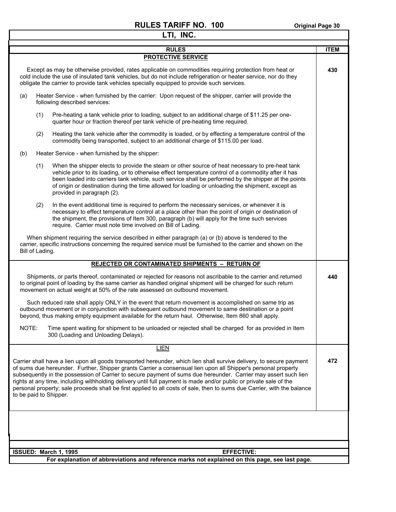| LTI, INC.                                                                                                                                                                                                                                                                                                                                                                                                                                                                                                                                                                                                                            |             |
|--------------------------------------------------------------------------------------------------------------------------------------------------------------------------------------------------------------------------------------------------------------------------------------------------------------------------------------------------------------------------------------------------------------------------------------------------------------------------------------------------------------------------------------------------------------------------------------------------------------------------------------|-------------|
| <b>RULES</b>                                                                                                                                                                                                                                                                                                                                                                                                                                                                                                                                                                                                                         | <b>ITEM</b> |
| <b>PROTECTIVE SERVICE</b>                                                                                                                                                                                                                                                                                                                                                                                                                                                                                                                                                                                                            |             |
| Except as may be otherwise provided, rates applicable on commodities requiring protection from heat or<br>cold include the use of insulated tank vehicles, but do not include refrigeration or heater service, nor do they<br>obligate the carrier to provide tank vehicles specially equipped to provide such services.                                                                                                                                                                                                                                                                                                             | 430         |
| Heater Service - when furnished by the carrier: Upon request of the shipper, carrier will provide the<br>(a)<br>following described services:                                                                                                                                                                                                                                                                                                                                                                                                                                                                                        |             |
| Pre-heating a tank vehicle prior to loading, subject to an additional charge of \$11.25 per one-<br>(1)<br>quarter hour or fraction thereof per tank vehicle of pre-heating time required.                                                                                                                                                                                                                                                                                                                                                                                                                                           |             |
| Heating the tank vehicle after the commodity is loaded, or by effecting a temperature control of the<br>(2)<br>commodity being transported, subject to an additional charge of \$115.00 per load.                                                                                                                                                                                                                                                                                                                                                                                                                                    |             |
| Heater Service - when furnished by the shipper:<br>(b)                                                                                                                                                                                                                                                                                                                                                                                                                                                                                                                                                                               |             |
| (1)<br>When the shipper elects to provide the steam or other source of heat necessary to pre-heat tank<br>vehicle prior to its loading, or to otherwise effect temperature control of a commodity after it has<br>been loaded into carriers tank vehicle, such service shall be performed by the shipper at the points<br>of origin or destination during the time allowed for loading or unloading the shipment, except as<br>provided in paragraph (2).                                                                                                                                                                            |             |
| In the event additional time is required to perform the necessary services, or whenever it is<br>(2)<br>necessary to effect temperature control at a place other than the point of origin or destination of<br>the shipment, the provisions of Item 300, paragraph (b) will apply for the time such services<br>require. Carrier must note time involved on Bill of Lading.                                                                                                                                                                                                                                                          |             |
| When shipment requiring the service described in either paragraph (a) or (b) above is tendered to the<br>carrier, specific instructions concerning the required service must be furnished to the carrier and shown on the<br>Bill of Lading.                                                                                                                                                                                                                                                                                                                                                                                         |             |
| REJECTED OR CONTAMINATED SHIPMENTS - RETURN OF                                                                                                                                                                                                                                                                                                                                                                                                                                                                                                                                                                                       |             |
| Shipments, or parts thereof, contaminated or rejected for reasons not ascribable to the carrier and returned<br>to original point of loading by the same carrier as handled original shipment will be charged for such return<br>movement on actual weight at 50% of the rate assessed on outbound movement.                                                                                                                                                                                                                                                                                                                         | 440         |
| Such reduced rate shall apply ONLY in the event that return movement is accomplished on same trip as<br>outbound movement or in conjunction with subsequent outbound movement to same destination or a point<br>beyond, thus making empty equipment available for the return haul. Otherwise, Item 860 shall apply.                                                                                                                                                                                                                                                                                                                  |             |
| NOTE:<br>Time spent waiting for shipment to be unloaded or rejected shall be charged for as provided in Item<br>300 (Loading and Unloading Delays).                                                                                                                                                                                                                                                                                                                                                                                                                                                                                  |             |
| <b>LIEN</b>                                                                                                                                                                                                                                                                                                                                                                                                                                                                                                                                                                                                                          |             |
| Carrier shall have a lien upon all goods transported hereunder, which lien shall survive delivery, to secure payment<br>of sums due hereunder. Further, Shipper grants Carrier a consensual lien upon all Shipper's personal property<br>subsequently in the possession of Carrier to secure payment of sums due hereunder. Carrier may assert such lien<br>rights at any time, including withholding delivery until full payment is made and/or public or private sale of the<br>personal property; sale proceeds shall be first applied to all costs of sale, then to sums due Carrier, with the balance<br>to be paid to Shipper. | 472         |
|                                                                                                                                                                                                                                                                                                                                                                                                                                                                                                                                                                                                                                      |             |
| ISSUED: March 1, 1995<br><b>EFFECTIVE:</b>                                                                                                                                                                                                                                                                                                                                                                                                                                                                                                                                                                                           |             |
| For explanation of abbreviations and reference marks not explained on this page, see last page.                                                                                                                                                                                                                                                                                                                                                                                                                                                                                                                                      |             |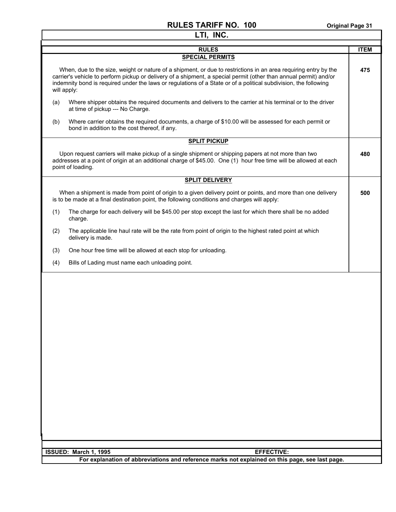|                                                                       | LTI, INC.                                                                                                                                                                                                                                                                                                                                                |             |
|-----------------------------------------------------------------------|----------------------------------------------------------------------------------------------------------------------------------------------------------------------------------------------------------------------------------------------------------------------------------------------------------------------------------------------------------|-------------|
|                                                                       | <b>RULES</b>                                                                                                                                                                                                                                                                                                                                             | <b>ITEM</b> |
|                                                                       | <b>SPECIAL PERMITS</b>                                                                                                                                                                                                                                                                                                                                   |             |
| will apply:                                                           | When, due to the size, weight or nature of a shipment, or due to restrictions in an area requiring entry by the<br>carrier's vehicle to perform pickup or delivery of a shipment, a special permit (other than annual permit) and/or<br>indemnity bond is required under the laws or regulations of a State or of a political subdivision, the following | 475         |
| (a)<br>at time of pickup --- No Charge.                               | Where shipper obtains the required documents and delivers to the carrier at his terminal or to the driver                                                                                                                                                                                                                                                |             |
| (b)<br>bond in addition to the cost thereof, if any.                  | Where carrier obtains the required documents, a charge of \$10.00 will be assessed for each permit or                                                                                                                                                                                                                                                    |             |
|                                                                       | <b>SPLIT PICKUP</b>                                                                                                                                                                                                                                                                                                                                      |             |
| point of loading.                                                     | Upon request carriers will make pickup of a single shipment or shipping papers at not more than two<br>addresses at a point of origin at an additional charge of \$45.00. One (1) hour free time will be allowed at each                                                                                                                                 | 480         |
|                                                                       | <b>SPLIT DELIVERY</b>                                                                                                                                                                                                                                                                                                                                    |             |
|                                                                       | When a shipment is made from point of origin to a given delivery point or points, and more than one delivery<br>is to be made at a final destination point, the following conditions and charges will apply:                                                                                                                                             | 500         |
| (1)<br>charge.                                                        | The charge for each delivery will be \$45.00 per stop except the last for which there shall be no added                                                                                                                                                                                                                                                  |             |
| (2)<br>delivery is made.                                              | The applicable line haul rate will be the rate from point of origin to the highest rated point at which                                                                                                                                                                                                                                                  |             |
| (3)<br>One hour free time will be allowed at each stop for unloading. |                                                                                                                                                                                                                                                                                                                                                          |             |
| (4)<br>Bills of Lading must name each unloading point.                |                                                                                                                                                                                                                                                                                                                                                          |             |
|                                                                       |                                                                                                                                                                                                                                                                                                                                                          |             |
| ISSUED: March 1, 1995                                                 | <b>EFFECTIVE:</b>                                                                                                                                                                                                                                                                                                                                        |             |
|                                                                       | For explanation of abbreviations and reference marks not explained on this page, see last page.                                                                                                                                                                                                                                                          |             |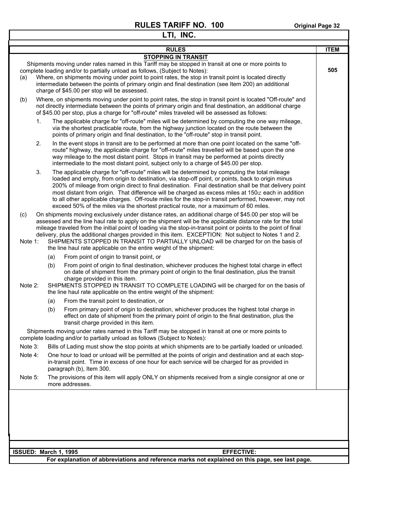|                       |    |     | LTI, INC.                                                                                                                                                                                                                                                                                                                                                                                                                                                                                                                                                                                                           |             |
|-----------------------|----|-----|---------------------------------------------------------------------------------------------------------------------------------------------------------------------------------------------------------------------------------------------------------------------------------------------------------------------------------------------------------------------------------------------------------------------------------------------------------------------------------------------------------------------------------------------------------------------------------------------------------------------|-------------|
|                       |    |     | <b>RULES</b>                                                                                                                                                                                                                                                                                                                                                                                                                                                                                                                                                                                                        | <b>ITEM</b> |
|                       |    |     | <b>STOPPING IN TRANSIT</b>                                                                                                                                                                                                                                                                                                                                                                                                                                                                                                                                                                                          |             |
| (a)                   |    |     | Shipments moving under rates named in this Tariff may be stopped in transit at one or more points to<br>complete loading and/or to partially unload as follows, (Subject to Notes):<br>Where, on shipments moving under point to point rates, the stop in transit point is located directly<br>intermediate between the points of primary origin and final destination (see Item 200) an additional<br>charge of \$45.00 per stop will be assessed.                                                                                                                                                                 | 505         |
| (b)                   |    |     | Where, on shipments moving under point to point rates, the stop in transit point is located "Off-route" and<br>not directly intermediate between the points of primary origin and final destination, an additional charge<br>of \$45.00 per stop, plus a charge for "off-route" miles traveled will be assessed as follows:                                                                                                                                                                                                                                                                                         |             |
|                       | 1. |     | The applicable charge for "off-route" miles will be determined by computing the one way mileage,<br>via the shortest practicable route, from the highway junction located on the route between the<br>points of primary origin and final destination, to the "off-route" stop in transit point.                                                                                                                                                                                                                                                                                                                     |             |
|                       | 2. |     | In the event stops in transit are to be performed at more than one point located on the same "off-<br>route" highway, the applicable charge for "off-route" miles travelled will be based upon the one<br>way mileage to the most distant point. Stops in transit may be performed at points directly<br>intermediate to the most distant point, subject only to a charge of \$45.00 per stop.                                                                                                                                                                                                                      |             |
|                       | 3. |     | The applicable charge for "off-route" miles will be determined by computing the total mileage<br>loaded and empty, from origin to destination, via stop-off point, or points, back to origin minus<br>200% of mileage from origin direct to final destination. Final destination shall be that delivery point<br>most distant from origin. That difference will be charged as excess miles at 150⊄ each in addition<br>to all other applicable charges. Off-route miles for the stop-in transit performed, however, may not<br>exceed 50% of the miles via the shortest practical route, nor a maximum of 60 miles. |             |
| (c)                   |    |     | On shipments moving exclusively under distance rates, an additional charge of \$45.00 per stop will be<br>assessed and the line haul rate to apply on the shipment will be the applicable distance rate for the total<br>mileage traveled from the initial point of loading via the stop-in-transit point or points to the point of final<br>delivery, plus the additional charges provided in this item. EXCEPTION: Not subject to Notes 1 and 2.                                                                                                                                                                  |             |
| Note 1:               |    |     | SHIPMENTS STOPPED IN TRANSIT TO PARTIALLY UNLOAD will be charged for on the basis of<br>the line haul rate applicable on the entire weight of the shipment:                                                                                                                                                                                                                                                                                                                                                                                                                                                         |             |
|                       |    | (a) | From point of origin to transit point, or                                                                                                                                                                                                                                                                                                                                                                                                                                                                                                                                                                           |             |
| Note 2:               |    | (b) | From point of origin to final destination, whichever produces the highest total charge in effect<br>on date of shipment from the primary point of origin to the final destination, plus the transit<br>charge provided in this item.<br>SHIPMENTS STOPPED IN TRANSIT TO COMPLETE LOADING will be charged for on the basis of<br>the line haul rate applicable on the entire weight of the shipment:                                                                                                                                                                                                                 |             |
|                       |    | (a) | From the transit point to destination, or                                                                                                                                                                                                                                                                                                                                                                                                                                                                                                                                                                           |             |
|                       |    | (b) | From primary point of origin to destination, whichever produces the highest total charge in<br>effect on date of shipment from the primary point of origin to the final destination, plus the<br>transit charge provided in this item.                                                                                                                                                                                                                                                                                                                                                                              |             |
|                       |    |     | Shipments moving under rates named in this Tariff may be stopped in transit at one or more points to<br>complete loading and/or to partially unload as follows (Subject to Notes):                                                                                                                                                                                                                                                                                                                                                                                                                                  |             |
| Note 3:               |    |     | Bills of Lading must show the stop points at which shipments are to be partially loaded or unloaded.                                                                                                                                                                                                                                                                                                                                                                                                                                                                                                                |             |
| Note 4:               |    |     | One hour to load or unload will be permitted at the points of origin and destination and at each stop-<br>in-transit point. Time in excess of one hour for each service will be charged for as provided in<br>paragraph (b), Item 300.                                                                                                                                                                                                                                                                                                                                                                              |             |
| Note 5:               |    |     | The provisions of this item will apply ONLY on shipments received from a single consignor at one or<br>more addresses.                                                                                                                                                                                                                                                                                                                                                                                                                                                                                              |             |
|                       |    |     |                                                                                                                                                                                                                                                                                                                                                                                                                                                                                                                                                                                                                     |             |
|                       |    |     |                                                                                                                                                                                                                                                                                                                                                                                                                                                                                                                                                                                                                     |             |
| ISSUED: March 1, 1995 |    |     | <b>EFFECTIVE:</b><br>For explanation of abbreviations and reference marks not explained on this page, see last page.                                                                                                                                                                                                                                                                                                                                                                                                                                                                                                |             |
|                       |    |     |                                                                                                                                                                                                                                                                                                                                                                                                                                                                                                                                                                                                                     |             |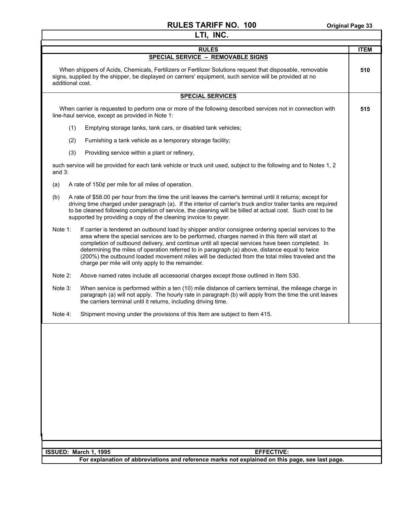|                  | LTI, INC.                                                                                                                                                                                                                                                                                                                                                                                                                                                                                                                                                            |             |
|------------------|----------------------------------------------------------------------------------------------------------------------------------------------------------------------------------------------------------------------------------------------------------------------------------------------------------------------------------------------------------------------------------------------------------------------------------------------------------------------------------------------------------------------------------------------------------------------|-------------|
|                  | <b>RULES</b>                                                                                                                                                                                                                                                                                                                                                                                                                                                                                                                                                         | <b>ITEM</b> |
|                  | SPECIAL SERVICE - REMOVABLE SIGNS                                                                                                                                                                                                                                                                                                                                                                                                                                                                                                                                    |             |
| additional cost. | When shippers of Acids, Chemicals, Fertilizers or Fertilizer Solutions request that disposable, removable<br>signs, supplied by the shipper, be displayed on carriers' equipment, such service will be provided at no                                                                                                                                                                                                                                                                                                                                                | 510         |
|                  | <b>SPECIAL SERVICES</b>                                                                                                                                                                                                                                                                                                                                                                                                                                                                                                                                              |             |
|                  | When carrier is requested to perform one or more of the following described services not in connection with<br>line-haul service, except as provided in Note 1:                                                                                                                                                                                                                                                                                                                                                                                                      | 515         |
| (1)              | Emptying storage tanks, tank cars, or disabled tank vehicles;                                                                                                                                                                                                                                                                                                                                                                                                                                                                                                        |             |
| (2)              | Furnishing a tank vehicle as a temporary storage facility;                                                                                                                                                                                                                                                                                                                                                                                                                                                                                                           |             |
| (3)              | Providing service within a plant or refinery,                                                                                                                                                                                                                                                                                                                                                                                                                                                                                                                        |             |
| and $3$ :        | such service will be provided for each tank vehicle or truck unit used, subject to the following and to Notes 1, 2                                                                                                                                                                                                                                                                                                                                                                                                                                                   |             |
| (a)              | A rate of $150¢$ per mile for all miles of operation.                                                                                                                                                                                                                                                                                                                                                                                                                                                                                                                |             |
| (b)              | A rate of \$58.00 per hour from the time the unit leaves the carrier's terminal until it returns; except for<br>driving time charged under paragraph (a). If the interior of carrier's truck and/or trailer tanks are required<br>to be cleaned following completion of service, the cleaning will be billed at actual cost. Such cost to be<br>supported by providing a copy of the cleaning invoice to payer.                                                                                                                                                      |             |
| Note 1:          | If carrier is tendered an outbound load by shipper and/or consignee ordering special services to the<br>area where the special services are to be performed, charges named in this Item will start at<br>completion of outbound delivery, and continue until all special services have been completed. In<br>determining the miles of operation referred to in paragraph (a) above, distance equal to twice<br>(200%) the outbound loaded movement miles will be deducted from the total miles traveled and the<br>charge per mile will only apply to the remainder. |             |
| Note 2:          | Above named rates include all accessorial charges except those outlined in Item 530.                                                                                                                                                                                                                                                                                                                                                                                                                                                                                 |             |
| Note 3:          | When service is performed within a ten (10) mile distance of carriers terminal, the mileage charge in<br>paragraph (a) will not apply. The hourly rate in paragraph (b) will apply from the time the unit leaves<br>the carriers terminal until it returns, including driving time.                                                                                                                                                                                                                                                                                  |             |
| Note 4:          | Shipment moving under the provisions of this Item are subject to Item 415.                                                                                                                                                                                                                                                                                                                                                                                                                                                                                           |             |
|                  |                                                                                                                                                                                                                                                                                                                                                                                                                                                                                                                                                                      |             |
|                  |                                                                                                                                                                                                                                                                                                                                                                                                                                                                                                                                                                      |             |
|                  | ISSUED: March 1, 1995<br><b>EFFECTIVE:</b><br>For explanation of abbreviations and reference marks not explained on this page, see last page.                                                                                                                                                                                                                                                                                                                                                                                                                        |             |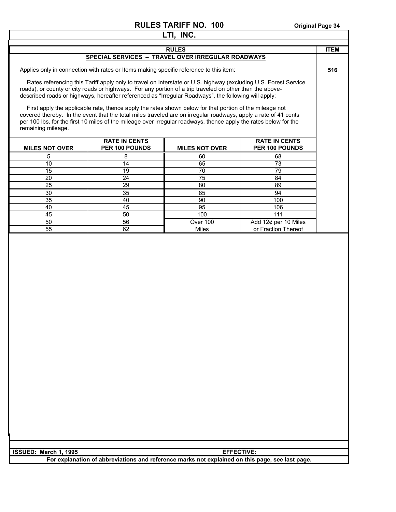|                       |                                                                                                                                                                                                                                                                                                                                                | LTI, INC.             |                                        |             |
|-----------------------|------------------------------------------------------------------------------------------------------------------------------------------------------------------------------------------------------------------------------------------------------------------------------------------------------------------------------------------------|-----------------------|----------------------------------------|-------------|
|                       |                                                                                                                                                                                                                                                                                                                                                | <b>RULES</b>          |                                        | <b>ITEM</b> |
|                       | SPECIAL SERVICES - TRAVEL OVER IRREGULAR ROADWAYS                                                                                                                                                                                                                                                                                              |                       |                                        |             |
|                       |                                                                                                                                                                                                                                                                                                                                                |                       |                                        |             |
|                       | Applies only in connection with rates or Items making specific reference to this item:                                                                                                                                                                                                                                                         |                       |                                        | 516         |
|                       | Rates referencing this Tariff apply only to travel on Interstate or U.S. highway (excluding U.S. Forest Service<br>roads), or county or city roads or highways. For any portion of a trip traveled on other than the above-<br>described roads or highways, hereafter referenced as "Irregular Roadways", the following will apply:            |                       |                                        |             |
| remaining mileage.    | First apply the applicable rate, thence apply the rates shown below for that portion of the mileage not<br>covered thereby. In the event that the total miles traveled are on irregular roadways, apply a rate of 41 cents<br>per 100 lbs. for the first 10 miles of the mileage over irregular roadways, thence apply the rates below for the |                       |                                        |             |
| <b>MILES NOT OVER</b> | <b>RATE IN CENTS</b><br>PER 100 POUNDS                                                                                                                                                                                                                                                                                                         | <b>MILES NOT OVER</b> | <b>RATE IN CENTS</b><br>PER 100 POUNDS |             |
| 5                     | 8                                                                                                                                                                                                                                                                                                                                              | 60                    | 68                                     |             |
| 10                    | 14                                                                                                                                                                                                                                                                                                                                             | 65                    | 73                                     |             |
| $\overline{15}$       | $\overline{19}$                                                                                                                                                                                                                                                                                                                                | $\overline{70}$       | 79                                     |             |
| 20                    | $\overline{24}$                                                                                                                                                                                                                                                                                                                                | $\overline{75}$       | 84                                     |             |
| 25                    | 29                                                                                                                                                                                                                                                                                                                                             | 80                    | 89                                     |             |
| 30                    | 35                                                                                                                                                                                                                                                                                                                                             | 85                    | 94                                     |             |
| 35                    | 40                                                                                                                                                                                                                                                                                                                                             | 90                    | 100                                    |             |
| 40                    | 45                                                                                                                                                                                                                                                                                                                                             | 95                    | 106                                    |             |
| 45                    | 50                                                                                                                                                                                                                                                                                                                                             | 100                   | 111                                    |             |
| 50                    | 56                                                                                                                                                                                                                                                                                                                                             | Over 100              | Add 12¢ per 10 Miles                   |             |
| 55                    | 62                                                                                                                                                                                                                                                                                                                                             | Miles                 | or Fraction Thereof                    |             |
|                       |                                                                                                                                                                                                                                                                                                                                                |                       |                                        |             |

| I ISSUED: March 1. 1995 | <b>FFFFCTIVE:</b>                                                                               |
|-------------------------|-------------------------------------------------------------------------------------------------|
|                         | For explanation of abbreviations and reference marks not explained on this page, see last page. |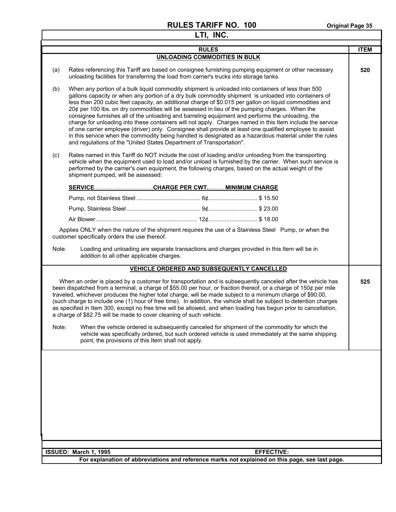| LTI, INC. |                                                                                                                                                                                                                                                                                                                                                                                                                                                                                                                                                                                                                                                                                                                                                                                                                                                                                                                                        |                                            |                                                                                                         |             |
|-----------|----------------------------------------------------------------------------------------------------------------------------------------------------------------------------------------------------------------------------------------------------------------------------------------------------------------------------------------------------------------------------------------------------------------------------------------------------------------------------------------------------------------------------------------------------------------------------------------------------------------------------------------------------------------------------------------------------------------------------------------------------------------------------------------------------------------------------------------------------------------------------------------------------------------------------------------|--------------------------------------------|---------------------------------------------------------------------------------------------------------|-------------|
|           |                                                                                                                                                                                                                                                                                                                                                                                                                                                                                                                                                                                                                                                                                                                                                                                                                                                                                                                                        | <b>RULES</b>                               |                                                                                                         | <b>ITEM</b> |
|           |                                                                                                                                                                                                                                                                                                                                                                                                                                                                                                                                                                                                                                                                                                                                                                                                                                                                                                                                        | UNLOADING COMMODITIES IN BULK              |                                                                                                         |             |
| (a)       | unloading facilities for transferring the load from carrier's trucks into storage tanks.                                                                                                                                                                                                                                                                                                                                                                                                                                                                                                                                                                                                                                                                                                                                                                                                                                               |                                            | Rates referencing this Tariff are based on consignee furnishing pumping equipment or other necessary    | 520         |
| (b)       | When any portion of a bulk liquid commodity shipment is unloaded into containers of less than 500<br>gallons capacity or when any portion of a dry bulk commodity shipment is unloaded into containers of<br>less than 200 cubic feet capacity, an additional charge of \$0.015 per gallon on liquid commodities and<br>20¢ per 100 lbs. on dry commodities will be assessed in lieu of the pumping charges. When the<br>consignee furnishes all of the unloading and barreling equipment and performs the unloading, the<br>charge for unloading into these containers will not apply. Charges named in this Item include the service<br>of one carrier employee (driver) only. Consignee shall provide at least one qualified employee to assist<br>in this service when the commodity being handled is designated as a hazardous material under the rules<br>and regulations of the "United States Department of Transportation".   |                                            |                                                                                                         |             |
| (c)       | Rates named in this Tariff do NOT include the cost of loading and/or unloading from the transporting<br>performed by the carrier's own equipment, the following charges, based on the actual weight of the<br>shipment pumped, will be assessed:                                                                                                                                                                                                                                                                                                                                                                                                                                                                                                                                                                                                                                                                                       |                                            | vehicle when the equipment used to load and/or unload is furnished by the carrier. When such service is |             |
|           |                                                                                                                                                                                                                                                                                                                                                                                                                                                                                                                                                                                                                                                                                                                                                                                                                                                                                                                                        |                                            |                                                                                                         |             |
|           |                                                                                                                                                                                                                                                                                                                                                                                                                                                                                                                                                                                                                                                                                                                                                                                                                                                                                                                                        |                                            |                                                                                                         |             |
|           |                                                                                                                                                                                                                                                                                                                                                                                                                                                                                                                                                                                                                                                                                                                                                                                                                                                                                                                                        |                                            |                                                                                                         |             |
|           |                                                                                                                                                                                                                                                                                                                                                                                                                                                                                                                                                                                                                                                                                                                                                                                                                                                                                                                                        |                                            |                                                                                                         |             |
|           | Applies ONLY when the nature of the shipment requires the use of a Stainless Steel Pump, or when the<br>customer specifically orders the use thereof.<br>Note:<br>Loading and unloading are separate transactions and charges provided in this Item will be in<br>addition to all other applicable charges.                                                                                                                                                                                                                                                                                                                                                                                                                                                                                                                                                                                                                            |                                            |                                                                                                         |             |
|           |                                                                                                                                                                                                                                                                                                                                                                                                                                                                                                                                                                                                                                                                                                                                                                                                                                                                                                                                        | VEHICLE ORDERED AND SUBSEQUENTLY CANCELLED |                                                                                                         |             |
|           | When an order is placed by a customer for transportation and is subsequently canceled after the vehicle has<br>been dispatched from a terminal, a charge of \$55.00 per hour, or fraction thereof, or a charge of 150¢ per mile<br>traveled, whichever produces the higher total charge, will be made subject to a minimum charge of \$90.00,<br>(such charge to include one (1) hour of free time). In addition, the vehicle shall be subject to detention charges<br>as specified in Item 300, except no free time will be allowed, and when loading has begun prior to cancellation,<br>a charge of \$82.75 will be made to cover cleaning of such vehicle.<br>Note:<br>When the vehicle ordered is subsequently canceled for shipment of the commodity for which the<br>vehicle was specifically ordered, but such ordered vehicle is used immediately at the same shipping<br>point, the provisions of this Item shall not apply. |                                            | 525                                                                                                     |             |
|           |                                                                                                                                                                                                                                                                                                                                                                                                                                                                                                                                                                                                                                                                                                                                                                                                                                                                                                                                        |                                            |                                                                                                         |             |
|           | ISSUED: March 1, 1995                                                                                                                                                                                                                                                                                                                                                                                                                                                                                                                                                                                                                                                                                                                                                                                                                                                                                                                  |                                            | <b>EFFECTIVE:</b>                                                                                       |             |
|           | For explanation of abbreviations and reference marks not explained on this page, see last page.                                                                                                                                                                                                                                                                                                                                                                                                                                                                                                                                                                                                                                                                                                                                                                                                                                        |                                            |                                                                                                         |             |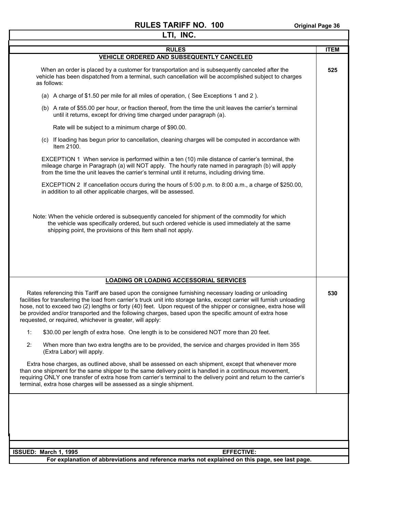٦

| LTI, INC.                                                                                                                                                                                                                                                                                                                                                                                                                                                                                                                    |             |
|------------------------------------------------------------------------------------------------------------------------------------------------------------------------------------------------------------------------------------------------------------------------------------------------------------------------------------------------------------------------------------------------------------------------------------------------------------------------------------------------------------------------------|-------------|
| <b>RULES</b>                                                                                                                                                                                                                                                                                                                                                                                                                                                                                                                 | <b>ITEM</b> |
| <b>VEHICLE ORDERED AND SUBSEQUENTLY CANCELED</b>                                                                                                                                                                                                                                                                                                                                                                                                                                                                             |             |
| When an order is placed by a customer for transportation and is subsequently canceled after the<br>vehicle has been dispatched from a terminal, such cancellation will be accomplished subject to charges<br>as follows:                                                                                                                                                                                                                                                                                                     | 525         |
| (a) A charge of \$1.50 per mile for all miles of operation, (See Exceptions 1 and 2).                                                                                                                                                                                                                                                                                                                                                                                                                                        |             |
| (b) A rate of \$55.00 per hour, or fraction thereof, from the time the unit leaves the carrier's terminal<br>until it returns, except for driving time charged under paragraph (a).                                                                                                                                                                                                                                                                                                                                          |             |
| Rate will be subject to a minimum charge of \$90.00.                                                                                                                                                                                                                                                                                                                                                                                                                                                                         |             |
| (c) If loading has begun prior to cancellation, cleaning charges will be computed in accordance with<br>Item 2100.                                                                                                                                                                                                                                                                                                                                                                                                           |             |
| EXCEPTION 1 When service is performed within a ten (10) mile distance of carrier's terminal, the<br>mileage charge in Paragraph (a) will NOT apply. The hourly rate named in paragraph (b) will apply<br>from the time the unit leaves the carrier's terminal until it returns, including driving time.                                                                                                                                                                                                                      |             |
| EXCEPTION 2 If cancellation occurs during the hours of 5:00 p.m. to 8:00 a.m., a charge of \$250.00,<br>in addition to all other applicable charges, will be assessed.                                                                                                                                                                                                                                                                                                                                                       |             |
| Note: When the vehicle ordered is subsequently canceled for shipment of the commodity for which<br>the vehicle was specifically ordered, but such ordered vehicle is used immediately at the same<br>shipping point, the provisions of this Item shall not apply.                                                                                                                                                                                                                                                            |             |
| <b>LOADING OR LOADING ACCESSORIAL SERVICES</b>                                                                                                                                                                                                                                                                                                                                                                                                                                                                               |             |
|                                                                                                                                                                                                                                                                                                                                                                                                                                                                                                                              |             |
| Rates referencing this Tariff are based upon the consignee furnishing necessary loading or unloading<br>facilities for transferring the load from carrier's truck unit into storage tanks, except carrier will furnish unloading<br>hose, not to exceed two (2) lengths or forty (40) feet. Upon request of the shipper or consignee, extra hose will<br>be provided and/or transported and the following charges, based upon the specific amount of extra hose<br>requested, or required, whichever is greater, will apply: | 530         |
| 1:<br>\$30.00 per length of extra hose. One length is to be considered NOT more than 20 feet.                                                                                                                                                                                                                                                                                                                                                                                                                                |             |
| 2:<br>When more than two extra lengths are to be provided, the service and charges provided in Item 355<br>(Extra Labor) will apply.                                                                                                                                                                                                                                                                                                                                                                                         |             |
| Extra hose charges, as outlined above, shall be assessed on each shipment, except that whenever more<br>than one shipment for the same shipper to the same delivery point is handled in a continuous movement,<br>requiring ONLY one transfer of extra hose from carrier's terminal to the delivery point and return to the carrier's<br>terminal, extra hose charges will be assessed as a single shipment.                                                                                                                 |             |
|                                                                                                                                                                                                                                                                                                                                                                                                                                                                                                                              |             |
|                                                                                                                                                                                                                                                                                                                                                                                                                                                                                                                              |             |
|                                                                                                                                                                                                                                                                                                                                                                                                                                                                                                                              |             |
|                                                                                                                                                                                                                                                                                                                                                                                                                                                                                                                              |             |
| ISSUED: March 1, 1995<br><b>EFFECTIVE:</b>                                                                                                                                                                                                                                                                                                                                                                                                                                                                                   |             |
| For explanation of abbreviations and reference marks not explained on this page, see last page.                                                                                                                                                                                                                                                                                                                                                                                                                              |             |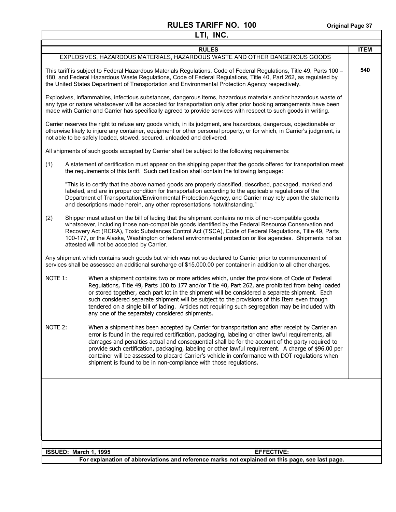| LTI, INC. |                                                                                                                                                                                                                                                                                                                                                                                                                                                                                                                                                                                             |             |
|-----------|---------------------------------------------------------------------------------------------------------------------------------------------------------------------------------------------------------------------------------------------------------------------------------------------------------------------------------------------------------------------------------------------------------------------------------------------------------------------------------------------------------------------------------------------------------------------------------------------|-------------|
|           | <b>RULES</b>                                                                                                                                                                                                                                                                                                                                                                                                                                                                                                                                                                                | <b>ITEM</b> |
|           | EXPLOSIVES, HAZARDOUS MATERIALS, HAZARDOUS WASTE AND OTHER DANGEROUS GOODS                                                                                                                                                                                                                                                                                                                                                                                                                                                                                                                  |             |
|           | This tariff is subject to Federal Hazardous Materials Regulations, Code of Federal Regulations, Title 49, Parts 100 -<br>180, and Federal Hazardous Waste Regulations, Code of Federal Regulations, Title 40, Part 262, as regulated by<br>the United States Department of Transportation and Environmental Protection Agency respectively.                                                                                                                                                                                                                                                 | 540         |
|           | Explosives, inflammables, infectious substances, dangerous items, hazardous materials and/or hazardous waste of<br>any type or nature whatsoever will be accepted for transportation only after prior booking arrangements have been<br>made with Carrier and Carrier has specifically agreed to provide services with respect to such goods in writing.                                                                                                                                                                                                                                    |             |
|           | Carrier reserves the right to refuse any goods which, in its judgment, are hazardous, dangerous, objectionable or<br>otherwise likely to injure any container, equipment or other personal property, or for which, in Carrier's judgment, is<br>not able to be safely loaded, stowed, secured, unloaded and delivered.                                                                                                                                                                                                                                                                      |             |
|           | All shipments of such goods accepted by Carrier shall be subject to the following requirements:                                                                                                                                                                                                                                                                                                                                                                                                                                                                                             |             |
| (1)       | A statement of certification must appear on the shipping paper that the goods offered for transportation meet<br>the requirements of this tariff. Such certification shall contain the following language:                                                                                                                                                                                                                                                                                                                                                                                  |             |
|           | "This is to certify that the above named goods are properly classified, described, packaged, marked and<br>labeled, and are in proper condition for transportation according to the applicable regulations of the<br>Department of Transportation/Environmental Protection Agency, and Carrier may rely upon the statements<br>and descriptions made herein, any other representations notwithstanding."                                                                                                                                                                                    |             |
| (2)       | Shipper must attest on the bill of lading that the shipment contains no mix of non-compatible goods<br>whatsoever, including those non-compatible goods identified by the Federal Resource Conservation and<br>Recovery Act (RCRA), Toxic Substances Control Act (TSCA), Code of Federal Regulations, Title 49, Parts<br>100-177, or the Alaska, Washington or federal environmental protection or like agencies. Shipments not so<br>attested will not be accepted by Carrier.                                                                                                             |             |
|           | Any shipment which contains such goods but which was not so declared to Carrier prior to commencement of<br>services shall be assessed an additional surcharge of \$15,000.00 per container in addition to all other charges.                                                                                                                                                                                                                                                                                                                                                               |             |
| NOTE 1:   | When a shipment contains two or more articles which, under the provisions of Code of Federal<br>Regulations, Title 49, Parts 100 to 177 and/or Title 40, Part 262, are prohibited from being loaded<br>or stored together, each part lot in the shipment will be considered a separate shipment. Each<br>such considered separate shipment will be subject to the provisions of this Item even though<br>tendered on a single bill of lading. Articles not requiring such segregation may be included with<br>any one of the separately considered shipments.                               |             |
| NOTE 2:   | When a shipment has been accepted by Carrier for transportation and after receipt by Carrier an<br>error is found in the required certification, packaging, labeling or other lawful requirements, all<br>damages and penalties actual and consequential shall be for the account of the party required to<br>provide such certification, packaging, labeling or other lawful requirement. A charge of \$96.00 per<br>container will be assessed to placard Carrier's vehicle in conformance with DOT regulations when<br>shipment is found to be in non-compliance with those regulations. |             |
|           |                                                                                                                                                                                                                                                                                                                                                                                                                                                                                                                                                                                             |             |
|           | ISSUED: March 1, 1995<br><b>EFFECTIVE:</b>                                                                                                                                                                                                                                                                                                                                                                                                                                                                                                                                                  |             |
|           | For explanation of abbreviations and reference marks not explained on this page, see last page.                                                                                                                                                                                                                                                                                                                                                                                                                                                                                             |             |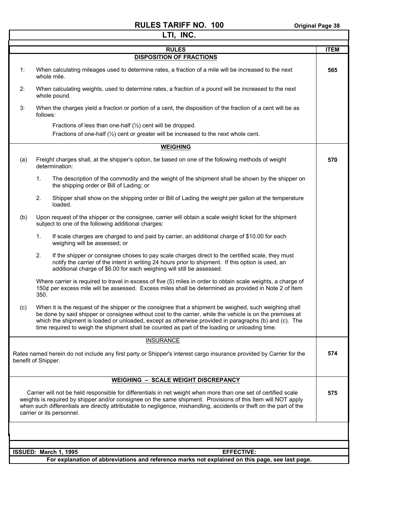#### **RULES TARIFF NO. 100** Original Page 38 **LTI, INC.**

Т

٦

| LII, 114V. |                                                                                                                                                                                                                                                                                                                                                                                                                                |             |  |
|------------|--------------------------------------------------------------------------------------------------------------------------------------------------------------------------------------------------------------------------------------------------------------------------------------------------------------------------------------------------------------------------------------------------------------------------------|-------------|--|
|            | <b>RULES</b>                                                                                                                                                                                                                                                                                                                                                                                                                   | <b>ITEM</b> |  |
|            | <b>DISPOSITION OF FRACTIONS</b>                                                                                                                                                                                                                                                                                                                                                                                                |             |  |
| 1:         | When calculating mileages used to determine rates, a fraction of a mile will be increased to the next<br>whole mile.                                                                                                                                                                                                                                                                                                           | 565         |  |
| 2:         | When calculating weights, used to determine rates, a fraction of a pound will be increased to the next<br>whole pound.                                                                                                                                                                                                                                                                                                         |             |  |
| 3:         | When the charges yield a fraction or portion of a cent, the disposition of the fraction of a cent will be as<br>follows:                                                                                                                                                                                                                                                                                                       |             |  |
|            | Fractions of less than one-half $(\frac{1}{2})$ cent will be dropped.                                                                                                                                                                                                                                                                                                                                                          |             |  |
|            | Fractions of one-half $(\frac{1}{2})$ cent or greater will be increased to the next whole cent.                                                                                                                                                                                                                                                                                                                                |             |  |
|            | <b>WEIGHING</b>                                                                                                                                                                                                                                                                                                                                                                                                                |             |  |
|            |                                                                                                                                                                                                                                                                                                                                                                                                                                |             |  |
| (a)        | Freight charges shall, at the shipper's option, be based on one of the following methods of weight<br>determination:                                                                                                                                                                                                                                                                                                           | 570         |  |
|            | 1.<br>The description of the commodity and the weight of the shipment shall be shown by the shipper on<br>the shipping order or Bill of Lading; or                                                                                                                                                                                                                                                                             |             |  |
|            | 2.<br>Shipper shall show on the shipping order or Bill of Lading the weight per gallon at the temperature<br>loaded.                                                                                                                                                                                                                                                                                                           |             |  |
| (b)        | Upon request of the shipper or the consignee, carrier will obtain a scale weight ticket for the shipment<br>subject to one of the following additional charges:                                                                                                                                                                                                                                                                |             |  |
|            | If scale charges are charged to and paid by carrier, an additional charge of \$10.00 for each<br>1.<br>weighing will be assessed; or                                                                                                                                                                                                                                                                                           |             |  |
|            | 2.<br>If the shipper or consignee choses to pay scale charges direct to the certified scale, they must<br>notify the carrier of the intent in writing 24 hours prior to shipment. If this option is used, an<br>additional charge of \$6.00 for each weighing will still be assessed.                                                                                                                                          |             |  |
|            | Where carrier is required to travel in excess of five (5) miles in order to obtain scale weights, a charge of<br>150¢ per excess mile will be assessed. Excess miles shall be determined as provided in Note 2 of Item<br>350.                                                                                                                                                                                                 |             |  |
| (c)        | When it is the request of the shipper or the consignee that a shipment be weighed, such weighing shall<br>be done by said shipper or consignee without cost to the carrier, while the vehicle is on the premises at<br>which the shipment is loaded or unloaded, except as otherwise provided in paragraphs (b) and (c). The<br>time required to weigh the shipment shall be counted as part of the loading or unloading time. |             |  |
|            | <b>INSURANCE</b>                                                                                                                                                                                                                                                                                                                                                                                                               |             |  |
|            | Rates named herein do not include any first party or Shipper's interest cargo insurance provided by Carrier for the<br>benefit of Shipper.                                                                                                                                                                                                                                                                                     | 574         |  |
|            | <b>WEIGHING - SCALE WEIGHT DISCREPANCY</b>                                                                                                                                                                                                                                                                                                                                                                                     |             |  |
|            | Carrier will not be held responsible for differentials in net weight when more than one set of certified scale<br>575<br>weights is required by shipper and/or consignee on the same shipment. Provisions of this Item will NOT apply<br>when such differentials are directly attributable to negligence, mishandling, accidents or theft on the part of the<br>carrier or its personnel.                                      |             |  |
|            |                                                                                                                                                                                                                                                                                                                                                                                                                                |             |  |
|            |                                                                                                                                                                                                                                                                                                                                                                                                                                |             |  |
|            | <b>EFFECTIVE:</b><br>ISSUED: March 1, 1995<br>For explanation of abbreviations and reference marks not explained on this page, see last page.                                                                                                                                                                                                                                                                                  |             |  |
|            |                                                                                                                                                                                                                                                                                                                                                                                                                                |             |  |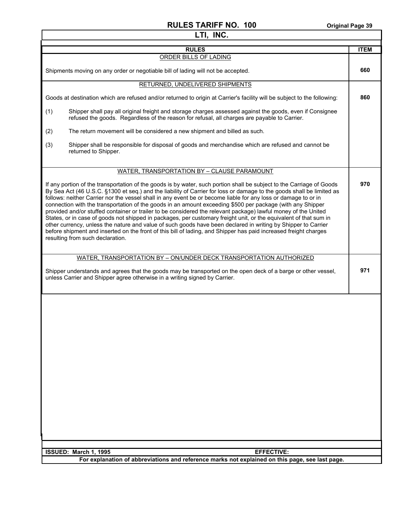# **LTI, INC.**  RULES **ITEM** ORDER BILLS OF LADING Shipments moving on any order or negotiable bill of lading will not be accepted. **660**  RETURNED, UNDELIVERED SHIPMENTS Goods at destination which are refused and/or returned to origin at Carrier's facility will be subject to the following: (1) Shipper shall pay all original freight and storage charges assessed against the goods, even if Consignee refused the goods. Regardless of the reason for refusal, all charges are payable to Carrier. (2) The return movement will be considered a new shipment and billed as such. (3) Shipper shall be responsible for disposal of goods and merchandise which are refused and cannot be returned to Shipper. **860**  WATER, TRANSPORTATION BY – CLAUSE PARAMOUNT If any portion of the transportation of the goods is by water, such portion shall be subject to the Carriage of Goods By Sea Act (46 U.S.C. §1300 et seq.) and the liability of Carrier for loss or damage to the goods shall be limited as follows: neither Carrier nor the vessel shall in any event be or become liable for any loss or damage to or in connection with the transportation of the goods in an amount exceeding \$500 per package (with any Shipper provided and/or stuffed container or trailer to be considered the relevant package) lawful money of the United States, or in case of goods not shipped in packages, per customary freight unit, or the equivalent of that sum in other currency, unless the nature and value of such goods have been declared in writing by Shipper to Carrier before shipment and inserted on the front of this bill of lading, and Shipper has paid increased freight charges resulting from such declaration. **970**  WATER, TRANSPORTATION BY – ON/UNDER DECK TRANSPORTATION AUTHORIZED Shipper understands and agrees that the goods may be transported on the open deck of a barge or other vessel, unless Carrier and Shipper agree otherwise in a writing signed by Carrier. **971**

| l ISSUED: March 1. 1995 | <b>EFFECTIVE:</b>                                                                               |
|-------------------------|-------------------------------------------------------------------------------------------------|
|                         | For explanation of abbreviations and reference marks not explained on this page, see last page. |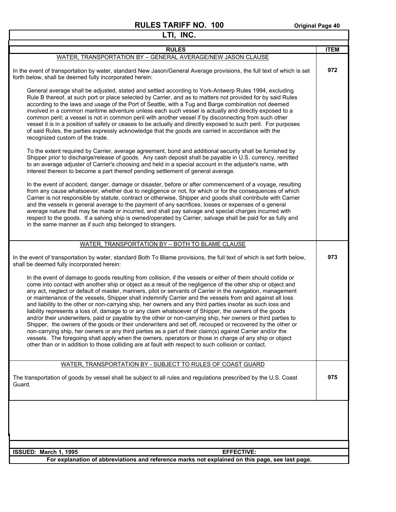| LTI, INC.                                                                                                                                                                                                                                                                                                                                                                                                                                                                                                                                                                                                                                                                                                                                                                                                                                                                                                                                                                                                                                                                                                                                                                                                                                                                                                                                                                                                         |             |
|-------------------------------------------------------------------------------------------------------------------------------------------------------------------------------------------------------------------------------------------------------------------------------------------------------------------------------------------------------------------------------------------------------------------------------------------------------------------------------------------------------------------------------------------------------------------------------------------------------------------------------------------------------------------------------------------------------------------------------------------------------------------------------------------------------------------------------------------------------------------------------------------------------------------------------------------------------------------------------------------------------------------------------------------------------------------------------------------------------------------------------------------------------------------------------------------------------------------------------------------------------------------------------------------------------------------------------------------------------------------------------------------------------------------|-------------|
| <b>RULES</b>                                                                                                                                                                                                                                                                                                                                                                                                                                                                                                                                                                                                                                                                                                                                                                                                                                                                                                                                                                                                                                                                                                                                                                                                                                                                                                                                                                                                      | <b>ITEM</b> |
| WATER, TRANSPORTATION BY - GENERAL AVERAGE/NEW JASON CLAUSE                                                                                                                                                                                                                                                                                                                                                                                                                                                                                                                                                                                                                                                                                                                                                                                                                                                                                                                                                                                                                                                                                                                                                                                                                                                                                                                                                       |             |
| In the event of transportation by water, standard New Jason/General Average provisions, the full text of which is set<br>forth below, shall be deemed fully incorporated herein:                                                                                                                                                                                                                                                                                                                                                                                                                                                                                                                                                                                                                                                                                                                                                                                                                                                                                                                                                                                                                                                                                                                                                                                                                                  | 972         |
| General average shall be adjusted, stated and settled according to York-Antwerp Rules 1994, excluding<br>Rule B thereof, at such port or place selected by Carrier, and as to matters not provided for by said Rules<br>according to the laws and usage of the Port of Seattle, with a Tug and Barge combination not deemed<br>involved in a common maritime adventure unless each such vessel is actually and directly exposed to a<br>common peril; a vessel is not in common peril with another vessel if by disconnecting from such other<br>vessel it is in a position of safety or ceases to be actually and directly exposed to such peril. For purposes<br>of said Rules, the parties expressly acknowledge that the goods are carried in accordance with the<br>recognized custom of the trade.                                                                                                                                                                                                                                                                                                                                                                                                                                                                                                                                                                                                          |             |
| To the extent required by Carrier, average agreement, bond and additional security shall be furnished by<br>Shipper prior to discharge/release of goods. Any cash deposit shall be payable in U.S. currency, remitted<br>to an average adjuster of Carrier's choosing and held in a special account in the adjuster's name, with<br>interest thereon to become a part thereof pending settlement of general average.                                                                                                                                                                                                                                                                                                                                                                                                                                                                                                                                                                                                                                                                                                                                                                                                                                                                                                                                                                                              |             |
| In the event of accident, danger, damage or disaster, before or after commencement of a voyage, resulting<br>from any cause whatsoever, whether due to negligence or not, for which or for the consequences of which<br>Carrier is not responsible by statute, contract or otherwise, Shipper and goods shall contribute with Carrier<br>and the vessels in general average to the payment of any sacrifices, losses or expenses of a general<br>average nature that may be made or incurred, and shall pay salvage and special charges incurred with<br>respect to the goods. If a salving ship is owned/operated by Carrier, salvage shall be paid for as fully and<br>in the same manner as if such ship belonged to strangers.                                                                                                                                                                                                                                                                                                                                                                                                                                                                                                                                                                                                                                                                                |             |
| WATER, TRANSPORTATION BY - BOTH TO BLAME CLAUSE                                                                                                                                                                                                                                                                                                                                                                                                                                                                                                                                                                                                                                                                                                                                                                                                                                                                                                                                                                                                                                                                                                                                                                                                                                                                                                                                                                   |             |
| In the event of transportation by water, standard Both To Blame provisions, the full text of which is set forth below,<br>shall be deemed fully incorporated herein:<br>In the event of damage to goods resulting from collision, if the vessels or either of them should collide or<br>come into contact with another ship or object as a result of the negligence of the other ship or object and<br>any act, neglect or default of master, mariners, pilot or servants of Carrier in the navigation, management<br>or maintenance of the vessels, Shipper shall indemnify Carrier and the vessels from and against all loss<br>and liability to the other or non-carrying ship, her owners and any third parties insofar as such loss and<br>liability represents a loss of, damage to or any claim whatsoever of Shipper, the owners of the goods<br>and/or their underwriters, paid or payable by the other or non-carrying ship, her owners or third parties to<br>Shipper, the owners of the goods or their underwriters and set off, recouped or recovered by the other or<br>non-carrying ship, her owners or any third parties as a part of their claim(s) against Carrier and/or the<br>vessels. The foregoing shall apply when the owners, operators or those in charge of any ship or object<br>other than or in addition to those colliding are at fault with respect to such collision or contact. | 973         |
| WATER, TRANSPORTATION BY - SUBJECT TO RULES OF COAST GUARD                                                                                                                                                                                                                                                                                                                                                                                                                                                                                                                                                                                                                                                                                                                                                                                                                                                                                                                                                                                                                                                                                                                                                                                                                                                                                                                                                        |             |
| The transportation of goods by vessel shall be subject to all rules and regulations prescribed by the U.S. Coast<br>Guard.                                                                                                                                                                                                                                                                                                                                                                                                                                                                                                                                                                                                                                                                                                                                                                                                                                                                                                                                                                                                                                                                                                                                                                                                                                                                                        | 975         |
|                                                                                                                                                                                                                                                                                                                                                                                                                                                                                                                                                                                                                                                                                                                                                                                                                                                                                                                                                                                                                                                                                                                                                                                                                                                                                                                                                                                                                   |             |
|                                                                                                                                                                                                                                                                                                                                                                                                                                                                                                                                                                                                                                                                                                                                                                                                                                                                                                                                                                                                                                                                                                                                                                                                                                                                                                                                                                                                                   |             |
| ISSUED: March 1, 1995<br><b>EFFECTIVE:</b><br>For explanation of abbreviations and reference marks not explained on this page, see last page.                                                                                                                                                                                                                                                                                                                                                                                                                                                                                                                                                                                                                                                                                                                                                                                                                                                                                                                                                                                                                                                                                                                                                                                                                                                                     |             |
|                                                                                                                                                                                                                                                                                                                                                                                                                                                                                                                                                                                                                                                                                                                                                                                                                                                                                                                                                                                                                                                                                                                                                                                                                                                                                                                                                                                                                   |             |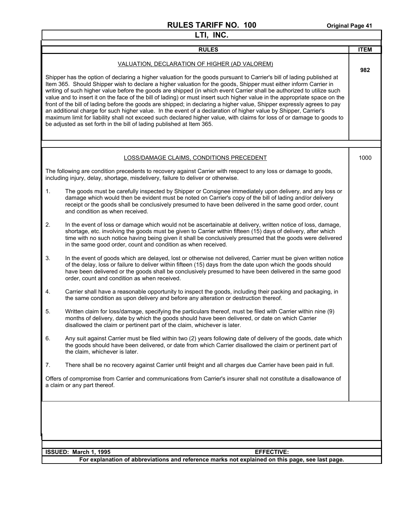| LTI, INC. |                                                                                                                                                                                                                                                                                                                                                                                                                                                                                                                                                                                                                                                                                                                                                                                                                                                                                                                                                                                                    |             |
|-----------|----------------------------------------------------------------------------------------------------------------------------------------------------------------------------------------------------------------------------------------------------------------------------------------------------------------------------------------------------------------------------------------------------------------------------------------------------------------------------------------------------------------------------------------------------------------------------------------------------------------------------------------------------------------------------------------------------------------------------------------------------------------------------------------------------------------------------------------------------------------------------------------------------------------------------------------------------------------------------------------------------|-------------|
|           | <b>RULES</b>                                                                                                                                                                                                                                                                                                                                                                                                                                                                                                                                                                                                                                                                                                                                                                                                                                                                                                                                                                                       | <b>ITEM</b> |
|           | VALUATION, DECLARATION OF HIGHER (AD VALOREM)<br>Shipper has the option of declaring a higher valuation for the goods pursuant to Carrier's bill of lading published at<br>Item 365. Should Shipper wish to declare a higher valuation for the goods, Shipper must either inform Carrier in<br>writing of such higher value before the goods are shipped (in which event Carrier shall be authorized to utilize such<br>value and to insert it on the face of the bill of lading) or must insert such higher value in the appropriate space on the<br>front of the bill of lading before the goods are shipped; in declaring a higher value, Shipper expressly agrees to pay<br>an additional charge for such higher value. In the event of a declaration of higher value by Shipper, Carrier's<br>maximum limit for liability shall not exceed such declared higher value, with claims for loss of or damage to goods to<br>be adjusted as set forth in the bill of lading published at Item 365. | 982         |
|           | LOSS/DAMAGE CLAIMS, CONDITIONS PRECEDENT                                                                                                                                                                                                                                                                                                                                                                                                                                                                                                                                                                                                                                                                                                                                                                                                                                                                                                                                                           | 1000        |
|           | The following are condition precedents to recovery against Carrier with respect to any loss or damage to goods,<br>including injury, delay, shortage, misdelivery, failure to deliver or otherwise.                                                                                                                                                                                                                                                                                                                                                                                                                                                                                                                                                                                                                                                                                                                                                                                                |             |
| 1.        | The goods must be carefully inspected by Shipper or Consignee immediately upon delivery, and any loss or<br>damage which would then be evident must be noted on Carrier's copy of the bill of lading and/or delivery<br>receipt or the goods shall be conclusively presumed to have been delivered in the same good order, count<br>and condition as when received.                                                                                                                                                                                                                                                                                                                                                                                                                                                                                                                                                                                                                                |             |
| 2.        | In the event of loss or damage which would not be ascertainable at delivery, written notice of loss, damage,<br>shortage, etc. involving the goods must be given to Carrier within fifteen (15) days of delivery, after which<br>time with no such notice having being given it shall be conclusively presumed that the goods were delivered<br>in the same good order, count and condition as when received.                                                                                                                                                                                                                                                                                                                                                                                                                                                                                                                                                                                      |             |
| 3.        | In the event of goods which are delayed, lost or otherwise not delivered, Carrier must be given written notice<br>of the delay, loss or failure to deliver within fifteen (15) days from the date upon which the goods should<br>have been delivered or the goods shall be conclusively presumed to have been delivered in the same good<br>order, count and condition as when received.                                                                                                                                                                                                                                                                                                                                                                                                                                                                                                                                                                                                           |             |
| 4.        | Carrier shall have a reasonable opportunity to inspect the goods, including their packing and packaging, in<br>the same condition as upon delivery and before any alteration or destruction thereof.                                                                                                                                                                                                                                                                                                                                                                                                                                                                                                                                                                                                                                                                                                                                                                                               |             |
| 5.        | Written claim for loss/damage, specifying the particulars thereof, must be filed with Carrier within nine (9)<br>months of delivery, date by which the goods should have been delivered, or date on which Carrier<br>disallowed the claim or pertinent part of the claim, whichever is later.                                                                                                                                                                                                                                                                                                                                                                                                                                                                                                                                                                                                                                                                                                      |             |
| 6.        | Any suit against Carrier must be filed within two (2) years following date of delivery of the goods, date which<br>the goods should have been delivered, or date from which Carrier disallowed the claim or pertinent part of<br>the claim, whichever is later.                                                                                                                                                                                                                                                                                                                                                                                                                                                                                                                                                                                                                                                                                                                                    |             |
| 7.        | There shall be no recovery against Carrier until freight and all charges due Carrier have been paid in full.                                                                                                                                                                                                                                                                                                                                                                                                                                                                                                                                                                                                                                                                                                                                                                                                                                                                                       |             |
|           | Offers of compromise from Carrier and communications from Carrier's insurer shall not constitute a disallowance of<br>a claim or any part thereof.                                                                                                                                                                                                                                                                                                                                                                                                                                                                                                                                                                                                                                                                                                                                                                                                                                                 |             |
|           |                                                                                                                                                                                                                                                                                                                                                                                                                                                                                                                                                                                                                                                                                                                                                                                                                                                                                                                                                                                                    |             |
|           | <b>EFFECTIVE:</b><br>ISSUED: March 1, 1995                                                                                                                                                                                                                                                                                                                                                                                                                                                                                                                                                                                                                                                                                                                                                                                                                                                                                                                                                         |             |
|           | For explanation of abbreviations and reference marks not explained on this page, see last page.                                                                                                                                                                                                                                                                                                                                                                                                                                                                                                                                                                                                                                                                                                                                                                                                                                                                                                    |             |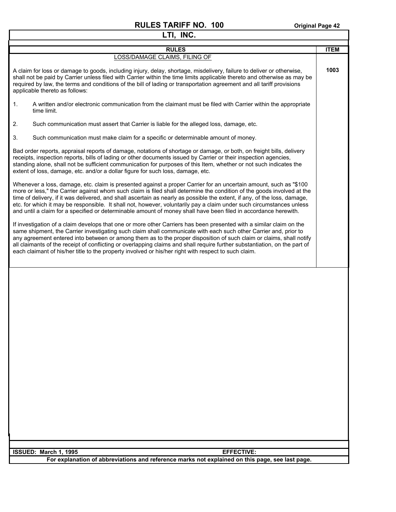| LTI, INC.                                                                                                                                                                                                                                                                                                                                                                                                                                                                                                                                                                                                           |             |  |
|---------------------------------------------------------------------------------------------------------------------------------------------------------------------------------------------------------------------------------------------------------------------------------------------------------------------------------------------------------------------------------------------------------------------------------------------------------------------------------------------------------------------------------------------------------------------------------------------------------------------|-------------|--|
| <b>RULES</b>                                                                                                                                                                                                                                                                                                                                                                                                                                                                                                                                                                                                        | <b>ITEM</b> |  |
| LOSS/DAMAGE CLAIMS, FILING OF                                                                                                                                                                                                                                                                                                                                                                                                                                                                                                                                                                                       |             |  |
| A claim for loss or damage to goods, including injury, delay, shortage, misdelivery, failure to deliver or otherwise,<br>shall not be paid by Carrier unless filed with Carrier within the time limits applicable thereto and otherwise as may be<br>required by law, the terms and conditions of the bill of lading or transportation agreement and all tariff provisions<br>applicable thereto as follows:                                                                                                                                                                                                        | 1003        |  |
| A written and/or electronic communication from the claimant must be filed with Carrier within the appropriate<br>1.<br>time limit.                                                                                                                                                                                                                                                                                                                                                                                                                                                                                  |             |  |
| 2.<br>Such communication must assert that Carrier is liable for the alleged loss, damage, etc.                                                                                                                                                                                                                                                                                                                                                                                                                                                                                                                      |             |  |
| 3.<br>Such communication must make claim for a specific or determinable amount of money.                                                                                                                                                                                                                                                                                                                                                                                                                                                                                                                            |             |  |
| Bad order reports, appraisal reports of damage, notations of shortage or damage, or both, on freight bills, delivery<br>receipts, inspection reports, bills of lading or other documents issued by Carrier or their inspection agencies,<br>standing alone, shall not be sufficient communication for purposes of this Item, whether or not such indicates the<br>extent of loss, damage, etc. and/or a dollar figure for such loss, damage, etc.                                                                                                                                                                   |             |  |
| Whenever a loss, damage, etc. claim is presented against a proper Carrier for an uncertain amount, such as "\$100<br>more or less," the Carrier against whom such claim is filed shall determine the condition of the goods involved at the<br>time of delivery, if it was delivered, and shall ascertain as nearly as possible the extent, if any, of the loss, damage,<br>etc. for which it may be responsible. It shall not, however, voluntarily pay a claim under such circumstances unless<br>and until a claim for a specified or determinable amount of money shall have been filed in accordance herewith. |             |  |
| If investigation of a claim develops that one or more other Carriers has been presented with a similar claim on the<br>same shipment, the Carrier investigating such claim shall communicate with each such other Carrier and, prior to<br>any agreement entered into between or among them as to the proper disposition of such claim or claims, shall notify<br>all claimants of the receipt of conflicting or overlapping claims and shall require further substantiation, on the part of<br>each claimant of his/her title to the property involved or his/her right with respect to such claim.                |             |  |
|                                                                                                                                                                                                                                                                                                                                                                                                                                                                                                                                                                                                                     |             |  |
| ISSUED: March 1, 1995<br><b>EFFECTIVE:</b>                                                                                                                                                                                                                                                                                                                                                                                                                                                                                                                                                                          |             |  |
| For explanation of abbreviations and reference marks not explained on this page, see last page.                                                                                                                                                                                                                                                                                                                                                                                                                                                                                                                     |             |  |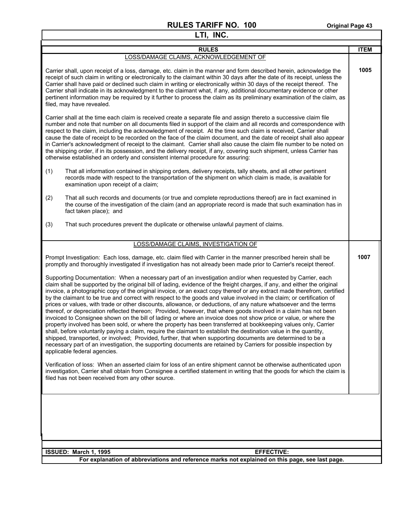$\mathsf{I}$ 

| <b>RULES</b>                                                                                                                                                                                                                                                                                                                                                                                                                                                                                                                                                                                                                                                                                                                                                                                                                                                                                                                                                                                                                                                                                                                                                                                                                                                                                                                                                         | <b>ITEM</b> |
|----------------------------------------------------------------------------------------------------------------------------------------------------------------------------------------------------------------------------------------------------------------------------------------------------------------------------------------------------------------------------------------------------------------------------------------------------------------------------------------------------------------------------------------------------------------------------------------------------------------------------------------------------------------------------------------------------------------------------------------------------------------------------------------------------------------------------------------------------------------------------------------------------------------------------------------------------------------------------------------------------------------------------------------------------------------------------------------------------------------------------------------------------------------------------------------------------------------------------------------------------------------------------------------------------------------------------------------------------------------------|-------------|
| LOSS/DAMAGE CLAIMS, ACKNOWLEDGEMENT OF                                                                                                                                                                                                                                                                                                                                                                                                                                                                                                                                                                                                                                                                                                                                                                                                                                                                                                                                                                                                                                                                                                                                                                                                                                                                                                                               |             |
| Carrier shall, upon receipt of a loss, damage, etc. claim in the manner and form described herein, acknowledge the<br>receipt of such claim in writing or electronically to the claimant within 30 days after the date of its receipt, unless the<br>Carrier shall have paid or declined such claim in writing or electronically within 30 days of the receipt thereof. The<br>Carrier shall indicate in its acknowledgment to the claimant what, if any, additional documentary evidence or other<br>pertinent information may be required by it further to process the claim as its preliminary examination of the claim, as<br>filed, may have revealed.                                                                                                                                                                                                                                                                                                                                                                                                                                                                                                                                                                                                                                                                                                          | 1005        |
| Carrier shall at the time each claim is received create a separate file and assign thereto a successive claim file<br>number and note that number on all documents filed in support of the claim and all records and correspondence with<br>respect to the claim, including the acknowledgment of receipt. At the time such claim is received, Carrier shall<br>cause the date of receipt to be recorded on the face of the claim document, and the date of receipt shall also appear<br>in Carrier's acknowledgment of receipt to the claimant. Carrier shall also cause the claim file number to be noted on<br>the shipping order, if in its possession, and the delivery receipt, if any, covering such shipment, unless Carrier has<br>otherwise established an orderly and consistent internal procedure for assuring:                                                                                                                                                                                                                                                                                                                                                                                                                                                                                                                                         |             |
| That all information contained in shipping orders, delivery receipts, tally sheets, and all other pertinent<br>(1)<br>records made with respect to the transportation of the shipment on which claim is made, is available for<br>examination upon receipt of a claim;                                                                                                                                                                                                                                                                                                                                                                                                                                                                                                                                                                                                                                                                                                                                                                                                                                                                                                                                                                                                                                                                                               |             |
| That all such records and documents (or true and complete reproductions thereof) are in fact examined in<br>(2)<br>the course of the investigation of the claim (and an appropriate record is made that such examination has in<br>fact taken place); and                                                                                                                                                                                                                                                                                                                                                                                                                                                                                                                                                                                                                                                                                                                                                                                                                                                                                                                                                                                                                                                                                                            |             |
| (3)<br>That such procedures prevent the duplicate or otherwise unlawful payment of claims.                                                                                                                                                                                                                                                                                                                                                                                                                                                                                                                                                                                                                                                                                                                                                                                                                                                                                                                                                                                                                                                                                                                                                                                                                                                                           |             |
| LOSS/DAMAGE CLAIMS, INVESTIGATION OF                                                                                                                                                                                                                                                                                                                                                                                                                                                                                                                                                                                                                                                                                                                                                                                                                                                                                                                                                                                                                                                                                                                                                                                                                                                                                                                                 |             |
| Prompt Investigation: Each loss, damage, etc. claim filed with Carrier in the manner prescribed herein shall be<br>promptly and thoroughly investigated if investigation has not already been made prior to Carrier's receipt thereof.                                                                                                                                                                                                                                                                                                                                                                                                                                                                                                                                                                                                                                                                                                                                                                                                                                                                                                                                                                                                                                                                                                                               | 1007        |
| Supporting Documentation: When a necessary part of an investigation and/or when requested by Carrier, each<br>claim shall be supported by the original bill of lading, evidence of the freight charges, if any, and either the original<br>invoice, a photographic copy of the original invoice, or an exact copy thereof or any extract made therefrom, certified<br>by the claimant to be true and correct with respect to the goods and value involved in the claim; or certification of<br>prices or values, with trade or other discounts, allowance, or deductions, of any nature whatsoever and the terms<br>thereof, or depreciation reflected thereon; Provided, however, that where goods involved in a claim has not been<br>invoiced to Consignee shown on the bill of lading or where an invoice does not show price or value, or where the<br>property involved has been sold, or where the property has been transferred at bookkeeping values only, Carrier<br>shall, before voluntarily paying a claim, require the claimant to establish the destination value in the quantity,<br>shipped, transported, or involved; Provided, further, that when supporting documents are determined to be a<br>necessary part of an investigation, the supporting documents are retained by Carriers for possible inspection by<br>applicable federal agencies. |             |
| Verification of loss: When an asserted claim for loss of an entire shipment cannot be otherwise authenticated upon<br>investigation, Carrier shall obtain from Consignee a certified statement in writing that the goods for which the claim is<br>filed has not been received from any other source.                                                                                                                                                                                                                                                                                                                                                                                                                                                                                                                                                                                                                                                                                                                                                                                                                                                                                                                                                                                                                                                                |             |
|                                                                                                                                                                                                                                                                                                                                                                                                                                                                                                                                                                                                                                                                                                                                                                                                                                                                                                                                                                                                                                                                                                                                                                                                                                                                                                                                                                      |             |
| ISSUED: March 1, 1995<br><b>EFFECTIVE:</b>                                                                                                                                                                                                                                                                                                                                                                                                                                                                                                                                                                                                                                                                                                                                                                                                                                                                                                                                                                                                                                                                                                                                                                                                                                                                                                                           |             |
| For explanation of abbreviations and reference marks not explained on this page, see last page.                                                                                                                                                                                                                                                                                                                                                                                                                                                                                                                                                                                                                                                                                                                                                                                                                                                                                                                                                                                                                                                                                                                                                                                                                                                                      |             |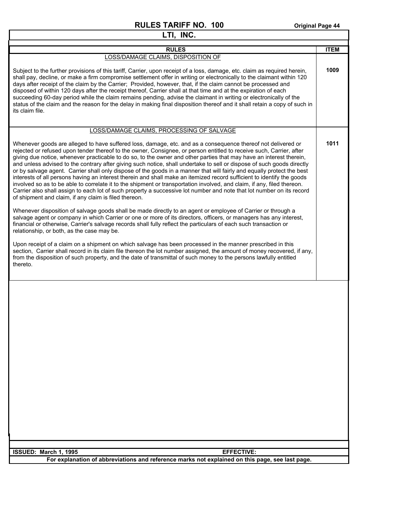| LTI, INC.                                                                                                                                                                                                                                                                                                                                                                                                                                                                                                                                                                                                                                                                                                                                                                                                                                                                                                                                                                                                                                                                                                                                                                                                                                                                                                                                                                                                                                                                                                                                                                                                                                                                                                                                                                                                                                |             |  |
|------------------------------------------------------------------------------------------------------------------------------------------------------------------------------------------------------------------------------------------------------------------------------------------------------------------------------------------------------------------------------------------------------------------------------------------------------------------------------------------------------------------------------------------------------------------------------------------------------------------------------------------------------------------------------------------------------------------------------------------------------------------------------------------------------------------------------------------------------------------------------------------------------------------------------------------------------------------------------------------------------------------------------------------------------------------------------------------------------------------------------------------------------------------------------------------------------------------------------------------------------------------------------------------------------------------------------------------------------------------------------------------------------------------------------------------------------------------------------------------------------------------------------------------------------------------------------------------------------------------------------------------------------------------------------------------------------------------------------------------------------------------------------------------------------------------------------------------|-------------|--|
| <b>RULES</b>                                                                                                                                                                                                                                                                                                                                                                                                                                                                                                                                                                                                                                                                                                                                                                                                                                                                                                                                                                                                                                                                                                                                                                                                                                                                                                                                                                                                                                                                                                                                                                                                                                                                                                                                                                                                                             | <b>ITEM</b> |  |
| LOSS/DAMAGE CLAIMS, DISPOSITION OF                                                                                                                                                                                                                                                                                                                                                                                                                                                                                                                                                                                                                                                                                                                                                                                                                                                                                                                                                                                                                                                                                                                                                                                                                                                                                                                                                                                                                                                                                                                                                                                                                                                                                                                                                                                                       |             |  |
| Subject to the further provisions of this tariff, Carrier, upon receipt of a loss, damage, etc. claim as required herein,<br>shall pay, decline, or make a firm compromise settlement offer in writing or electronically to the claimant within 120<br>days after receipt of the claim by the Carrier; Provided, however, that, if the claim cannot be processed and<br>disposed of within 120 days after the receipt thereof, Carrier shall at that time and at the expiration of each<br>succeeding 60-day period while the claim remains pending, advise the claimant in writing or electronically of the<br>status of the claim and the reason for the delay in making final disposition thereof and it shall retain a copy of such in<br>its claim file.                                                                                                                                                                                                                                                                                                                                                                                                                                                                                                                                                                                                                                                                                                                                                                                                                                                                                                                                                                                                                                                                            | 1009        |  |
| LOSS/DAMAGE CLAIMS, PROCESSING OF SALVAGE                                                                                                                                                                                                                                                                                                                                                                                                                                                                                                                                                                                                                                                                                                                                                                                                                                                                                                                                                                                                                                                                                                                                                                                                                                                                                                                                                                                                                                                                                                                                                                                                                                                                                                                                                                                                |             |  |
| Whenever goods are alleged to have suffered loss, damage, etc. and as a consequence thereof not delivered or<br>rejected or refused upon tender thereof to the owner, Consignee, or person entitled to receive such, Carrier, after<br>giving due notice, whenever practicable to do so, to the owner and other parties that may have an interest therein,<br>and unless advised to the contrary after giving such notice, shall undertake to sell or dispose of such goods directly<br>or by salvage agent. Carrier shall only dispose of the goods in a manner that will fairly and equally protect the best<br>interests of all persons having an interest therein and shall make an itemized record sufficient to identify the goods<br>involved so as to be able to correlate it to the shipment or transportation involved, and claim, if any, filed thereon.<br>Carrier also shall assign to each lot of such property a successive lot number and note that lot number on its record<br>of shipment and claim, if any claim is filed thereon.<br>Whenever disposition of salvage goods shall be made directly to an agent or employee of Carrier or through a<br>salvage agent or company in which Carrier or one or more of its directors, officers, or managers has any interest,<br>financial or otherwise, Carrier's salvage records shall fully reflect the particulars of each such transaction or<br>relationship, or both, as the case may be.<br>Upon receipt of a claim on a shipment on which salvage has been processed in the manner prescribed in this<br>section, Carrier shall record in its claim file thereon the lot number assigned, the amount of money recovered, if any,<br>from the disposition of such property, and the date of transmittal of such money to the persons lawfully entitled<br>thereto. | 1011        |  |
|                                                                                                                                                                                                                                                                                                                                                                                                                                                                                                                                                                                                                                                                                                                                                                                                                                                                                                                                                                                                                                                                                                                                                                                                                                                                                                                                                                                                                                                                                                                                                                                                                                                                                                                                                                                                                                          |             |  |
| ISSUED: March 1, 1995<br><b>EFFECTIVE:</b>                                                                                                                                                                                                                                                                                                                                                                                                                                                                                                                                                                                                                                                                                                                                                                                                                                                                                                                                                                                                                                                                                                                                                                                                                                                                                                                                                                                                                                                                                                                                                                                                                                                                                                                                                                                               |             |  |
| For explanation of abbreviations and reference marks not explained on this page, see last page.                                                                                                                                                                                                                                                                                                                                                                                                                                                                                                                                                                                                                                                                                                                                                                                                                                                                                                                                                                                                                                                                                                                                                                                                                                                                                                                                                                                                                                                                                                                                                                                                                                                                                                                                          |             |  |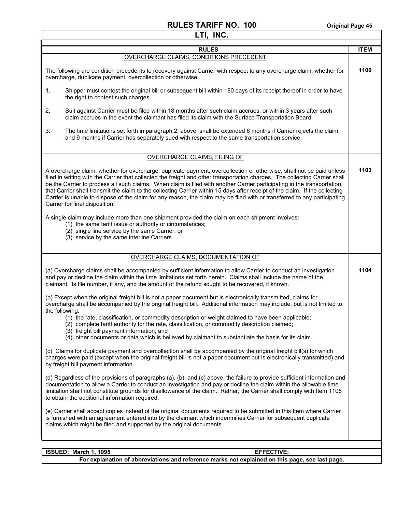| LTI, INC.                                                                                                                                                                                                                                                                                                                                                                                                                                                                                                                                                                                                                                                                      |             |  |
|--------------------------------------------------------------------------------------------------------------------------------------------------------------------------------------------------------------------------------------------------------------------------------------------------------------------------------------------------------------------------------------------------------------------------------------------------------------------------------------------------------------------------------------------------------------------------------------------------------------------------------------------------------------------------------|-------------|--|
| <b>RULES</b>                                                                                                                                                                                                                                                                                                                                                                                                                                                                                                                                                                                                                                                                   | <b>ITEM</b> |  |
| OVERCHARGE CLAIMS, CONDITIONS PRECEDENT                                                                                                                                                                                                                                                                                                                                                                                                                                                                                                                                                                                                                                        |             |  |
| The following are condition precedents to recovery against Carrier with respect to any overcharge claim, whether for<br>overcharge, duplicate payment, overcollection or otherwise:                                                                                                                                                                                                                                                                                                                                                                                                                                                                                            | 1100        |  |
| Shipper must contest the original bill or subsequent bill within 180 days of its receipt thereof in order to have<br>1.<br>the right to contest such charges.                                                                                                                                                                                                                                                                                                                                                                                                                                                                                                                  |             |  |
| 2.<br>Suit against Carrier must be filed within 18 months after such claim accrues, or within 3 years after such<br>claim accrues in the event the claimant has filed its claim with the Surface Transportation Board                                                                                                                                                                                                                                                                                                                                                                                                                                                          |             |  |
| 3.<br>The time limitations set forth in paragraph 2, above, shall be extended 6 months if Carrier rejects the claim<br>and 9 months if Carrier has separately sued with respect to the same transportation service.                                                                                                                                                                                                                                                                                                                                                                                                                                                            |             |  |
| <b>OVERCHARGE CLAIMS, FILING OF</b>                                                                                                                                                                                                                                                                                                                                                                                                                                                                                                                                                                                                                                            |             |  |
| A overcharge claim, whether for overcharge, duplicate payment, overcollection or otherwise, shall not be paid unless<br>filed in writing with the Carrier that collected the freight and other transportation charges. The collecting Carrier shall<br>be the Carrier to process all such claims. When claim is filed with another Carrier participating in the transportation,<br>that Carrier shall transmit the claim to the collecting Carrier within 15 days after receipt of the claim. If the collecting<br>Carrier is unable to dispose of the claim for any reason, the claim may be filed with or transferred to any participating<br>Carrier for final disposition. | 1103        |  |
| A single claim may include more than one shipment provided the claim on each shipment involves:<br>(1) the same tariff issue or authority or circumstances;<br>(2) single line service by the same Carrier; or<br>(3) service by the same interline Carriers.                                                                                                                                                                                                                                                                                                                                                                                                                  |             |  |
| OVERCHARGE CLAIMS, DOCUMENTATION OF                                                                                                                                                                                                                                                                                                                                                                                                                                                                                                                                                                                                                                            |             |  |
| (a) Overcharge claims shall be accompanied by sufficient information to allow Carrier to conduct an investigation<br>and pay or decline the claim within the time limitations set forth herein. Claims shall include the name of the<br>claimant, its file number, if any, and the amount of the refund sought to be recovered, if known.                                                                                                                                                                                                                                                                                                                                      | 1104        |  |
| (b) Except when the original freight bill is not a paper document but is electronically transmitted, claims for<br>overcharge shall be accompanied by the original freight bill. Additional information may include, but is not limited to,<br>the following:<br>(1) the rate, classification, or commodity description or weight claimed to have been applicable;<br>(2) complete tariff authority for the rate, classification, or commodity description claimed;<br>(3) freight bill payment information; and<br>(4) other documents or data which is believed by claimant to substantiate the basis for its claim.                                                         |             |  |
| (c) Claims for duplicate payment and overcollection shall be accompanied by the original freight bill(s) for which<br>charges were paid (except when the original freight bill is not a paper document but is electronically transmitted) and<br>by freight bill payment information.                                                                                                                                                                                                                                                                                                                                                                                          |             |  |
| (d) Regardless of the provisions of paragraphs (a), (b), and (c) above, the failure to provide sufficient information and<br>documentation to allow a Carrier to conduct an investigation and pay or decline the claim within the allowable time<br>limitation shall not constitute grounds for disallowance of the claim. Rather, the Carrier shall comply with Item 1105<br>to obtain the additional information required.                                                                                                                                                                                                                                                   |             |  |
| (e) Carrier shall accept copies instead of the original documents required to be submitted in this Item where Carrier<br>is furnished with an agreement entered into by the claimant which indemnifies Carrier for subsequent duplicate<br>claims which might be filed and supported by the original documents.                                                                                                                                                                                                                                                                                                                                                                |             |  |
|                                                                                                                                                                                                                                                                                                                                                                                                                                                                                                                                                                                                                                                                                |             |  |
| ISSUED: March 1, 1995<br><b>EFFECTIVE:</b><br>For explanation of abbreviations and reference marks not explained on this page, see last page.                                                                                                                                                                                                                                                                                                                                                                                                                                                                                                                                  |             |  |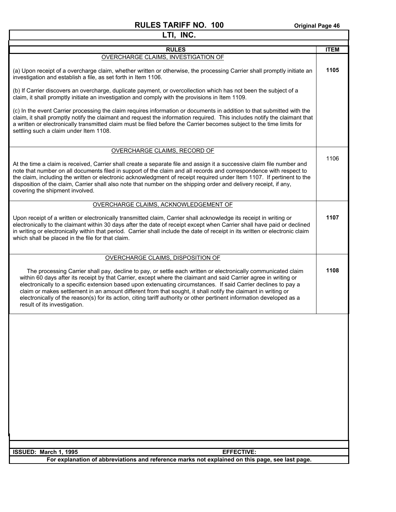| LTI, INC.                                                                                                                                                                                                                                                                                                                                                                                                                                                                                                                                                                                                                     |             |  |
|-------------------------------------------------------------------------------------------------------------------------------------------------------------------------------------------------------------------------------------------------------------------------------------------------------------------------------------------------------------------------------------------------------------------------------------------------------------------------------------------------------------------------------------------------------------------------------------------------------------------------------|-------------|--|
| <b>RULES</b>                                                                                                                                                                                                                                                                                                                                                                                                                                                                                                                                                                                                                  | <b>ITEM</b> |  |
| OVERCHARGE CLAIMS, INVESTIGATION OF                                                                                                                                                                                                                                                                                                                                                                                                                                                                                                                                                                                           |             |  |
| (a) Upon receipt of a overcharge claim, whether written or otherwise, the processing Carrier shall promptly initiate an<br>investigation and establish a file, as set forth in Item 1106.                                                                                                                                                                                                                                                                                                                                                                                                                                     | 1105        |  |
| (b) If Carrier discovers an overcharge, duplicate payment, or overcollection which has not been the subject of a<br>claim, it shall promptly initiate an investigation and comply with the provisions in Item 1109.                                                                                                                                                                                                                                                                                                                                                                                                           |             |  |
| (c) In the event Carrier processing the claim requires information or documents in addition to that submitted with the<br>claim, it shall promptly notify the claimant and request the information required. This includes notify the claimant that<br>a written or electronically transmitted claim must be filed before the Carrier becomes subject to the time limits for<br>settling such a claim under Item 1108.                                                                                                                                                                                                        |             |  |
| <b>OVERCHARGE CLAIMS, RECORD OF</b>                                                                                                                                                                                                                                                                                                                                                                                                                                                                                                                                                                                           |             |  |
| At the time a claim is received, Carrier shall create a separate file and assign it a successive claim file number and<br>note that number on all documents filed in support of the claim and all records and correspondence with respect to<br>the claim, including the written or electronic acknowledgment of receipt required under Item 1107. If pertinent to the<br>disposition of the claim, Carrier shall also note that number on the shipping order and delivery receipt, if any,<br>covering the shipment involved.                                                                                                | 1106        |  |
| OVERCHARGE CLAIMS, ACKNOWLEDGEMENT OF                                                                                                                                                                                                                                                                                                                                                                                                                                                                                                                                                                                         |             |  |
| Upon receipt of a written or electronically transmitted claim, Carrier shall acknowledge its receipt in writing or<br>electronically to the claimant within 30 days after the date of receipt except when Carrier shall have paid or declined<br>in writing or electronically within that period. Carrier shall include the date of receipt in its written or electronic claim<br>which shall be placed in the file for that claim.                                                                                                                                                                                           | 1107        |  |
| <b>OVERCHARGE CLAIMS, DISPOSITION OF</b>                                                                                                                                                                                                                                                                                                                                                                                                                                                                                                                                                                                      |             |  |
| The processing Carrier shall pay, decline to pay, or settle each written or electronically communicated claim<br>within 60 days after its receipt by that Carrier, except where the claimant and said Carrier agree in writing or<br>electronically to a specific extension based upon extenuating circumstances. If said Carrier declines to pay a<br>claim or makes settlement in an amount different from that sought, it shall notify the claimant in writing or<br>electronically of the reason(s) for its action, citing tariff authority or other pertinent information developed as a<br>result of its investigation. | 1108        |  |
|                                                                                                                                                                                                                                                                                                                                                                                                                                                                                                                                                                                                                               |             |  |
| ISSUED: March 1, 1995<br><b>EFFECTIVE:</b>                                                                                                                                                                                                                                                                                                                                                                                                                                                                                                                                                                                    |             |  |
| For explanation of abbreviations and reference marks not explained on this page, see last page.                                                                                                                                                                                                                                                                                                                                                                                                                                                                                                                               |             |  |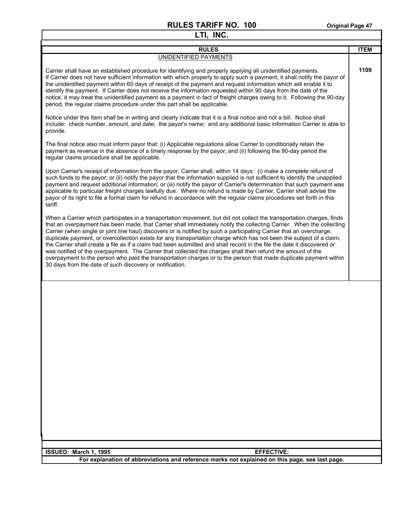| LTI, INC.                                                                                                                                                                                                                                                                                                                                                                                                                                                                                                                                                                                                                                                                                                                                                                                                                                                                                                                 |             |  |  |  |  |  |
|---------------------------------------------------------------------------------------------------------------------------------------------------------------------------------------------------------------------------------------------------------------------------------------------------------------------------------------------------------------------------------------------------------------------------------------------------------------------------------------------------------------------------------------------------------------------------------------------------------------------------------------------------------------------------------------------------------------------------------------------------------------------------------------------------------------------------------------------------------------------------------------------------------------------------|-------------|--|--|--|--|--|
| <b>RULES</b>                                                                                                                                                                                                                                                                                                                                                                                                                                                                                                                                                                                                                                                                                                                                                                                                                                                                                                              | <b>ITEM</b> |  |  |  |  |  |
| UNIDENTIFIED PAYMENTS                                                                                                                                                                                                                                                                                                                                                                                                                                                                                                                                                                                                                                                                                                                                                                                                                                                                                                     |             |  |  |  |  |  |
| Carrier shall have an established procedure for identifying and properly applying all unidentified payments.<br>If Carrier does not have sufficient information with which properly to apply such a payment, it shall notify the payor of<br>the unidentified payment within 60 days of receipt of the payment and request information which will enable it to<br>identify the payment. If Carrier does not receive the information requested within 90 days from the date of the<br>notice, it may treat the unidentified payment as a payment in fact of freight charges owing to it. Following the 90-day<br>period, the regular claims procedure under this part shall be applicable.                                                                                                                                                                                                                                 | 1109        |  |  |  |  |  |
| Notice under this Item shall be in writing and clearly indicate that it is a final notice and not a bill. Notice shall<br>include: check number, amount, and date; the payor's name; and any additional basic information Carrier is able to<br>provide.                                                                                                                                                                                                                                                                                                                                                                                                                                                                                                                                                                                                                                                                  |             |  |  |  |  |  |
| The final notice also must inform payor that: (i) Applicable regulations allow Carrier to conditionally retain the<br>payment as revenue in the absence of a timely response by the payor; and (ii) following the 90-day period the<br>regular claims procedure shall be applicable.                                                                                                                                                                                                                                                                                                                                                                                                                                                                                                                                                                                                                                      |             |  |  |  |  |  |
| Upon Carrier's receipt of information from the payor, Carrier shall, within 14 days: (i) make a complete refund of<br>such funds to the payor; or (ii) notify the payor that the information supplied is not sufficient to identify the unapplied<br>payment and request additional information; or (iii) notify the payor of Carrier's determination that such payment was<br>applicable to particular freight charges lawfully due. Where no refund is made by Carrier, Carrier shall advise the<br>payor of its right to file a formal claim for refund in accordance with the regular claims procedures set forth in this<br>tariff.                                                                                                                                                                                                                                                                                  |             |  |  |  |  |  |
| When a Carrier which participates in a transportation movement, but did not collect the transportation charges, finds<br>that an overpayment has been made, that Carrier shall immediately notify the collecting Carrier. When the collecting<br>Carrier (when single or joint line haul) discovers or is notified by such a participating Carrier that an overcharge,<br>duplicate payment, or overcollection exists for any transportation charge which has not been the subject of a claim,<br>the Carrier shall create a file as if a claim had been submitted and shall record in the file the date it discovered or<br>was notified of the overpayment. The Carrier that collected the charges shall then refund the amount of the<br>overpayment to the person who paid the transportation charges or to the person that made duplicate payment within<br>30 days from the date of such discovery or notification. |             |  |  |  |  |  |
|                                                                                                                                                                                                                                                                                                                                                                                                                                                                                                                                                                                                                                                                                                                                                                                                                                                                                                                           |             |  |  |  |  |  |
| ISSUED: March 1, 1995<br><b>EFFECTIVE:</b>                                                                                                                                                                                                                                                                                                                                                                                                                                                                                                                                                                                                                                                                                                                                                                                                                                                                                |             |  |  |  |  |  |
| For explanation of abbreviations and reference marks not explained on this page, see last page.                                                                                                                                                                                                                                                                                                                                                                                                                                                                                                                                                                                                                                                                                                                                                                                                                           |             |  |  |  |  |  |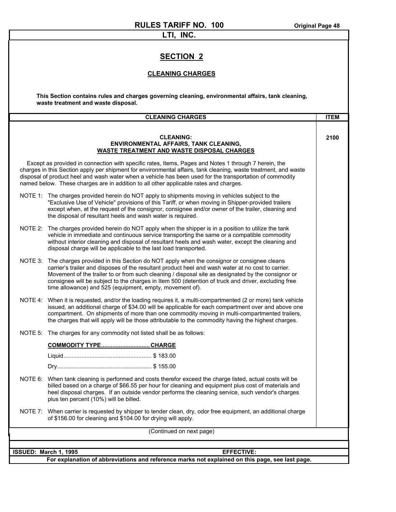#### **LTI, INC.**

#### **SECTION 2**

#### **CLEANING CHARGES**

**This Section contains rules and charges governing cleaning, environmental affairs, tank cleaning, waste treatment and waste disposal.**

|                       | <b>CLEANING CHARGES</b>                                                                                                                                                                                                                                                                                                                                                                                                                                                         | <b>ITEM</b> |  |  |  |  |  |
|-----------------------|---------------------------------------------------------------------------------------------------------------------------------------------------------------------------------------------------------------------------------------------------------------------------------------------------------------------------------------------------------------------------------------------------------------------------------------------------------------------------------|-------------|--|--|--|--|--|
|                       |                                                                                                                                                                                                                                                                                                                                                                                                                                                                                 |             |  |  |  |  |  |
|                       | <b>CLEANING:</b><br><b>ENVIRONMENTAL AFFAIRS, TANK CLEANING,</b><br><b>WASTE TREATMENT AND WASTE DISPOSAL CHARGES</b>                                                                                                                                                                                                                                                                                                                                                           | 2100        |  |  |  |  |  |
|                       | Except as provided in connection with specific rates, Items, Pages and Notes 1 through 7 herein, the<br>charges in this Section apply per shipment for environmental affairs, tank cleaning, waste treatment, and waste<br>disposal of product heel and wash water when a vehicle has been used for the transportation of commodity<br>named below. These charges are in addition to all other applicable rates and charges.                                                    |             |  |  |  |  |  |
|                       | NOTE 1: The charges provided herein do NOT apply to shipments moving in vehicles subject to the<br>"Exclusive Use of Vehicle" provisions of this Tariff, or when moving in Shipper-provided trailers<br>except when, at the request of the consignor, consignee and/or owner of the trailer, cleaning and<br>the disposal of resultant heels and wash water is required.                                                                                                        |             |  |  |  |  |  |
|                       | NOTE 2: The charges provided herein do NOT apply when the shipper is in a position to utilize the tank<br>vehicle in immediate and continuous service transporting the same or a compatible commodity<br>without interior cleaning and disposal of resultant heels and wash water, except the cleaning and<br>disposal charge will be applicable to the last load transported.                                                                                                  |             |  |  |  |  |  |
|                       | NOTE 3: The charges provided in this Section do NOT apply when the consignor or consignee cleans<br>carrier's trailer and disposes of the resultant product heel and wash water at no cost to carrier.<br>Movement of the trailer to or from such cleaning / disposal site as designated by the consignor or<br>consignee will be subject to the charges in Item 500 (detention of truck and driver, excluding free<br>time allowance) and 525 (equipment, empty, movement of). |             |  |  |  |  |  |
|                       | NOTE 4: When it is requested, and/or the loading requires it, a multi-compartmented (2 or more) tank vehicle<br>issued, an additional charge of \$34.00 will be applicable for each compartment over and above one<br>compartment. On shipments of more than one commodity moving in multi-compartmented trailers,<br>the charges that will apply will be those attributable to the commodity having the highest charges.                                                       |             |  |  |  |  |  |
|                       | NOTE 5: The charges for any commodity not listed shall be as follows:                                                                                                                                                                                                                                                                                                                                                                                                           |             |  |  |  |  |  |
|                       | COMMODITY TYPECHARGE                                                                                                                                                                                                                                                                                                                                                                                                                                                            |             |  |  |  |  |  |
|                       |                                                                                                                                                                                                                                                                                                                                                                                                                                                                                 |             |  |  |  |  |  |
|                       |                                                                                                                                                                                                                                                                                                                                                                                                                                                                                 |             |  |  |  |  |  |
|                       | NOTE 6: When tank cleaning is performed and costs therefor exceed the charge listed, actual costs will be<br>billed based on a charge of \$66.55 per hour for cleaning and equipment plus cost of materials and<br>heel disposal charges. If an outside vendor performs the cleaning service, such vendor's charges<br>plus ten percent (10%) will be billed.                                                                                                                   |             |  |  |  |  |  |
| NOTE 7:               | When carrier is requested by shipper to tender clean, dry, odor free equipment, an additional charge<br>of \$156.00 for cleaning and \$104.00 for drying will apply.                                                                                                                                                                                                                                                                                                            |             |  |  |  |  |  |
|                       | (Continued on next page)                                                                                                                                                                                                                                                                                                                                                                                                                                                        |             |  |  |  |  |  |
|                       |                                                                                                                                                                                                                                                                                                                                                                                                                                                                                 |             |  |  |  |  |  |
| ISSUED: March 1, 1995 | <b>EFFECTIVE:</b>                                                                                                                                                                                                                                                                                                                                                                                                                                                               |             |  |  |  |  |  |
|                       | For explanation of abbreviations and reference marks not explained on this page, see last page.                                                                                                                                                                                                                                                                                                                                                                                 |             |  |  |  |  |  |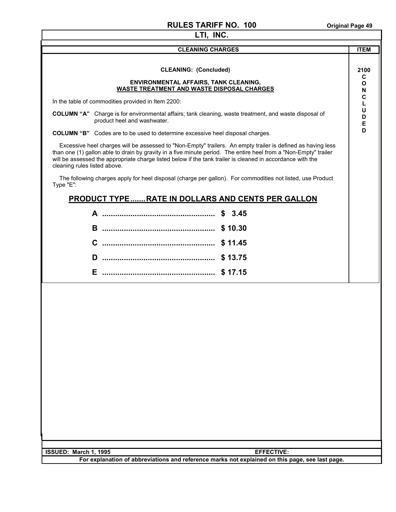| LTI, INC.                                                                                                                                                                                                                                                                                                                                                                     |                     |  |  |  |  |  |  |
|-------------------------------------------------------------------------------------------------------------------------------------------------------------------------------------------------------------------------------------------------------------------------------------------------------------------------------------------------------------------------------|---------------------|--|--|--|--|--|--|
| <b>CLEANING CHARGES</b>                                                                                                                                                                                                                                                                                                                                                       | <b>ITEM</b>         |  |  |  |  |  |  |
| <b>CLEANING: (Concluded)</b><br>ENVIRONMENTAL AFFAIRS, TANK CLEANING,<br>WASTE TREATMENT AND WASTE DISPOSAL CHARGES                                                                                                                                                                                                                                                           | 2100<br>С<br>O<br>N |  |  |  |  |  |  |
| In the table of commodities provided in Item 2200:                                                                                                                                                                                                                                                                                                                            |                     |  |  |  |  |  |  |
| <b>COLUMN "A"</b> Charge is for environmental affairs; tank cleaning, waste treatment, and waste disposal of<br>product heel and washwater.                                                                                                                                                                                                                                   | U<br>D<br>Е         |  |  |  |  |  |  |
| <b>COLUMN "B"</b> Codes are to be used to determine excessive heel disposal charges.                                                                                                                                                                                                                                                                                          | D                   |  |  |  |  |  |  |
| Excessive heel charges will be assessed to "Non-Empty" trailers. An empty trailer is defined as having less<br>than one (1) gallon able to drain by gravity in a five minute period. The entire heel from a "Non-Empty" trailer<br>will be assessed the appropriate charge listed below if the tank trailer is cleaned in accordance with the<br>cleaning rules listed above. |                     |  |  |  |  |  |  |
| The following charges apply for heel disposal (charge per gallon). For commodities not listed, use Product<br>Type "E":                                                                                                                                                                                                                                                       |                     |  |  |  |  |  |  |
| <b>PRODUCT TYPE  RATE IN DOLLARS AND CENTS PER GALLON</b>                                                                                                                                                                                                                                                                                                                     |                     |  |  |  |  |  |  |
| \$3.45                                                                                                                                                                                                                                                                                                                                                                        |                     |  |  |  |  |  |  |
| \$10.30<br>B.                                                                                                                                                                                                                                                                                                                                                                 |                     |  |  |  |  |  |  |
| C<br>\$11.45                                                                                                                                                                                                                                                                                                                                                                  |                     |  |  |  |  |  |  |
| D<br>\$13.75                                                                                                                                                                                                                                                                                                                                                                  |                     |  |  |  |  |  |  |
| Е                                                                                                                                                                                                                                                                                                                                                                             |                     |  |  |  |  |  |  |
|                                                                                                                                                                                                                                                                                                                                                                               |                     |  |  |  |  |  |  |
| <b>EFFECTIVE:</b><br>ISSUED: March 1, 1995                                                                                                                                                                                                                                                                                                                                    |                     |  |  |  |  |  |  |
| For explanation of abbreviations and reference marks not explained on this page, see last page.                                                                                                                                                                                                                                                                               |                     |  |  |  |  |  |  |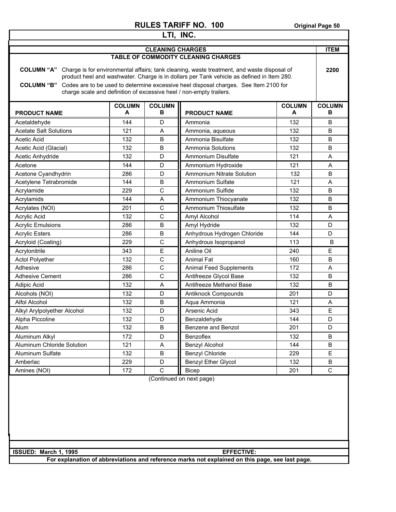| LTI, INC.                                                                                       |                    |                    |                                                                                                                                                                                                                                                                                                                                                        |                    |                    |  |
|-------------------------------------------------------------------------------------------------|--------------------|--------------------|--------------------------------------------------------------------------------------------------------------------------------------------------------------------------------------------------------------------------------------------------------------------------------------------------------------------------------------------------------|--------------------|--------------------|--|
| <b>CLEANING CHARGES</b>                                                                         |                    |                    |                                                                                                                                                                                                                                                                                                                                                        |                    | <b>ITEM</b>        |  |
| <b>TABLE OF COMMODITY CLEANING CHARGES</b>                                                      |                    |                    |                                                                                                                                                                                                                                                                                                                                                        |                    |                    |  |
| <b>COLUMN "A"</b><br><b>COLUMN "B"</b>                                                          |                    |                    | Charge is for environmental affairs; tank cleaning, waste treatment, and waste disposal of<br>product heel and washwater. Charge is in dollars per Tank vehicle as defined in Item 280.<br>Codes are to be used to determine excessive heel disposal charges. See Item 2100 for<br>charge scale and definition of excessive heel / non-empty trailers. |                    | 2200               |  |
| <b>PRODUCT NAME</b>                                                                             | <b>COLUMN</b><br>A | <b>COLUMN</b><br>В | <b>PRODUCT NAME</b>                                                                                                                                                                                                                                                                                                                                    | <b>COLUMN</b><br>A | <b>COLUMN</b><br>в |  |
| Acetaldehyde                                                                                    | 144                | D                  | Ammonia                                                                                                                                                                                                                                                                                                                                                | 132                | В                  |  |
| <b>Acetate Salt Solutions</b>                                                                   | 121                | A                  | Ammonia, aqueous                                                                                                                                                                                                                                                                                                                                       | 132                | B                  |  |
| <b>Acetic Acid</b>                                                                              | 132                | B                  | Ammonia Bisulfate                                                                                                                                                                                                                                                                                                                                      | 132                | В                  |  |
| Acetic Acid (Glacial)                                                                           | 132                | B                  | Ammonia Solutions                                                                                                                                                                                                                                                                                                                                      | 132                | B                  |  |
| Acetic Anhydride                                                                                | 132                | D                  | Ammonium Disulfate                                                                                                                                                                                                                                                                                                                                     | 121                | Α                  |  |
| Acetone                                                                                         | 144                | D                  | Ammonium Hydroxide                                                                                                                                                                                                                                                                                                                                     | 121                | A                  |  |
| Acetone Cyandhydrin                                                                             | 286                | D                  | <b>Ammonium Nitrate Solution</b>                                                                                                                                                                                                                                                                                                                       | 132                | B                  |  |
| Acetylene Tetrabromide                                                                          | 144                | B                  | Ammonium Sulfate                                                                                                                                                                                                                                                                                                                                       | 121                | A                  |  |
| Acrylamide                                                                                      | 229                | $\mathsf{C}$       | Ammonium Sulfide                                                                                                                                                                                                                                                                                                                                       | 132                | B                  |  |
| Acrylamids                                                                                      | 144                | Α                  | Ammonium Thiocyanate                                                                                                                                                                                                                                                                                                                                   | 132                | B                  |  |
| Acrylates (NOI)                                                                                 | 201                | $\mathsf{C}$       | Ammonium Thiosulfate                                                                                                                                                                                                                                                                                                                                   | 132                | B                  |  |
| Acrylic Acid                                                                                    | 132                | C                  | Amyl Alcohol                                                                                                                                                                                                                                                                                                                                           | 114                | A                  |  |
| <b>Acrylic Emulsions</b>                                                                        | 286                | B                  | Amyl Hydride                                                                                                                                                                                                                                                                                                                                           | 132                | D                  |  |
| <b>Acrylic Esters</b>                                                                           | 286                | B                  | Anhydrous Hydrogen Chloride                                                                                                                                                                                                                                                                                                                            | 144                | D                  |  |
| Acryloid (Coating)                                                                              | 229                | C                  | Anhydrous Isopropanol                                                                                                                                                                                                                                                                                                                                  | 113                | B                  |  |
| Acrylonitrile                                                                                   | 343                | E                  | Aniline Oil                                                                                                                                                                                                                                                                                                                                            | 240                | E                  |  |
| <b>Actol Polyether</b>                                                                          | 132                | C                  | <b>Animal Fat</b>                                                                                                                                                                                                                                                                                                                                      | 160                | B                  |  |
| Adhesive                                                                                        | 286                | C                  | <b>Animal Feed Supplements</b>                                                                                                                                                                                                                                                                                                                         | 172                | A                  |  |
| <b>Adhesive Cement</b>                                                                          | 286                | $\mathsf{C}$       | Antifreeze Glycol Base                                                                                                                                                                                                                                                                                                                                 | 132                | B                  |  |
| Adipic Acid                                                                                     | 132                | A                  | Antifreeze Methanol Base                                                                                                                                                                                                                                                                                                                               | 132                | B                  |  |
| Alcohols (NOI)                                                                                  | 132                | D                  | Antiknock Compounds                                                                                                                                                                                                                                                                                                                                    | 201                | D                  |  |
| Alfol Alcohol                                                                                   | 132                | B                  | Aqua Ammonia                                                                                                                                                                                                                                                                                                                                           | 121                | Α                  |  |
| Alkyl Arylpolyether Alcohol                                                                     | 132                | D                  | Arsenic Acid                                                                                                                                                                                                                                                                                                                                           | 343                | E                  |  |
| Alpha Piccoline                                                                                 | 132                | D                  | Benzaldehvde                                                                                                                                                                                                                                                                                                                                           | 144                | D                  |  |
| Alum                                                                                            | 132                | B                  | Benzene and Benzol                                                                                                                                                                                                                                                                                                                                     | 201                | D                  |  |
| Aluminum Alkyl                                                                                  | 172                | D                  | Benzoflex                                                                                                                                                                                                                                                                                                                                              | 132                | B                  |  |
| Aluminum Chloride Solution                                                                      | 121                | A                  | Benzyl Alcohol                                                                                                                                                                                                                                                                                                                                         | 144                | B                  |  |
| Aluminum Sulfate                                                                                | 132                | B                  | Benzyl Chloride                                                                                                                                                                                                                                                                                                                                        | 229                | E                  |  |
| Amberlac                                                                                        | 229                | D                  | <b>Benzyl Ether Glycol</b>                                                                                                                                                                                                                                                                                                                             | 132                | B                  |  |
| Amines (NOI)                                                                                    | 172                | C                  | <b>Bicep</b>                                                                                                                                                                                                                                                                                                                                           | 201                | C                  |  |
|                                                                                                 |                    |                    |                                                                                                                                                                                                                                                                                                                                                        |                    |                    |  |
| ISSUED: March 1, 1995                                                                           |                    |                    | <b>EFFECTIVE:</b>                                                                                                                                                                                                                                                                                                                                      |                    |                    |  |
| For explanation of abbreviations and reference marks not explained on this page, see last page. |                    |                    |                                                                                                                                                                                                                                                                                                                                                        |                    |                    |  |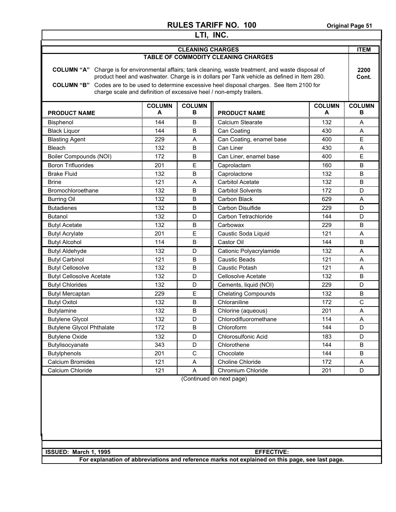| LTI, INC.                                                                                                                                                                                                                                                                                                                                                                              |     |                         |                                            |     |                    |  |  |
|----------------------------------------------------------------------------------------------------------------------------------------------------------------------------------------------------------------------------------------------------------------------------------------------------------------------------------------------------------------------------------------|-----|-------------------------|--------------------------------------------|-----|--------------------|--|--|
|                                                                                                                                                                                                                                                                                                                                                                                        |     | <b>CLEANING CHARGES</b> |                                            |     | <b>ITEM</b>        |  |  |
|                                                                                                                                                                                                                                                                                                                                                                                        |     |                         | <b>TABLE OF COMMODITY CLEANING CHARGES</b> |     |                    |  |  |
| COLUMN "A" Charge is for environmental affairs; tank cleaning, waste treatment, and waste disposal of<br>product heel and washwater. Charge is in dollars per Tank vehicle as defined in Item 280.<br>Codes are to be used to determine excessive heel disposal charges. See Item 2100 for<br><b>COLUMN "B"</b><br>charge scale and definition of excessive heel / non-empty trailers. |     |                         |                                            |     | 2200<br>Cont.      |  |  |
| <b>COLUMN</b><br><b>COLUMN</b><br><b>COLUMN</b><br>В<br>A<br>A<br><b>PRODUCT NAME</b><br><b>PRODUCT NAME</b>                                                                                                                                                                                                                                                                           |     |                         |                                            |     | <b>COLUMN</b><br>в |  |  |
| <b>Bisphenol</b>                                                                                                                                                                                                                                                                                                                                                                       | 144 | В                       | Calcium Stearate                           | 132 | A                  |  |  |
| <b>Black Liquor</b>                                                                                                                                                                                                                                                                                                                                                                    | 144 | B                       | Can Coating                                | 430 | Α                  |  |  |
| <b>Blasting Agent</b>                                                                                                                                                                                                                                                                                                                                                                  | 229 | A                       | Can Coating, enamel base                   | 400 | E                  |  |  |
| Bleach                                                                                                                                                                                                                                                                                                                                                                                 | 132 | B                       | Can Liner                                  | 430 | A                  |  |  |
| Boiler Compounds (NOI)                                                                                                                                                                                                                                                                                                                                                                 | 172 | B                       | Can Liner, enamel base                     | 400 | E                  |  |  |
| <b>Boron Trifluorides</b>                                                                                                                                                                                                                                                                                                                                                              | 201 | Е                       | Caprolactam                                | 160 | B                  |  |  |
| <b>Brake Fluid</b>                                                                                                                                                                                                                                                                                                                                                                     | 132 | B                       | Caprolactone                               | 132 | B                  |  |  |
| <b>Brine</b>                                                                                                                                                                                                                                                                                                                                                                           | 121 | A                       | <b>Carbitol Acetate</b>                    | 132 | B                  |  |  |
| Bromochloroethane                                                                                                                                                                                                                                                                                                                                                                      | 132 | B                       | <b>Carbitol Solvents</b>                   | 172 | D                  |  |  |
| <b>Burring Oil</b>                                                                                                                                                                                                                                                                                                                                                                     | 132 | B                       | Carbon Black                               | 629 | A                  |  |  |
| <b>Butadienes</b>                                                                                                                                                                                                                                                                                                                                                                      | 132 | B                       | Carbon Disulfide                           | 229 | D                  |  |  |
| <b>Butanol</b>                                                                                                                                                                                                                                                                                                                                                                         | 132 | D                       | Carbon Tetrachloride                       | 144 | D                  |  |  |
| <b>Butyl Acetate</b>                                                                                                                                                                                                                                                                                                                                                                   | 132 | B                       | Carbowax                                   | 229 | B                  |  |  |
| <b>Butyl Acrylate</b>                                                                                                                                                                                                                                                                                                                                                                  | 201 | E                       | Caustic Soda Liquid                        | 121 | A                  |  |  |
| <b>Butyl Alcohol</b>                                                                                                                                                                                                                                                                                                                                                                   | 114 | B                       | Castor Oil                                 | 144 | B                  |  |  |
| <b>Butyl Aldehyde</b>                                                                                                                                                                                                                                                                                                                                                                  | 132 | D                       | Cationic Polyacrylamide                    | 132 | Α                  |  |  |
| <b>Butyl Carbinol</b>                                                                                                                                                                                                                                                                                                                                                                  | 121 | B                       | Caustic Beads                              | 121 | A                  |  |  |
| <b>Butyl Cellosolve</b>                                                                                                                                                                                                                                                                                                                                                                | 132 | B                       | Caustic Potash                             | 121 | Α                  |  |  |
| <b>Butyl Cellosolve Acetate</b>                                                                                                                                                                                                                                                                                                                                                        | 132 | D                       | Cellosolve Acetate                         | 132 | B                  |  |  |
| <b>Butyl Chlorides</b>                                                                                                                                                                                                                                                                                                                                                                 | 132 | D                       | Cements, liquid (NOI)                      | 229 | D                  |  |  |
| <b>Butyl Mercaptan</b>                                                                                                                                                                                                                                                                                                                                                                 | 229 | E                       | <b>Chelating Compounds</b>                 | 132 | B                  |  |  |
| <b>Butyl Oxitol</b>                                                                                                                                                                                                                                                                                                                                                                    | 132 | B                       | Chloraniline                               | 172 | $\mathsf{C}$       |  |  |
| <b>Butylamine</b>                                                                                                                                                                                                                                                                                                                                                                      | 132 | B                       | Chlorine (aqueous)                         | 201 | A                  |  |  |
| <b>Butylene Glycol</b>                                                                                                                                                                                                                                                                                                                                                                 | 132 | D                       | Chlorodifluoromethane                      | 114 | $\mathsf A$        |  |  |
| <b>Butylene Glycol Phthalate</b>                                                                                                                                                                                                                                                                                                                                                       | 172 | B                       | Chloroform                                 | 144 | D                  |  |  |
| <b>Butylene Oxide</b>                                                                                                                                                                                                                                                                                                                                                                  | 132 | D                       | Chlorosulfonic Acid                        | 183 | D                  |  |  |
| Butylisocyanate                                                                                                                                                                                                                                                                                                                                                                        | 343 | D                       | Chlorothene                                | 144 | B                  |  |  |
| <b>Butylphenols</b>                                                                                                                                                                                                                                                                                                                                                                    | 201 | $\mathsf{C}$            | Chocolate                                  | 144 | B                  |  |  |
| Calcium Bromides                                                                                                                                                                                                                                                                                                                                                                       | 121 | Α                       | Choline Chloride                           | 172 | A                  |  |  |
| Calcium Chloride                                                                                                                                                                                                                                                                                                                                                                       | 121 | Α                       | Chromium Chloride                          | 201 | D                  |  |  |
| (Continued on next page)                                                                                                                                                                                                                                                                                                                                                               |     |                         |                                            |     |                    |  |  |
| ISSUED: March 1, 1995<br><b>EFFECTIVE:</b><br>For explanation of abbreviations and reference marks not explained on this page, see last page.                                                                                                                                                                                                                                          |     |                         |                                            |     |                    |  |  |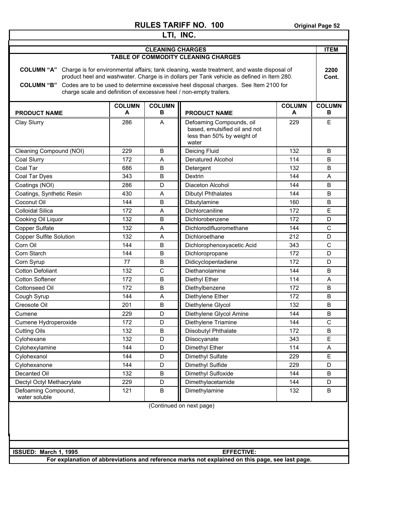| <b>COLUMN "B"</b>                                                                                                                                                         |                    | <b>CLEANING CHARGES</b>                                                                                                                                                                                                                                                                                                                                                  | <b>TABLE OF COMMODITY CLEANING CHARGES</b>                                                       |                    | <b>ITEM</b><br>2200 |  |
|---------------------------------------------------------------------------------------------------------------------------------------------------------------------------|--------------------|--------------------------------------------------------------------------------------------------------------------------------------------------------------------------------------------------------------------------------------------------------------------------------------------------------------------------------------------------------------------------|--------------------------------------------------------------------------------------------------|--------------------|---------------------|--|
|                                                                                                                                                                           |                    |                                                                                                                                                                                                                                                                                                                                                                          |                                                                                                  |                    |                     |  |
|                                                                                                                                                                           |                    |                                                                                                                                                                                                                                                                                                                                                                          |                                                                                                  |                    |                     |  |
|                                                                                                                                                                           |                    | <b>COLUMN "A"</b> Charge is for environmental affairs; tank cleaning, waste treatment, and waste disposal of<br>product heel and washwater. Charge is in dollars per Tank vehicle as defined in Item 280.<br>Codes are to be used to determine excessive heel disposal charges. See Item 2100 for<br>charge scale and definition of excessive heel / non-empty trailers. |                                                                                                  |                    |                     |  |
| <b>PRODUCT NAME</b>                                                                                                                                                       | <b>COLUMN</b><br>A | <b>COLUMN</b><br>в                                                                                                                                                                                                                                                                                                                                                       | <b>PRODUCT NAME</b>                                                                              | <b>COLUMN</b><br>A | <b>COLUMN</b><br>в  |  |
| Clay Slurry                                                                                                                                                               | 286                | A                                                                                                                                                                                                                                                                                                                                                                        | Defoaming Compounds, oil<br>based, emulsified oil and not<br>less than 50% by weight of<br>water | 229                | Е                   |  |
| Cleaning Compound (NOI)                                                                                                                                                   | 229                | B                                                                                                                                                                                                                                                                                                                                                                        | Deicing Fluid                                                                                    | 132                | B                   |  |
| Coal Slurry                                                                                                                                                               | 172                | A                                                                                                                                                                                                                                                                                                                                                                        | <b>Denatured Alcohol</b>                                                                         | 114                | B                   |  |
| Coal Tar                                                                                                                                                                  | 686                | B                                                                                                                                                                                                                                                                                                                                                                        | Detergent                                                                                        | 132                | B                   |  |
| Coal Tar Dyes                                                                                                                                                             | 343                | B                                                                                                                                                                                                                                                                                                                                                                        | Dextrin                                                                                          | 144                | A                   |  |
| Coatings (NOI)                                                                                                                                                            | 286                | D                                                                                                                                                                                                                                                                                                                                                                        | Diaceton Alcohol                                                                                 | 144                | B                   |  |
| Coatings, Synthetic Resin                                                                                                                                                 | 430                | A                                                                                                                                                                                                                                                                                                                                                                        | <b>Dibutyl Phthalates</b>                                                                        | 144                | B                   |  |
| Coconut Oil                                                                                                                                                               | 144                | B                                                                                                                                                                                                                                                                                                                                                                        | Dibutylamine                                                                                     | 160                | B                   |  |
| <b>Colloidal Silica</b>                                                                                                                                                   | 172                | A                                                                                                                                                                                                                                                                                                                                                                        | Dichlorcaniline                                                                                  | 172                | E                   |  |
| Cooking Oil Liquor                                                                                                                                                        | 132                | B                                                                                                                                                                                                                                                                                                                                                                        | Dichlorobenzene                                                                                  | 172                | D                   |  |
| <b>Copper Sulfate</b>                                                                                                                                                     | 132                | A                                                                                                                                                                                                                                                                                                                                                                        | Dichlorodifluoromethane                                                                          | 144                | C                   |  |
| <b>Copper Sulfite Solution</b>                                                                                                                                            | 132                | A                                                                                                                                                                                                                                                                                                                                                                        | Dichloroethane                                                                                   | 212                | D                   |  |
| Corn Oil                                                                                                                                                                  | 144                | B                                                                                                                                                                                                                                                                                                                                                                        | Dichlorophenoxyacetic Acid                                                                       | 343                | C                   |  |
| Corn Starch                                                                                                                                                               | 144                | B                                                                                                                                                                                                                                                                                                                                                                        | Dichloropropane                                                                                  | 172                | D                   |  |
| Corn Syrup                                                                                                                                                                | 77                 | B                                                                                                                                                                                                                                                                                                                                                                        | Didicyclopentadiene                                                                              | 172                | D                   |  |
| <b>Cotton Defoliant</b>                                                                                                                                                   | 132                | C                                                                                                                                                                                                                                                                                                                                                                        | Diethanolamine                                                                                   | 144                | B                   |  |
| <b>Cotton Softener</b>                                                                                                                                                    | 172                | B                                                                                                                                                                                                                                                                                                                                                                        | Diethyl Ether                                                                                    | 114                | A                   |  |
| Cottonseed Oil                                                                                                                                                            | 172                | B                                                                                                                                                                                                                                                                                                                                                                        | Diethylbenzene                                                                                   | 172                | B                   |  |
| Cough Syrup                                                                                                                                                               | 144                | A                                                                                                                                                                                                                                                                                                                                                                        | Diethylene Ether                                                                                 | 172                | B                   |  |
| Creosote Oil                                                                                                                                                              | 201                | B                                                                                                                                                                                                                                                                                                                                                                        | Diethylene Glycol                                                                                | 132                | B                   |  |
| Cumene                                                                                                                                                                    | 229                | D                                                                                                                                                                                                                                                                                                                                                                        | Diethylene Glycol Amine                                                                          | 144                | B                   |  |
| Cumene Hydroperoxide                                                                                                                                                      | 172                | D                                                                                                                                                                                                                                                                                                                                                                        | Diethylene Triamine                                                                              | 144                | C                   |  |
| <b>Cutting Oils</b>                                                                                                                                                       | 132                | B                                                                                                                                                                                                                                                                                                                                                                        | Diisobutyl Phthalate                                                                             | 172                | B                   |  |
| Cylohexane                                                                                                                                                                | 132                | $\mathsf D$                                                                                                                                                                                                                                                                                                                                                              | Diisocyanate                                                                                     | 343                | E                   |  |
| Cylohexylamine                                                                                                                                                            | 144                | D                                                                                                                                                                                                                                                                                                                                                                        | Dimethyl Ether                                                                                   | 114                | Α                   |  |
| Cylohexanol                                                                                                                                                               | 144                | D                                                                                                                                                                                                                                                                                                                                                                        | Dimethyl Sulfate                                                                                 | 229                | E                   |  |
| Cylohexanone                                                                                                                                                              | 144                | D                                                                                                                                                                                                                                                                                                                                                                        | Dimethyl Sulfide                                                                                 | 229                | D                   |  |
| Decanted Oil                                                                                                                                                              | 132                | $\sf B$                                                                                                                                                                                                                                                                                                                                                                  | Dimethyl Sulfoxide                                                                               | 144                | B                   |  |
| Dectyl Octyl Methacrylate                                                                                                                                                 | 229                | D                                                                                                                                                                                                                                                                                                                                                                        | Dimethylacetamide                                                                                | 144                | D                   |  |
| Defoaming Compound,<br>water soluble                                                                                                                                      | 121                | B                                                                                                                                                                                                                                                                                                                                                                        | Dimethylamine                                                                                    | 132                | B                   |  |
| (Continued on next page)<br><b>EFFECTIVE:</b><br>ISSUED: March 1, 1995<br>For explanation of abbreviations and reference marks not explained on this page, see last page. |                    |                                                                                                                                                                                                                                                                                                                                                                          |                                                                                                  |                    |                     |  |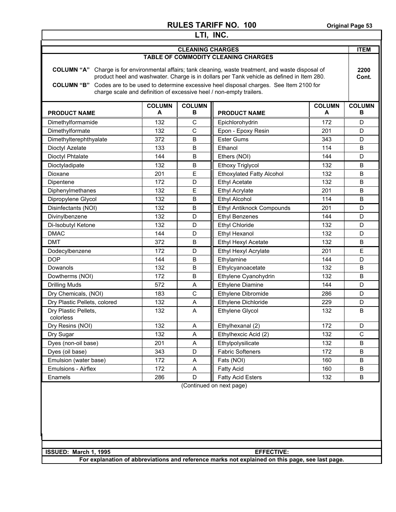| LTI, INC.                                                                                                                                                                                                                                                                                                                                                                              |     |                         |                                     |     |                    |  |
|----------------------------------------------------------------------------------------------------------------------------------------------------------------------------------------------------------------------------------------------------------------------------------------------------------------------------------------------------------------------------------------|-----|-------------------------|-------------------------------------|-----|--------------------|--|
|                                                                                                                                                                                                                                                                                                                                                                                        |     | <b>CLEANING CHARGES</b> |                                     |     | <b>ITEM</b>        |  |
|                                                                                                                                                                                                                                                                                                                                                                                        |     |                         | TABLE OF COMMODITY CLEANING CHARGES |     |                    |  |
| COLUMN "A" Charge is for environmental affairs; tank cleaning, waste treatment, and waste disposal of<br>product heel and washwater. Charge is in dollars per Tank vehicle as defined in Item 280.<br>Codes are to be used to determine excessive heel disposal charges. See Item 2100 for<br><b>COLUMN "B"</b><br>charge scale and definition of excessive heel / non-empty trailers. |     |                         |                                     |     | 2200<br>Cont.      |  |
| <b>COLUMN</b><br><b>COLUMN</b><br><b>COLUMN</b><br>В<br>A<br>A<br><b>PRODUCT NAME</b><br><b>PRODUCT NAME</b>                                                                                                                                                                                                                                                                           |     |                         |                                     |     | <b>COLUMN</b><br>в |  |
| Dimethylformamide                                                                                                                                                                                                                                                                                                                                                                      | 132 | C                       | Epichlorohydrin                     | 172 | D                  |  |
| Dimethylformate                                                                                                                                                                                                                                                                                                                                                                        | 132 | $\mathsf{C}$            | Epon - Epoxy Resin                  | 201 | D                  |  |
| Dimethylterephthyalate                                                                                                                                                                                                                                                                                                                                                                 | 372 | B                       | <b>Ester Gums</b>                   | 343 | D                  |  |
| Dioctyl Azelate                                                                                                                                                                                                                                                                                                                                                                        | 133 | B                       | Ethanol                             | 114 | B                  |  |
| <b>Dioctyl Phtalate</b>                                                                                                                                                                                                                                                                                                                                                                | 144 | B                       | Ethers (NOI)                        | 144 | D                  |  |
| Dioctyladipate                                                                                                                                                                                                                                                                                                                                                                         | 132 | B                       | <b>Ethoxy Triglycol</b>             | 132 | B                  |  |
| Dioxane                                                                                                                                                                                                                                                                                                                                                                                | 201 | E                       | <b>Ethoxylated Fatty Alcohol</b>    | 132 | B                  |  |
| Dipentene                                                                                                                                                                                                                                                                                                                                                                              | 172 | D                       | <b>Ethyl Acetate</b>                | 132 | B                  |  |
| Diphenylmethanes                                                                                                                                                                                                                                                                                                                                                                       | 132 | E                       | <b>Ethyl Acrylate</b>               | 201 | B                  |  |
| Dipropylene Glycol                                                                                                                                                                                                                                                                                                                                                                     | 132 | B                       | <b>Ethyl Alcohol</b>                | 114 | B                  |  |
| Disinfectants (NOI)                                                                                                                                                                                                                                                                                                                                                                    | 132 | B                       | Ethyl Antiknock Compounds           | 201 | D                  |  |
| Divinylbenzene                                                                                                                                                                                                                                                                                                                                                                         | 132 | D                       | <b>Ethyl Benzenes</b>               | 144 | D                  |  |
| Di-Isobutyl Ketone                                                                                                                                                                                                                                                                                                                                                                     | 132 | D                       | <b>Ethyl Chloride</b>               | 132 | D                  |  |
| <b>DMAC</b>                                                                                                                                                                                                                                                                                                                                                                            | 144 | D                       | <b>Ethyl Hexanol</b>                | 132 | D                  |  |
| <b>DMT</b>                                                                                                                                                                                                                                                                                                                                                                             | 372 | B                       | Ethyl Hexyl Acetate                 | 132 | B                  |  |
| Dodecylbenzene                                                                                                                                                                                                                                                                                                                                                                         | 172 | D                       | Ethyl Hexyl Acrylate                | 201 | E                  |  |
| <b>DOP</b>                                                                                                                                                                                                                                                                                                                                                                             | 144 | B                       | Ethylamine                          | 144 | D                  |  |
| Dowanols                                                                                                                                                                                                                                                                                                                                                                               | 132 | B                       | Ethylcyanoacetate                   | 132 | B                  |  |
| Dowtherms (NOI)                                                                                                                                                                                                                                                                                                                                                                        | 172 | B                       | Ethylene Cyanohydrin                | 132 | B                  |  |
| <b>Drilling Muds</b>                                                                                                                                                                                                                                                                                                                                                                   | 572 | A                       | Ethylene Diamine                    | 144 | D                  |  |
| Dry Chemicals, (NOI)                                                                                                                                                                                                                                                                                                                                                                   | 183 | $\mathsf C$             | Ethylene Dibromide                  | 286 | D                  |  |
| Dry Plastic Pellets, colored                                                                                                                                                                                                                                                                                                                                                           | 132 | A                       | Ethylene Dichloride                 | 229 | D                  |  |
| Dry Plastic Pellets,<br>colorless                                                                                                                                                                                                                                                                                                                                                      | 132 | A                       | Ethylene Glycol                     | 132 | B                  |  |
| Dry Resins (NOI)                                                                                                                                                                                                                                                                                                                                                                       | 132 | Α                       | Ethylhexanal (2)                    | 172 | D                  |  |
| Dry Sugar                                                                                                                                                                                                                                                                                                                                                                              | 132 | A                       | Ethylhexcic Acid (2)                | 132 | C                  |  |
| Dyes (non-oil base)                                                                                                                                                                                                                                                                                                                                                                    | 201 | A                       | Ethylpolysilicate                   | 132 | $\sf B$            |  |
| Dyes (oil base)                                                                                                                                                                                                                                                                                                                                                                        | 343 | D                       | <b>Fabric Softeners</b>             | 172 | В                  |  |
| Emulsion (water base)                                                                                                                                                                                                                                                                                                                                                                  | 172 | Α                       | Fats (NOI)                          | 160 | В                  |  |
| Emulsions - Airflex                                                                                                                                                                                                                                                                                                                                                                    | 172 | Α                       | <b>Fatty Acid</b>                   | 160 | В                  |  |
| Enamels                                                                                                                                                                                                                                                                                                                                                                                | 286 | D                       | <b>Fatty Acid Esters</b>            | 132 | В                  |  |
| (Continued on next page)                                                                                                                                                                                                                                                                                                                                                               |     |                         |                                     |     |                    |  |
| ISSUED: March 1, 1995                                                                                                                                                                                                                                                                                                                                                                  |     |                         | <b>EFFECTIVE:</b>                   |     |                    |  |
| For explanation of abbreviations and reference marks not explained on this page, see last page.                                                                                                                                                                                                                                                                                        |     |                         |                                     |     |                    |  |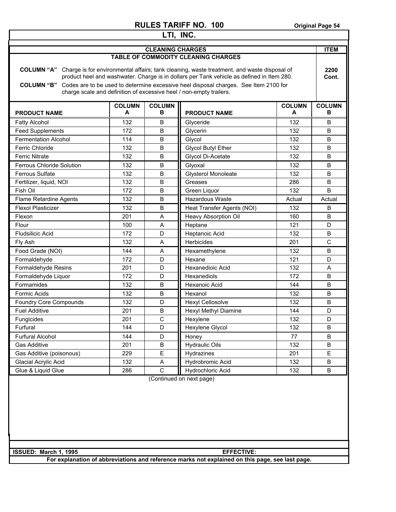| LTI, INC.                                                                                                    |     |                         |                                                                                                                                                                                                                                                                                                                                                        |        |                    |  |
|--------------------------------------------------------------------------------------------------------------|-----|-------------------------|--------------------------------------------------------------------------------------------------------------------------------------------------------------------------------------------------------------------------------------------------------------------------------------------------------------------------------------------------------|--------|--------------------|--|
|                                                                                                              |     | <b>CLEANING CHARGES</b> |                                                                                                                                                                                                                                                                                                                                                        |        | <b>ITEM</b>        |  |
|                                                                                                              |     |                         | <b>TABLE OF COMMODITY CLEANING CHARGES</b>                                                                                                                                                                                                                                                                                                             |        |                    |  |
| <b>COLUMN "A"</b><br><b>COLUMN "B"</b>                                                                       |     |                         | Charge is for environmental affairs; tank cleaning, waste treatment, and waste disposal of<br>product heel and washwater. Charge is in dollars per Tank vehicle as defined in Item 280.<br>Codes are to be used to determine excessive heel disposal charges. See Item 2100 for<br>charge scale and definition of excessive heel / non-empty trailers. |        | 2200<br>Cont.      |  |
| <b>COLUMN</b><br><b>COLUMN</b><br><b>COLUMN</b><br>A<br>в<br>A<br><b>PRODUCT NAME</b><br><b>PRODUCT NAME</b> |     |                         |                                                                                                                                                                                                                                                                                                                                                        |        | <b>COLUMN</b><br>в |  |
| <b>Fatty Alcohol</b>                                                                                         | 132 | B                       | Glyceride                                                                                                                                                                                                                                                                                                                                              | 132    | B                  |  |
| <b>Feed Supplements</b>                                                                                      | 172 | B                       | Glycerin                                                                                                                                                                                                                                                                                                                                               | 132    | B                  |  |
| <b>Fermentation Alcohol</b>                                                                                  | 114 | B                       | Glycol                                                                                                                                                                                                                                                                                                                                                 | 132    | B                  |  |
| <b>Ferric Chloride</b>                                                                                       | 132 | B                       | <b>Glycol Butyl Ether</b>                                                                                                                                                                                                                                                                                                                              | 132    | B                  |  |
| <b>Ferric Nitrate</b>                                                                                        | 132 | B                       | Glycol Di-Acetate                                                                                                                                                                                                                                                                                                                                      | 132    | B                  |  |
| Ferrous Chloride Solution                                                                                    | 132 | B                       | Glyoxal                                                                                                                                                                                                                                                                                                                                                | 132    | B                  |  |
| <b>Ferrous Sulfate</b>                                                                                       | 132 | B                       | <b>Glysterol Monoleate</b>                                                                                                                                                                                                                                                                                                                             | 132    | B                  |  |
| Fertilizer, liquid, NOI                                                                                      | 132 | B                       | Greases                                                                                                                                                                                                                                                                                                                                                | 286    | B                  |  |
| Fish Oil                                                                                                     | 172 | B                       | Green Liquor                                                                                                                                                                                                                                                                                                                                           | 132    | B                  |  |
| Flame Retardine Agents                                                                                       | 132 | B                       | Hazardous Waste                                                                                                                                                                                                                                                                                                                                        | Actual | Actual             |  |
| <b>Flexol Plasticizer</b>                                                                                    | 132 | B                       | Heat Transfer Agents (NOI)                                                                                                                                                                                                                                                                                                                             | 132    | B                  |  |
| Flexon                                                                                                       | 201 | A                       | <b>Heavy Absorption Oil</b>                                                                                                                                                                                                                                                                                                                            | 160    | B                  |  |
| Flour                                                                                                        | 100 | A                       | Heptane                                                                                                                                                                                                                                                                                                                                                | 121    | D                  |  |
| <b>Fludsilicic Acid</b>                                                                                      | 172 | D                       | Heptanoic Acid                                                                                                                                                                                                                                                                                                                                         | 132    | B                  |  |
| Fly Ash                                                                                                      | 132 | A                       | Herbicides                                                                                                                                                                                                                                                                                                                                             | 201    | $\mathsf{C}$       |  |
| Food Grade (NOI)                                                                                             | 144 | A                       | Hexamethylene                                                                                                                                                                                                                                                                                                                                          | 132    | B                  |  |
| Formaldehyde                                                                                                 | 172 | D                       | Hexane                                                                                                                                                                                                                                                                                                                                                 | 121    | D                  |  |
| Formaldehyde Resins                                                                                          | 201 | D                       | <b>Hexanedioic Acid</b>                                                                                                                                                                                                                                                                                                                                | 132    | A                  |  |
| Formaldehyde Liquor                                                                                          | 172 | D                       | Hexanediols                                                                                                                                                                                                                                                                                                                                            | 172    | B                  |  |
| Formamides                                                                                                   | 132 | B                       | Hexanoic Acid                                                                                                                                                                                                                                                                                                                                          | 144    | B                  |  |
| <b>Formic Acids</b>                                                                                          | 132 | B                       | Hexanol                                                                                                                                                                                                                                                                                                                                                | 132    | B                  |  |
| Foundry Core Compounds                                                                                       | 132 | D                       | <b>Hexyl Cellosolve</b>                                                                                                                                                                                                                                                                                                                                | 132    | B                  |  |
| <b>Fuel Additive</b>                                                                                         | 201 | $\sf B$                 | Hexyl Methyl Diamine                                                                                                                                                                                                                                                                                                                                   | 144    | D                  |  |
| Fungicides                                                                                                   | 201 | $\overline{C}$          | Hexylene                                                                                                                                                                                                                                                                                                                                               | 132    | D                  |  |
| Furfural                                                                                                     | 144 | D                       | Hexylene Glycol                                                                                                                                                                                                                                                                                                                                        | 132    | B                  |  |
| <b>Furfural Alcohol</b>                                                                                      | 144 | D                       | Honey                                                                                                                                                                                                                                                                                                                                                  | 77     | B                  |  |
| Gas Additive                                                                                                 | 201 | B                       | <b>Hydraulic Oils</b>                                                                                                                                                                                                                                                                                                                                  | 132    | B                  |  |
| Gas Additive (poisonous)                                                                                     | 229 | E                       | Hydrazines                                                                                                                                                                                                                                                                                                                                             | 201    | E                  |  |
| Glacial Acrylic Acid                                                                                         | 132 | Α                       | Hydrobromic Acid                                                                                                                                                                                                                                                                                                                                       | 132    | B                  |  |
| Glue & Liquid Glue                                                                                           | 286 | C                       | Hydrochloric Acid                                                                                                                                                                                                                                                                                                                                      | 132    | B                  |  |
| (Continued on next page)                                                                                     |     |                         |                                                                                                                                                                                                                                                                                                                                                        |        |                    |  |
| ISSUED: March 1, 1995<br><b>EFFECTIVE:</b>                                                                   |     |                         |                                                                                                                                                                                                                                                                                                                                                        |        |                    |  |
|                                                                                                              |     |                         | For explanation of abbreviations and reference marks not explained on this page, see last page.                                                                                                                                                                                                                                                        |        |                    |  |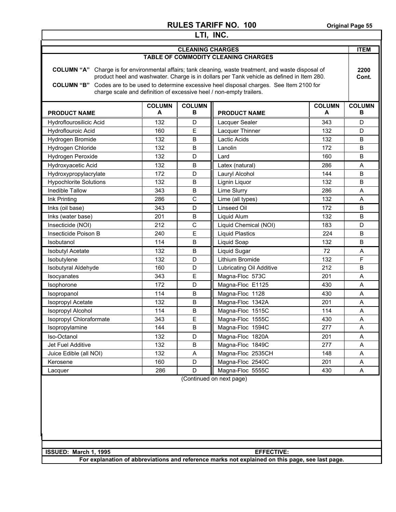| LTI, INC.                                                                                                                                                                                                                                                                                                                                                                    |                                                                                                        |                         |                                     |     |               |  |  |
|------------------------------------------------------------------------------------------------------------------------------------------------------------------------------------------------------------------------------------------------------------------------------------------------------------------------------------------------------------------------------|--------------------------------------------------------------------------------------------------------|-------------------------|-------------------------------------|-----|---------------|--|--|
|                                                                                                                                                                                                                                                                                                                                                                              |                                                                                                        | <b>CLEANING CHARGES</b> |                                     |     | <b>ITEM</b>   |  |  |
|                                                                                                                                                                                                                                                                                                                                                                              |                                                                                                        |                         | TABLE OF COMMODITY CLEANING CHARGES |     |               |  |  |
| COLUMN "A" Charge is for environmental affairs; tank cleaning, waste treatment, and waste disposal of<br>product heel and washwater. Charge is in dollars per Tank vehicle as defined in Item 280.<br>COLUMN "B" Codes are to be used to determine excessive heel disposal charges. See Item 2100 for<br>charge scale and definition of excessive heel / non-empty trailers. |                                                                                                        |                         |                                     |     | 2200<br>Cont. |  |  |
| <b>PRODUCT NAME</b>                                                                                                                                                                                                                                                                                                                                                          | <b>COLUMN</b><br><b>COLUMN</b><br><b>COLUMN</b><br><b>COLUMN</b><br>в<br>A<br>A<br><b>PRODUCT NAME</b> |                         |                                     |     |               |  |  |
| Hydroflourosilicic Acid                                                                                                                                                                                                                                                                                                                                                      | 132                                                                                                    | D                       | Lacquer Sealer                      | 343 | D             |  |  |
| Hydroflouroic Acid                                                                                                                                                                                                                                                                                                                                                           | 160                                                                                                    | E                       | Lacquer Thinner                     | 132 | D             |  |  |
| Hydrogen Bromide                                                                                                                                                                                                                                                                                                                                                             | 132                                                                                                    | B                       | Lactic Acids                        | 132 | В             |  |  |
| Hydrogen Chloride                                                                                                                                                                                                                                                                                                                                                            | 132                                                                                                    | B                       | Lanolin                             | 172 | В             |  |  |
| Hydrogen Peroxide                                                                                                                                                                                                                                                                                                                                                            | 132                                                                                                    | D                       | Lard                                | 160 | B             |  |  |
| Hydroxyacetic Acid                                                                                                                                                                                                                                                                                                                                                           | 132                                                                                                    | B                       | Latex (natural)                     | 286 | Α             |  |  |
| Hydroxypropylacrylate                                                                                                                                                                                                                                                                                                                                                        | 172                                                                                                    | D                       | Lauryl Alcohol                      | 144 | B             |  |  |
| <b>Hypochlorite Solutions</b>                                                                                                                                                                                                                                                                                                                                                | 132                                                                                                    | B                       | Lignin Liquor                       | 132 | B             |  |  |
| Inedible Tallow                                                                                                                                                                                                                                                                                                                                                              | 343                                                                                                    | B                       | Lime Slurry                         | 286 | A             |  |  |
| Ink Printing                                                                                                                                                                                                                                                                                                                                                                 | 286                                                                                                    | C                       | Lime (all types)                    | 132 | A             |  |  |
| Inks (oil base)                                                                                                                                                                                                                                                                                                                                                              | 343                                                                                                    | D                       | Linseed Oil                         | 172 | B             |  |  |
| Inks (water base)                                                                                                                                                                                                                                                                                                                                                            | 201                                                                                                    | B                       | Liquid Alum                         | 132 | B             |  |  |
| Insecticide (NOI)                                                                                                                                                                                                                                                                                                                                                            | 212                                                                                                    | $\mathsf C$             | Liquid Chemical (NOI)               | 183 | D             |  |  |
| Insecticide Poison B                                                                                                                                                                                                                                                                                                                                                         | 240                                                                                                    | E                       | <b>Liquid Plastics</b>              | 224 | В             |  |  |
| Isobutanol                                                                                                                                                                                                                                                                                                                                                                   | 114                                                                                                    | B                       | Liquid Soap                         | 132 | B             |  |  |
| <b>Isobutyl Acetate</b>                                                                                                                                                                                                                                                                                                                                                      | 132                                                                                                    | B                       | Liquid Sugar                        | 72  | A             |  |  |
| Isobutylene                                                                                                                                                                                                                                                                                                                                                                  | 132                                                                                                    | D                       | Lithium Bromide                     | 132 | F             |  |  |
| Isobutyral Aldehyde                                                                                                                                                                                                                                                                                                                                                          | 160                                                                                                    | D                       | Lubricating Oil Additive            | 212 | В             |  |  |
| Isocyanates                                                                                                                                                                                                                                                                                                                                                                  | 343                                                                                                    | E                       | Magna-Floc 573C                     | 201 | A             |  |  |
| Isophorone                                                                                                                                                                                                                                                                                                                                                                   | 172                                                                                                    | D                       | Magna-Floc E1125                    | 430 | A             |  |  |
| Isopropanol                                                                                                                                                                                                                                                                                                                                                                  | 114                                                                                                    | $\sf B$                 | Magna-Floc 1128                     | 430 | Α             |  |  |
| Isopropyl Acetate                                                                                                                                                                                                                                                                                                                                                            | 132                                                                                                    | B                       | Magna-Floc 1342A                    | 201 | A             |  |  |
| Isopropyl Alcohol                                                                                                                                                                                                                                                                                                                                                            | 114                                                                                                    | B                       | Magna-Floc 1515C                    | 114 | A             |  |  |
| Isopropyl Chloraformate                                                                                                                                                                                                                                                                                                                                                      | 343                                                                                                    | E                       | Magna-Floc 1555C                    | 430 | A             |  |  |
| Isopropylamine                                                                                                                                                                                                                                                                                                                                                               | 144                                                                                                    | B                       | Magna-Floc 1594C                    | 277 | A             |  |  |
| Iso-Octanol                                                                                                                                                                                                                                                                                                                                                                  | 132                                                                                                    | D                       | Magna-Floc 1820A                    | 201 | A             |  |  |
| Jet Fuel Additive                                                                                                                                                                                                                                                                                                                                                            | 132                                                                                                    | B                       | Magna-Floc 1849C                    | 277 | Α             |  |  |
| Juice Edible (all NOI)                                                                                                                                                                                                                                                                                                                                                       | 132                                                                                                    | Α                       | Magna-Floc 2535CH                   | 148 | A             |  |  |
| Kerosene                                                                                                                                                                                                                                                                                                                                                                     | 160                                                                                                    | D                       | Magna-Floc 2540C                    | 201 | Α             |  |  |
| Lacquer                                                                                                                                                                                                                                                                                                                                                                      | 286                                                                                                    | D                       | Magna-Floc 5555C                    | 430 | A             |  |  |
|                                                                                                                                                                                                                                                                                                                                                                              |                                                                                                        |                         | (Continued on next page)            |     |               |  |  |
|                                                                                                                                                                                                                                                                                                                                                                              |                                                                                                        |                         |                                     |     |               |  |  |
| ISSUED: March 1, 1995                                                                                                                                                                                                                                                                                                                                                        |                                                                                                        |                         | <b>EFFECTIVE:</b>                   |     |               |  |  |
| For explanation of abbreviations and reference marks not explained on this page, see last page.                                                                                                                                                                                                                                                                              |                                                                                                        |                         |                                     |     |               |  |  |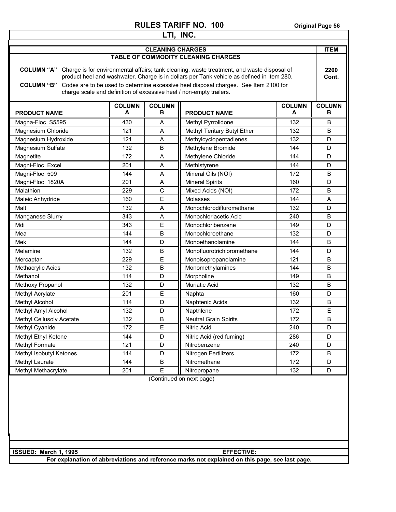| LTI, INC.                                                                                       |                    |                         |                                                                                                                                                                                                                                                                                                                                                                          |                    |                    |  |
|-------------------------------------------------------------------------------------------------|--------------------|-------------------------|--------------------------------------------------------------------------------------------------------------------------------------------------------------------------------------------------------------------------------------------------------------------------------------------------------------------------------------------------------------------------|--------------------|--------------------|--|
|                                                                                                 |                    | <b>CLEANING CHARGES</b> |                                                                                                                                                                                                                                                                                                                                                                          |                    | <b>ITEM</b>        |  |
|                                                                                                 |                    |                         | TABLE OF COMMODITY CLEANING CHARGES                                                                                                                                                                                                                                                                                                                                      |                    |                    |  |
| <b>COLUMN "B"</b>                                                                               |                    |                         | <b>COLUMN "A"</b> Charge is for environmental affairs; tank cleaning, waste treatment, and waste disposal of<br>product heel and washwater. Charge is in dollars per Tank vehicle as defined in Item 280.<br>Codes are to be used to determine excessive heel disposal charges. See Item 2100 for<br>charge scale and definition of excessive heel / non-empty trailers. |                    | 2200<br>Cont.      |  |
| <b>PRODUCT NAME</b>                                                                             | <b>COLUMN</b><br>A | <b>COLUMN</b><br>в      | <b>PRODUCT NAME</b>                                                                                                                                                                                                                                                                                                                                                      | <b>COLUMN</b><br>A | <b>COLUMN</b><br>в |  |
| Magna-Floc S5595                                                                                | 430                | A                       | Methyl Pyrrolidone                                                                                                                                                                                                                                                                                                                                                       | 132                | B                  |  |
| Magnesium Chloride                                                                              | 121                | Α                       | Methyl Teritary Butyl Ether                                                                                                                                                                                                                                                                                                                                              | 132                | B                  |  |
| Magnesium Hydroxide                                                                             | 121                | A                       | Methylcyclopentadienes                                                                                                                                                                                                                                                                                                                                                   | 132                | D                  |  |
| Magnesium Sulfate                                                                               | 132                | B                       | Methylene Bromide                                                                                                                                                                                                                                                                                                                                                        | 144                | D                  |  |
| Magnetite                                                                                       | 172                | Α                       | Methylene Chloride                                                                                                                                                                                                                                                                                                                                                       | 144                | D                  |  |
| Magni-Floc Excel                                                                                | 201                | A                       | Methlstyrene                                                                                                                                                                                                                                                                                                                                                             | 144                | D                  |  |
| Magni-Floc 509                                                                                  | 144                | A                       | Mineral Oils (NOI)                                                                                                                                                                                                                                                                                                                                                       | 172                | B                  |  |
| Magni-Floc 1820A                                                                                | 201                | A                       | <b>Mineral Spirits</b>                                                                                                                                                                                                                                                                                                                                                   | 160                | D                  |  |
| Malathion                                                                                       | 229                | $\mathsf{C}$            | Mixed Acids (NOI)                                                                                                                                                                                                                                                                                                                                                        | 172                | B                  |  |
| Maleic Anhydride                                                                                | 160                | E                       | Molasses                                                                                                                                                                                                                                                                                                                                                                 | 144                | A                  |  |
| Malt                                                                                            | 132                | A                       | Monochlorodifluromethane                                                                                                                                                                                                                                                                                                                                                 | 132                | D                  |  |
| Manganese Slurry                                                                                | 343                | A                       | Monochloriacetic Acid                                                                                                                                                                                                                                                                                                                                                    | 240                | B                  |  |
| Mdi                                                                                             | 343                | E                       | Monochloribenzene                                                                                                                                                                                                                                                                                                                                                        | 149                | D                  |  |
| Mea                                                                                             | 144                | B                       | Monochloroethane                                                                                                                                                                                                                                                                                                                                                         | 132                | D                  |  |
| Mek                                                                                             | 144                | D                       | Monoethanolamine                                                                                                                                                                                                                                                                                                                                                         | 144                | B                  |  |
| Melamine                                                                                        | 132                | B                       | Monofluorotrichloromethane                                                                                                                                                                                                                                                                                                                                               | 144                | D                  |  |
| Mercaptan                                                                                       | 229                | E                       | Monoisopropanolamine                                                                                                                                                                                                                                                                                                                                                     | 121                | B                  |  |
| Methacrylic Acids                                                                               | 132                | B                       | Monomethylamines                                                                                                                                                                                                                                                                                                                                                         | 144                | B                  |  |
| Methanol                                                                                        | 114                | D                       | Morpholine                                                                                                                                                                                                                                                                                                                                                               | 149                | B                  |  |
| Methoxy Propanol                                                                                | 132                | D                       | Muriatic Acid                                                                                                                                                                                                                                                                                                                                                            | 132                | B                  |  |
| Methyl Acrylate                                                                                 | 201                | E                       | Naphta                                                                                                                                                                                                                                                                                                                                                                   | 160                | D                  |  |
| Methyl Alcohol                                                                                  | 114                | D                       | Naphtenic Acids                                                                                                                                                                                                                                                                                                                                                          | 132                | B                  |  |
| Methyl Amyl Alcohol                                                                             | 132                | D                       | Napthlene                                                                                                                                                                                                                                                                                                                                                                | 172                | E                  |  |
| Methyl Cellusolv Acetate                                                                        | 132                | B                       | <b>Neutral Grain Spirits</b>                                                                                                                                                                                                                                                                                                                                             | 172                | B                  |  |
| Methyl Cyanide                                                                                  | 172                | Ε                       | Nitric Acid                                                                                                                                                                                                                                                                                                                                                              | 240                | D                  |  |
| Methyl Ethyl Ketone                                                                             | 144                | D                       | Nitric Acid (red fuming)                                                                                                                                                                                                                                                                                                                                                 | 286                | D                  |  |
| Methyl Formate                                                                                  | 121                | D                       | Nitrobenzene                                                                                                                                                                                                                                                                                                                                                             | 240                | D                  |  |
| Methyl Isobutyl Ketones                                                                         | 144                | D                       | Nitrogen Fertilizers                                                                                                                                                                                                                                                                                                                                                     | 172                | B                  |  |
| Methyl Laurate                                                                                  | 144                | $\sf B$                 | Nitromethane                                                                                                                                                                                                                                                                                                                                                             | 172                | D                  |  |
| Methyl Methacrylate                                                                             | 201                | E                       | Nitropropane                                                                                                                                                                                                                                                                                                                                                             | 132                | D                  |  |
| (Continued on next page)                                                                        |                    |                         |                                                                                                                                                                                                                                                                                                                                                                          |                    |                    |  |
| ISSUED: March 1, 1995                                                                           |                    |                         | <b>EFFECTIVE:</b>                                                                                                                                                                                                                                                                                                                                                        |                    |                    |  |
| For explanation of abbreviations and reference marks not explained on this page, see last page. |                    |                         |                                                                                                                                                                                                                                                                                                                                                                          |                    |                    |  |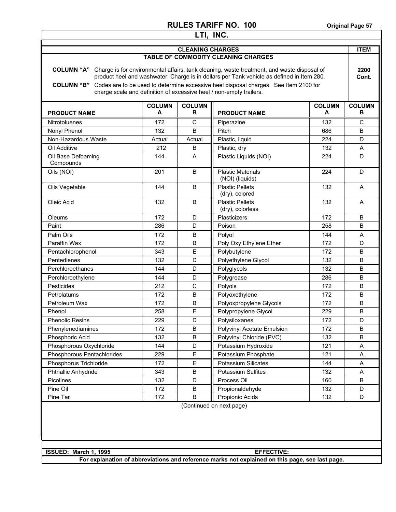| LTI, INC.                                                                                                                                                                                                                                                                                                                                                                              |                                                                                                        |                         |                                             |     |               |  |
|----------------------------------------------------------------------------------------------------------------------------------------------------------------------------------------------------------------------------------------------------------------------------------------------------------------------------------------------------------------------------------------|--------------------------------------------------------------------------------------------------------|-------------------------|---------------------------------------------|-----|---------------|--|
|                                                                                                                                                                                                                                                                                                                                                                                        |                                                                                                        | <b>CLEANING CHARGES</b> |                                             |     | <b>ITEM</b>   |  |
|                                                                                                                                                                                                                                                                                                                                                                                        |                                                                                                        |                         | <b>TABLE OF COMMODITY CLEANING CHARGES</b>  |     |               |  |
| COLUMN "A" Charge is for environmental affairs; tank cleaning, waste treatment, and waste disposal of<br>product heel and washwater. Charge is in dollars per Tank vehicle as defined in Item 280.<br>Codes are to be used to determine excessive heel disposal charges. See Item 2100 for<br><b>COLUMN "B"</b><br>charge scale and definition of excessive heel / non-empty trailers. |                                                                                                        |                         |                                             |     | 2200<br>Cont. |  |
| <b>PRODUCT NAME</b>                                                                                                                                                                                                                                                                                                                                                                    | <b>COLUMN</b><br><b>COLUMN</b><br><b>COLUMN</b><br><b>COLUMN</b><br>A<br>в<br><b>PRODUCT NAME</b><br>A |                         |                                             |     |               |  |
| <b>Nitrotoluenes</b>                                                                                                                                                                                                                                                                                                                                                                   | 172                                                                                                    | C                       | Piperazine                                  | 132 | C             |  |
| Nonyl Phenol                                                                                                                                                                                                                                                                                                                                                                           | 132                                                                                                    | B                       | Pitch                                       | 686 | B             |  |
| Non-Hazardous Waste                                                                                                                                                                                                                                                                                                                                                                    | Actual                                                                                                 | Actual                  | Plastic, liquid                             | 224 | D             |  |
| Oil Additive                                                                                                                                                                                                                                                                                                                                                                           | 212                                                                                                    | B                       | Plastic, dry                                | 132 | A             |  |
| Oil Base Defoaming<br>Compounds                                                                                                                                                                                                                                                                                                                                                        | 144                                                                                                    | A                       | Plastic Liquids (NOI)                       | 224 | D             |  |
| Oils (NOI)                                                                                                                                                                                                                                                                                                                                                                             | 201                                                                                                    | B                       | <b>Plastic Materials</b><br>(NOI) (liquids) | 224 | D             |  |
| Oils Vegetable                                                                                                                                                                                                                                                                                                                                                                         | 144                                                                                                    | B                       | <b>Plastic Pellets</b><br>(dry), colored    | 132 | A             |  |
| Oleic Acid                                                                                                                                                                                                                                                                                                                                                                             | 132                                                                                                    | B                       | <b>Plastic Pellets</b><br>(dry), colorless  | 132 | A             |  |
| Oleums                                                                                                                                                                                                                                                                                                                                                                                 | 172                                                                                                    | D                       | Plasticizers                                | 172 | B             |  |
| Paint                                                                                                                                                                                                                                                                                                                                                                                  | 286                                                                                                    | D                       | Poison                                      | 258 | B             |  |
| Palm Oils                                                                                                                                                                                                                                                                                                                                                                              | 172                                                                                                    | B                       | Polyol                                      | 144 | A             |  |
| Paraffin Wax                                                                                                                                                                                                                                                                                                                                                                           | 172                                                                                                    | B                       | Poly Oxy Ethylene Ether                     | 172 | D             |  |
| Pentachlorophenol                                                                                                                                                                                                                                                                                                                                                                      | 343                                                                                                    | E                       | Polybutylene                                | 172 | B             |  |
| Pentedienes                                                                                                                                                                                                                                                                                                                                                                            | 132                                                                                                    | D                       | Polyethylene Glycol                         | 132 | B             |  |
| Perchloroethanes                                                                                                                                                                                                                                                                                                                                                                       | 144                                                                                                    | D                       | Polyglycols                                 | 132 | B             |  |
| Perchloroethylene                                                                                                                                                                                                                                                                                                                                                                      | 144                                                                                                    | D                       | Polygrease                                  | 286 | B             |  |
| Pesticides                                                                                                                                                                                                                                                                                                                                                                             | 212                                                                                                    | $\mathsf{C}$            | Polyols                                     | 172 | B             |  |
| Petrolatums                                                                                                                                                                                                                                                                                                                                                                            | 172                                                                                                    | B                       | Polyoxethylene                              | 172 | B             |  |
| Petroleum Wax                                                                                                                                                                                                                                                                                                                                                                          | 172                                                                                                    | B                       | Polyoxpropylene Glycols                     | 172 | B             |  |
| Phenol                                                                                                                                                                                                                                                                                                                                                                                 | 258                                                                                                    | E                       | Polypropylene Glycol                        | 229 | B             |  |
| <b>Phenolic Resins</b>                                                                                                                                                                                                                                                                                                                                                                 | 229                                                                                                    | D                       | Polysiloxanes                               | 172 | D             |  |
| Phenylenediamines                                                                                                                                                                                                                                                                                                                                                                      | 172                                                                                                    | $\sf B$                 | Polyvinyl Acetate Emulsion                  | 172 | B             |  |
| Phosphoric Acid                                                                                                                                                                                                                                                                                                                                                                        | 132                                                                                                    | $\sf B$                 | Polyvinyl Chloride (PVC)                    | 132 | $\sf B$       |  |
| Phosphorous Oxychloride                                                                                                                                                                                                                                                                                                                                                                | 144                                                                                                    | D                       | Potassium Hydroxide                         | 121 | Α             |  |
| Phosphorous Pentachlorides                                                                                                                                                                                                                                                                                                                                                             | 229                                                                                                    | E                       | Potassium Phosphate                         | 121 | A             |  |
| Phosphorus Trichloride                                                                                                                                                                                                                                                                                                                                                                 | 172                                                                                                    | $\mathsf E$             | Potassium Silicates                         | 144 | A             |  |
| Phthallic Anhydride                                                                                                                                                                                                                                                                                                                                                                    | 343                                                                                                    | B                       | <b>Potassium Sulfites</b>                   | 132 | A             |  |
| Picolines                                                                                                                                                                                                                                                                                                                                                                              | 132                                                                                                    | D                       | Process Oil                                 | 160 | B             |  |
| Pine Oil                                                                                                                                                                                                                                                                                                                                                                               | 172                                                                                                    | $\sf B$                 | Propionaldehyde                             | 132 | D             |  |
| Pine Tar                                                                                                                                                                                                                                                                                                                                                                               | 172                                                                                                    | $\sf B$                 | Propionic Acids                             | 132 | D             |  |
| (Continued on next page)                                                                                                                                                                                                                                                                                                                                                               |                                                                                                        |                         |                                             |     |               |  |
| ISSUED: March 1, 1995                                                                                                                                                                                                                                                                                                                                                                  |                                                                                                        |                         | <b>EFFECTIVE:</b>                           |     |               |  |
| For explanation of abbreviations and reference marks not explained on this page, see last page.                                                                                                                                                                                                                                                                                        |                                                                                                        |                         |                                             |     |               |  |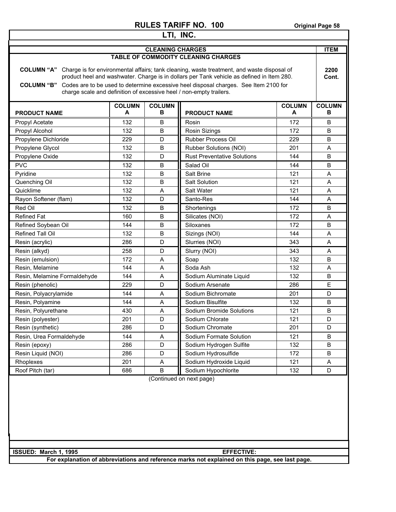| LTI, INC.                                                                                                                                                                                                                                                                                                                                                                                        |                    |                         |                                            |                    |                    |  |
|--------------------------------------------------------------------------------------------------------------------------------------------------------------------------------------------------------------------------------------------------------------------------------------------------------------------------------------------------------------------------------------------------|--------------------|-------------------------|--------------------------------------------|--------------------|--------------------|--|
|                                                                                                                                                                                                                                                                                                                                                                                                  |                    | <b>CLEANING CHARGES</b> |                                            |                    | <b>ITEM</b>        |  |
|                                                                                                                                                                                                                                                                                                                                                                                                  |                    |                         | <b>TABLE OF COMMODITY CLEANING CHARGES</b> |                    |                    |  |
| <b>COLUMN "A"</b><br>Charge is for environmental affairs; tank cleaning, waste treatment, and waste disposal of<br>product heel and washwater. Charge is in dollars per Tank vehicle as defined in Item 280.<br>Codes are to be used to determine excessive heel disposal charges. See Item 2100 for<br><b>COLUMN "B"</b><br>charge scale and definition of excessive heel / non-empty trailers. |                    |                         |                                            |                    | 2200<br>Cont.      |  |
| <b>PRODUCT NAME</b>                                                                                                                                                                                                                                                                                                                                                                              | <b>COLUMN</b><br>A | <b>COLUMN</b><br>в      | <b>PRODUCT NAME</b>                        | <b>COLUMN</b><br>A | <b>COLUMN</b><br>в |  |
| Propyl Acetate                                                                                                                                                                                                                                                                                                                                                                                   | 132                | B                       | Rosin                                      | 172                | B                  |  |
| Propyl Alcohol                                                                                                                                                                                                                                                                                                                                                                                   | 132                | B                       | <b>Rosin Sizings</b>                       | 172                | B                  |  |
| Propylene Dichloride                                                                                                                                                                                                                                                                                                                                                                             | 229                | D                       | Rubber Process Oil                         | 229                | B                  |  |
| Propylene Glycol                                                                                                                                                                                                                                                                                                                                                                                 | 132                | B                       | Rubber Solutions (NOI)                     | 201                | A                  |  |
| Propylene Oxide                                                                                                                                                                                                                                                                                                                                                                                  | 132                | D                       | <b>Rust Preventative Solutions</b>         | 144                | B                  |  |
| <b>PVC</b>                                                                                                                                                                                                                                                                                                                                                                                       | 132                | B                       | Salad Oil                                  | 144                | B                  |  |
| Pyridine                                                                                                                                                                                                                                                                                                                                                                                         | 132                | B                       | Salt Brine                                 | 121                | A                  |  |
| Quenching Oil                                                                                                                                                                                                                                                                                                                                                                                    | 132                | B                       | <b>Salt Solution</b>                       | 121                | A                  |  |
| Quicklime                                                                                                                                                                                                                                                                                                                                                                                        | 132                | A                       | Salt Water                                 | 121                | Α                  |  |
| Rayon Softener (flam)                                                                                                                                                                                                                                                                                                                                                                            | 132                | D                       | Santo-Res                                  | 144                | A                  |  |
| Red Oil                                                                                                                                                                                                                                                                                                                                                                                          | 132                | B                       | Shortenings                                | 172                | B                  |  |
| <b>Refined Fat</b>                                                                                                                                                                                                                                                                                                                                                                               | 160                | B                       | Silicates (NOI)                            | 172                | A                  |  |
| Refined Soybean Oil                                                                                                                                                                                                                                                                                                                                                                              | 144                | B                       | Siloxanes                                  | 172                | B                  |  |
| Refined Tall Oil                                                                                                                                                                                                                                                                                                                                                                                 | 132                | B                       | Sizings (NOI)                              | 144                | A                  |  |
| Resin (acrylic)                                                                                                                                                                                                                                                                                                                                                                                  | 286                | D                       | Slurries (NOI)                             | 343                | A                  |  |
| Resin (alkyd)                                                                                                                                                                                                                                                                                                                                                                                    | 258                | D                       | Slurry (NOI)                               | 343                | A                  |  |
| Resin (emulsion)                                                                                                                                                                                                                                                                                                                                                                                 | 172                | A                       | Soap                                       | 132                | B                  |  |
| Resin, Melamine                                                                                                                                                                                                                                                                                                                                                                                  | 144                | A                       | Soda Ash                                   | 132                | A                  |  |
| Resin, Melamine Formaldehyde                                                                                                                                                                                                                                                                                                                                                                     | 144                | A                       | Sodium Aluminate Liquid                    | 132                | B                  |  |
| Resin (phenolic)                                                                                                                                                                                                                                                                                                                                                                                 | 229                | D                       | Sodium Arsenate                            | 286                | E                  |  |
| Resin, Polyacrylamide                                                                                                                                                                                                                                                                                                                                                                            | 144                | Α                       | Sodium Bichromate                          | 201                | D                  |  |
| Resin, Polyamine                                                                                                                                                                                                                                                                                                                                                                                 | 144                | A                       | Sodium Bisulfite                           | 132                | B                  |  |
| Resin, Polyurethane                                                                                                                                                                                                                                                                                                                                                                              | 430                | A                       | Sodium Bromide Solutions                   | 121                | B                  |  |
| Resin (polyester)                                                                                                                                                                                                                                                                                                                                                                                | 201                | D                       | Sodium Chlorate                            | 121                | D                  |  |
| Resin (synthetic)                                                                                                                                                                                                                                                                                                                                                                                | 286                | D                       | Sodium Chromate                            | 201                | D                  |  |
| Resin, Urea Formaldehyde                                                                                                                                                                                                                                                                                                                                                                         | 144                | A                       | Sodium Formate Solution                    | 121                | B                  |  |
| Resin (epoxy)                                                                                                                                                                                                                                                                                                                                                                                    | 286                | D                       | Sodium Hydrogen Sulfite                    | 132                | B                  |  |
| Resin Liquid (NOI)                                                                                                                                                                                                                                                                                                                                                                               | 286                | D                       | Sodium Hydrosulfide                        | 172                | B                  |  |
| Rhoplexes                                                                                                                                                                                                                                                                                                                                                                                        | 201                | Α                       | Sodium Hydroxide Liquid                    | 121                | Α                  |  |
| Roof Pitch (tar)                                                                                                                                                                                                                                                                                                                                                                                 | 686                | B                       | Sodium Hypochlorite                        | 132                | D                  |  |
| (Continued on next page)                                                                                                                                                                                                                                                                                                                                                                         |                    |                         |                                            |                    |                    |  |
| ISSUED: March 1, 1995                                                                                                                                                                                                                                                                                                                                                                            |                    |                         | <b>EFFECTIVE:</b>                          |                    |                    |  |
| For explanation of abbreviations and reference marks not explained on this page, see last page.                                                                                                                                                                                                                                                                                                  |                    |                         |                                            |                    |                    |  |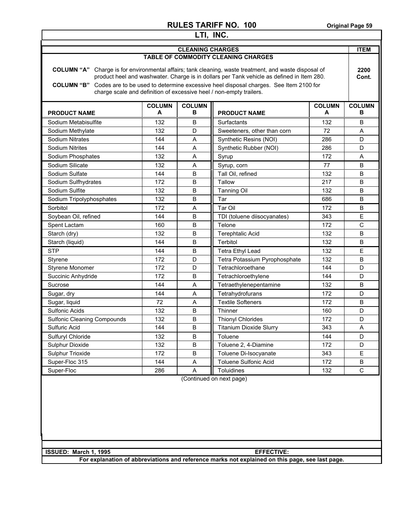| LTI, INC.                                                                                                                                                                                                                                                                                                                                                                              |                                                 |                                         |                                 |                    |                    |
|----------------------------------------------------------------------------------------------------------------------------------------------------------------------------------------------------------------------------------------------------------------------------------------------------------------------------------------------------------------------------------------|-------------------------------------------------|-----------------------------------------|---------------------------------|--------------------|--------------------|
| <b>CLEANING CHARGES</b>                                                                                                                                                                                                                                                                                                                                                                |                                                 |                                         |                                 | <b>ITEM</b>        |                    |
| TABLE OF COMMODITY CLEANING CHARGES                                                                                                                                                                                                                                                                                                                                                    |                                                 |                                         |                                 |                    |                    |
| COLUMN "A" Charge is for environmental affairs; tank cleaning, waste treatment, and waste disposal of<br>product heel and washwater. Charge is in dollars per Tank vehicle as defined in Item 280.<br>Codes are to be used to determine excessive heel disposal charges. See Item 2100 for<br><b>COLUMN "B"</b><br>charge scale and definition of excessive heel / non-empty trailers. |                                                 |                                         |                                 | 2200<br>Cont.      |                    |
| <b>PRODUCT NAME</b>                                                                                                                                                                                                                                                                                                                                                                    | <b>COLUMN</b><br>A                              | <b>COLUMN</b><br>в                      | <b>PRODUCT NAME</b>             | <b>COLUMN</b><br>A | <b>COLUMN</b><br>в |
| Sodium Metabisulfite                                                                                                                                                                                                                                                                                                                                                                   | 132                                             | B                                       | Surfactants                     | 132                | В                  |
| Sodium Methylate                                                                                                                                                                                                                                                                                                                                                                       | 132                                             | D                                       | Sweeteners, other than corn     | 72                 | Α                  |
| <b>Sodium Nitrates</b>                                                                                                                                                                                                                                                                                                                                                                 | 144                                             | Α                                       | Synthetic Resins (NOI)          | 286                | D                  |
| <b>Sodium Nitrites</b>                                                                                                                                                                                                                                                                                                                                                                 | 144                                             | A                                       | Synthetic Rubber (NOI)          | 286                | D                  |
| Sodium Phosphates                                                                                                                                                                                                                                                                                                                                                                      | 132                                             | A                                       | Syrup                           | 172                | Α                  |
| Sodium Silicate                                                                                                                                                                                                                                                                                                                                                                        | 132                                             | A                                       | Syrup, corn                     | 77                 | В                  |
| Sodium Sulfate                                                                                                                                                                                                                                                                                                                                                                         | 144                                             | B                                       | Tall Oil, refined               | 132                | B                  |
| Sodium Sulfhydrates                                                                                                                                                                                                                                                                                                                                                                    | 172                                             | B                                       | Tallow                          | 217                | B                  |
| Sodium Sulfite                                                                                                                                                                                                                                                                                                                                                                         | 132                                             | B                                       | <b>Tanning Oil</b>              | 132                | B                  |
| Sodium Tripolyphosphates                                                                                                                                                                                                                                                                                                                                                               | 132                                             | B                                       | Tar                             | 686                | В                  |
| Sorbitol                                                                                                                                                                                                                                                                                                                                                                               | 172                                             | A                                       | Tar Oil                         | 172                | В                  |
| Soybean Oil, refined                                                                                                                                                                                                                                                                                                                                                                   | 144                                             | B                                       | TDI (toluene diisocyanates)     | 343                | E                  |
| Spent Lactam                                                                                                                                                                                                                                                                                                                                                                           | B<br>Telone<br>172<br>C<br>160                  |                                         |                                 |                    |                    |
| Starch (dry)                                                                                                                                                                                                                                                                                                                                                                           | B<br>132<br><b>Terephtalic Acid</b><br>132<br>В |                                         |                                 |                    |                    |
| Starch (liquid)                                                                                                                                                                                                                                                                                                                                                                        | B<br>Terbitol<br>144<br>132<br>B                |                                         |                                 |                    |                    |
| <b>STP</b>                                                                                                                                                                                                                                                                                                                                                                             | B<br>Е<br>144<br>Tetra Ethyl Lead<br>132        |                                         |                                 |                    |                    |
| Styrene                                                                                                                                                                                                                                                                                                                                                                                | 172                                             | D                                       | Tetra Potassium Pyrophosphate   | 132                | B                  |
| Styrene Monomer                                                                                                                                                                                                                                                                                                                                                                        | 172                                             | D                                       | Tetrachloroethane<br>144        |                    | D                  |
| Succinic Anhydride                                                                                                                                                                                                                                                                                                                                                                     | B<br>172<br>Tetrachloroethylene<br>144<br>D     |                                         |                                 |                    |                    |
| Sucrose                                                                                                                                                                                                                                                                                                                                                                                | 144                                             | A<br>132<br>Tetraethylenepentamine<br>В |                                 |                    |                    |
| Sugar, dry                                                                                                                                                                                                                                                                                                                                                                             | 144                                             | Tetrahydrofurans<br>A<br>172<br>D       |                                 |                    |                    |
| Sugar, liquid                                                                                                                                                                                                                                                                                                                                                                          | 72                                              | A                                       | <b>Textile Softeners</b><br>172 |                    | B                  |
| Sulfonic Acids                                                                                                                                                                                                                                                                                                                                                                         | 132                                             | B                                       | Thinner                         | 160                | D                  |
| <b>Sulfonic Cleaning Compounds</b>                                                                                                                                                                                                                                                                                                                                                     | 132                                             | $\sf B$                                 | <b>Thionyl Chlorides</b>        | 172                | D                  |
| Sulfuric Acid                                                                                                                                                                                                                                                                                                                                                                          | 144                                             | B                                       | <b>Titanium Dioxide Slurry</b>  | 343                | Α                  |
| Sulfuryl Chloride                                                                                                                                                                                                                                                                                                                                                                      | 132                                             | B                                       | Toluene                         | 144                | D                  |
| Sulphur Dioxide                                                                                                                                                                                                                                                                                                                                                                        | 132                                             | B                                       | Toluene 2, 4-Diamine            | 172                | D                  |
| Sulphur Trioxide                                                                                                                                                                                                                                                                                                                                                                       | 172                                             | B                                       | Toluene Di-Isocyanate           | 343                | E                  |
| Super-Floc 315                                                                                                                                                                                                                                                                                                                                                                         | 144                                             | Α                                       | <b>Toluene Sulfonic Acid</b>    | 172                | B                  |
| Super-Floc                                                                                                                                                                                                                                                                                                                                                                             | 286                                             | A                                       | Toluidines                      | 132                | $\mathbf C$        |
| (Continued on next page)                                                                                                                                                                                                                                                                                                                                                               |                                                 |                                         |                                 |                    |                    |
| ISSUED: March 1, 1995<br><b>EFFECTIVE:</b>                                                                                                                                                                                                                                                                                                                                             |                                                 |                                         |                                 |                    |                    |
| For explanation of abbreviations and reference marks not explained on this page, see last page.                                                                                                                                                                                                                                                                                        |                                                 |                                         |                                 |                    |                    |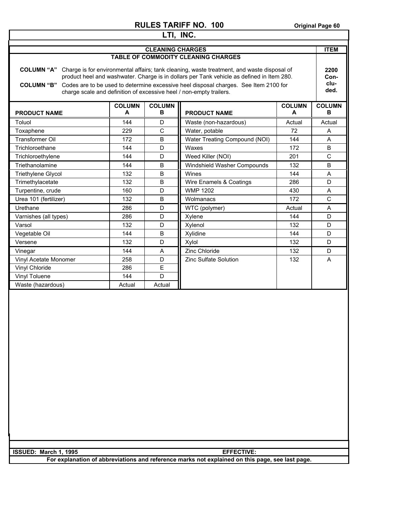| NULEJ IANIFF IVU. IVU<br>Original Page ou                                                                 |        |              |                               |              |              |
|-----------------------------------------------------------------------------------------------------------|--------|--------------|-------------------------------|--------------|--------------|
| LTI, INC.                                                                                                 |        |              |                               |              |              |
| <b>CLEANING CHARGES</b>                                                                                   |        |              |                               |              | <b>ITEM</b>  |
| TABLE OF COMMODITY CLEANING CHARGES                                                                       |        |              |                               |              |              |
|                                                                                                           |        |              |                               |              |              |
| COLUMN "A" Charge is for environmental affairs; tank cleaning, waste treatment, and waste disposal of     |        |              | 2200                          |              |              |
| product heel and washwater. Charge is in dollars per Tank vehicle as defined in Item 280.                 |        |              | Con-                          |              |              |
| Codes are to be used to determine excessive heel disposal charges. See Item 2100 for<br><b>COLUMN "B"</b> |        |              |                               | clu-<br>ded. |              |
| charge scale and definition of excessive heel / non-empty trailers.                                       |        |              |                               |              |              |
| <b>COLUMN</b><br><b>COLUMN</b><br><b>COLUMN</b>                                                           |        |              | <b>COLUMN</b>                 |              |              |
| <b>PRODUCT NAME</b>                                                                                       | A      | в            | <b>PRODUCT NAME</b>           | A            | в            |
| Toluol                                                                                                    | 144    | D            | Waste (non-hazardous)         | Actual       | Actual       |
| Toxaphene                                                                                                 | 229    | $\mathsf{C}$ | Water, potable                | 72           | Α            |
| <b>Transformer Oil</b>                                                                                    | 172    | B            | Water Treating Compound (NOI) | 144          | A            |
| Trichloroethane                                                                                           | 144    | D            | Waxes                         | 172          | B            |
| Trichloroethylene                                                                                         | 144    | D            | Weed Killer (NOI)             | 201          | $\mathsf{C}$ |
| Triethanolamine                                                                                           | 144    | B            | Windshield Washer Compounds   | 132          | B            |
| <b>Triethylene Glycol</b>                                                                                 | 132    | B            | Wines                         | 144          | A            |
| Trimethylacetate                                                                                          | 132    | B            | Wire Enamels & Coatings       | 286          | D            |
| Turpentine, crude                                                                                         | 160    | D            | <b>WMP 1202</b>               | 430          | Α            |
| Urea 101 (fertilizer)                                                                                     | 132    | B            | Wolmanacs                     | 172          | $\mathsf{C}$ |
| Urethane                                                                                                  | 286    | D            | WTC (polymer)                 | Actual       | A            |
| Varnishes (all types)                                                                                     | 286    | D            | Xylene                        | 144          | D            |
| Varsol                                                                                                    | 132    | D            | Xylenol                       | 132          | D            |
| Vegetable Oil                                                                                             | 144    | B            | Xylidine                      | 144          | D            |
| Versene                                                                                                   | 132    | D            | Xylol                         | 132          | D            |
| Vinegar                                                                                                   | 144    | A            | Zinc Chloride                 | 132          | D            |
| Vinyl Acetate Monomer                                                                                     | 258    | D            | <b>Zinc Sulfate Solution</b>  | 132          | A            |
| Vinyl Chloride                                                                                            | 286    | Е            |                               |              |              |
| Vinyl Toluene                                                                                             | 144    | D            |                               |              |              |
| Waste (hazardous)                                                                                         | Actual | Actual       |                               |              |              |
|                                                                                                           |        |              |                               |              |              |
|                                                                                                           |        |              |                               |              |              |
|                                                                                                           |        |              |                               |              |              |
|                                                                                                           |        |              |                               |              |              |
|                                                                                                           |        |              |                               |              |              |
|                                                                                                           |        |              |                               |              |              |
|                                                                                                           |        |              |                               |              |              |
|                                                                                                           |        |              |                               |              |              |
|                                                                                                           |        |              |                               |              |              |
|                                                                                                           |        |              |                               |              |              |
|                                                                                                           |        |              |                               |              |              |
|                                                                                                           |        |              |                               |              |              |
|                                                                                                           |        |              |                               |              |              |
|                                                                                                           |        |              |                               |              |              |
|                                                                                                           |        |              |                               |              |              |

**For explanation of abbreviations and reference marks not explained on this page, see last page.** 

**ISSUED:** March 1, 1995 **EFFECTIVE:**